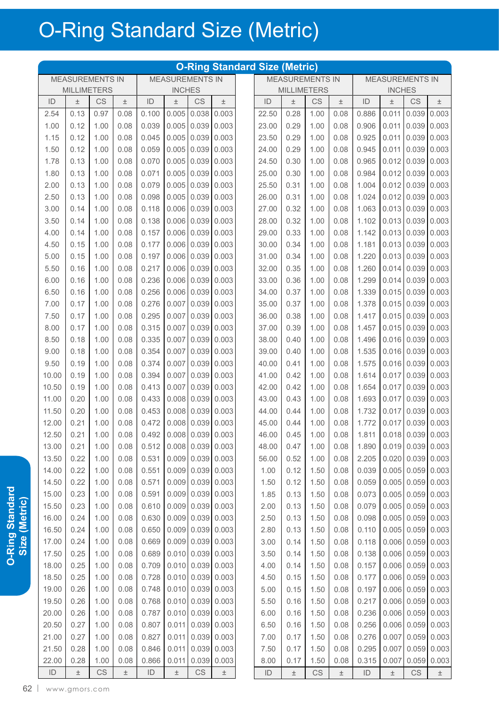|               |                        |      |       |               |                        |                        |                     | <b>O-Ring Standard Size (Metric)</b> |                        |      |       |               |                        |                        |             |
|---------------|------------------------|------|-------|---------------|------------------------|------------------------|---------------------|--------------------------------------|------------------------|------|-------|---------------|------------------------|------------------------|-------------|
|               | <b>MEASUREMENTS IN</b> |      |       |               | <b>MEASUREMENTS IN</b> |                        |                     |                                      | <b>MEASUREMENTS IN</b> |      |       |               | <b>MEASUREMENTS IN</b> |                        |             |
|               | <b>MILLIMETERS</b>     |      |       |               | <b>INCHES</b>          |                        |                     |                                      | <b>MILLIMETERS</b>     |      |       |               | <b>INCHES</b>          |                        |             |
| ID            | $\pm$                  | CS   | $\pm$ | ID            | $\pm$                  | <b>CS</b>              | $\pm$               | ID                                   | $\pm$                  | CS   | $\pm$ | ID            | $\pm$                  | CS                     | $\pm$       |
| 2.54          | 0.13                   | 0.97 | 0.08  | 0.100         | 0.005                  | 0.038                  | 0.003               | 22.50                                | 0.28                   | 1.00 | 0.08  | 0.886         | 0.011                  | 0.039                  | 0.003       |
| 1.00          | 0.12                   | 1.00 | 0.08  | 0.039         | 0.005                  | 0.039                  | 0.003               | 23.00                                | 0.29                   | 1.00 | 0.08  | 0.906         | 0.011                  | 0.039                  | 0.003       |
| 1.15          | 0.12                   | 1.00 | 0.08  | 0.045         | 0.005                  | 0.039                  | 0.003               | 23.50                                | 0.29                   | 1.00 | 0.08  | 0.925         | 0.011                  | 0.039                  | 0.003       |
| 1.50          | 0.12                   | 1.00 | 0.08  | 0.059         | 0.005                  | 0.039                  | 0.003               | 24.00                                | 0.29                   | 1.00 | 0.08  | 0.945         | 0.011                  | 0.039                  | 0.003       |
| 1.78          | 0.13                   | 1.00 | 0.08  | 0.070         | 0.005                  | 0.039                  | 0.003               | 24.50                                | 0.30                   | 1.00 | 0.08  | 0.965         | 0.012                  | 0.039                  | 0.003       |
| 1.80          | 0.13                   | 1.00 | 0.08  | 0.071         | 0.005                  | 0.039                  | 0.003               | 25.00                                | 0.30                   | 1.00 | 0.08  | 0.984         | 0.012                  | 0.039                  | 0.003       |
| 2.00          | 0.13                   | 1.00 | 0.08  | 0.079         | 0.005                  | 0.039                  | 0.003               | 25.50                                | 0.31                   | 1.00 | 0.08  | 1.004         | 0.012                  | 0.039                  | 0.003       |
| 2.50          | 0.13                   | 1.00 | 0.08  | 0.098         | 0.005                  | 0.039                  | 0.003               | 26.00                                | 0.31                   | 1.00 | 0.08  | 1.024         | 0.012                  | 0.039                  | 0.003       |
| 3.00          | 0.14                   | 1.00 | 0.08  | 0.118         | 0.006                  | 0.039                  | 0.003               | 27.00                                | 0.32                   | 1.00 | 0.08  | 1.063         | 0.013                  | 0.039                  | 0.003       |
| 3.50          | 0.14                   | 1.00 | 0.08  | 0.138         | 0.006                  | 0.039                  | 0.003               | 28.00                                | 0.32                   | 1.00 | 0.08  | 1.102         | 0.013                  | 0.039                  | 0.003       |
| 4.00          | 0.14                   | 1.00 | 0.08  | 0.157         | 0.006                  | 0.039                  | 0.003               | 29.00                                | 0.33                   | 1.00 | 0.08  | 1.142         | 0.013                  | 0.039                  | 0.003       |
| 4.50          | 0.15                   | 1.00 | 0.08  | 0.177         | 0.006                  | 0.039                  | 0.003               | 30.00                                | 0.34                   | 1.00 | 0.08  | 1.181         | 0.013                  | 0.039                  | 0.003       |
| 5.00          | 0.15                   | 1.00 | 0.08  | 0.197         | 0.006                  | 0.039                  | 0.003               | 31.00                                | 0.34                   | 1.00 | 0.08  | 1.220         | 0.013                  | 0.039                  | 0.003       |
| 5.50          | 0.16                   | 1.00 | 0.08  | 0.217         | 0.006                  | 0.039                  | 0.003               | 32.00                                | 0.35                   | 1.00 | 0.08  | 1.260         | 0.014                  | 0.039                  | 0.003       |
| 6.00          | 0.16                   | 1.00 | 0.08  | 0.236         | 0.006                  | 0.039                  | 0.003               | 33.00                                | 0.36                   | 1.00 | 0.08  | 1.299         | 0.014                  | 0.039                  | 0.003       |
| 6.50          | 0.16                   | 1.00 | 0.08  | 0.256         | 0.006                  | 0.039                  | 0.003               | 34.00                                | 0.37                   | 1.00 | 0.08  | 1.339         | 0.015                  | 0.039                  | 0.003       |
| 7.00          | 0.17                   | 1.00 | 0.08  | 0.276         | 0.007                  | 0.039                  | 0.003               | 35.00                                | 0.37                   | 1.00 | 0.08  | 1.378         | 0.015                  | 0.039                  | 0.003       |
| 7.50          | 0.17                   | 1.00 | 0.08  | 0.295         | 0.007                  | 0.039                  | 0.003               | 36.00                                | 0.38                   | 1.00 | 0.08  | 1.417         | 0.015                  | 0.039                  | 0.003       |
| 8.00          | 0.17                   | 1.00 | 0.08  | 0.315         | 0.007                  | 0.039                  | 0.003               | 37.00                                | 0.39                   | 1.00 | 0.08  | 1.457         | 0.015                  | 0.039                  | 0.003       |
| 8.50          | 0.18                   | 1.00 | 0.08  | 0.335         | 0.007                  | 0.039                  | 0.003               | 38.00                                | 0.40                   | 1.00 | 0.08  | 1.496         | 0.016                  | 0.039                  | 0.003       |
| 9.00          | 0.18                   | 1.00 | 0.08  | 0.354         | 0.007                  | 0.039                  | 0.003               | 39.00                                | 0.40                   | 1.00 | 0.08  | 1.535         | 0.016                  | 0.039                  | 0.003       |
| 9.50          | 0.19                   | 1.00 | 0.08  | 0.374         | 0.007                  | 0.039                  | 0.003               | 40.00                                | 0.41                   | 1.00 | 0.08  | 1.575         |                        | $0.016$ 0.039          | 0.003       |
| 10.00         | 0.19                   | 1.00 | 0.08  | 0.394         | 0.007                  | 0.039                  | 0.003               | 41.00                                | 0.42                   | 1.00 | 0.08  | 1.614         | 0.017                  | 0.039                  | 0.003       |
| 10.50         | 0.19                   | 1.00 | 0.08  | 0.413         | 0.007                  | 0.039                  | 0.003               | 42.00                                | 0.42                   | 1.00 | 0.08  | 1.654         | 0.017                  | 0.039                  | 0.003       |
| 11.00         | 0.20                   | 1.00 | 0.08  | 0.433         | 0.008                  | 0.039                  | 0.003               | 43.00                                | 0.43                   | 1.00 | 0.08  | 1.693         | 0.017                  | 0.039                  | 0.003       |
| 11.50         | 0.20                   | 1.00 | 0.08  | 0.453         | 0.008                  | 0.039                  | 0.003               | 44.00                                | 0.44                   | 1.00 | 0.08  | 1.732         | 0.017                  | 0.039                  | 0.003       |
| 12.00         | 0.21                   | 1.00 | 0.08  | 0.472         | 0.008                  | 0.039                  | 0.003               | 45.00                                | 0.44                   | 1.00 | 0.08  | 1.772         | 0.017                  | 0.039                  | 0.003       |
| 12.50         | 0.21                   | 1.00 | 0.08  | 0.492         |                        |                        | $0.008$ 0.039 0.003 | 46.00                                | 0.45                   | 1.00 | 0.08  | 1.811         |                        | $0.018$ 0.039 0.003    |             |
| 13.00         | 0.21                   | 1.00 | 0.08  | 0.512         |                        |                        | $0.008$ 0.039 0.003 | 48.00                                | 0.47                   | 1.00 | 0.08  | 1.890         |                        | $0.019$ 0.039 0.003    |             |
| 13.50         | 0.22                   | 1.00 | 0.08  | 0.531         | 0.009                  |                        | $0.039$ 0.003       | 56.00                                | 0.52                   | 1.00 | 0.08  | 2.205         |                        | $0.020$ 0.039 0.003    |             |
| 14.00         | 0.22                   | 1.00 | 0.08  | 0.551         | 0.009                  |                        | $0.039$ 0.003       | 1.00                                 | 0.12                   | 1.50 | 0.08  | 0.039         |                        | $0.005$ 0.059 0.003    |             |
| 14.50         | 0.22                   | 1.00 | 0.08  | 0.571         | 0.009                  |                        | $0.039$ 0.003       | 1.50                                 | 0.12                   | 1.50 | 0.08  | 0.059         |                        | $0.005$ 0.059          | 0.003       |
| 15.00         | 0.23                   | 1.00 | 0.08  | 0.591         | 0.009                  |                        | $0.039$ 0.003       | 1.85                                 | 0.13                   | 1.50 | 0.08  | 0.073         |                        | $0.005$ 0.059 0.003    |             |
| 15.50         | 0.23                   | 1.00 | 0.08  | 0.610         | 0.009                  |                        | $0.039$ 0.003       | 2.00                                 | 0.13                   | 1.50 | 0.08  | 0.079         | 0.005                  |                        | 0.059 0.003 |
| 16.00         | 0.24                   | 1.00 | 0.08  | 0.630         | 0.009                  | 0.039                  | 0.003               | 2.50                                 | 0.13                   | 1.50 | 0.08  | 0.098         | 0.005                  | 0.059                  | 0.003       |
| 16.50         | 0.24                   | 1.00 | 0.08  | 0.650         | 0.009                  |                        | $0.039$ 0.003       | 2.80                                 | 0.13                   | 1.50 | 0.08  | 0.110         |                        | $0.005$ 0.059          | 0.003       |
| 17.00         | 0.24                   | 1.00 | 0.08  | 0.669         | 0.009                  |                        | 0.039 0.003         | 3.00                                 | 0.14                   | 1.50 | 0.08  | 0.118         |                        | $0.006$ 0.059 0.003    |             |
| 17.50         | 0.25                   | 1.00 | 0.08  | 0.689         | 0.010                  |                        | $0.039$ 0.003       | 3.50                                 | 0.14                   | 1.50 | 0.08  | 0.138         |                        | $0.006$ 0.059 0.003    |             |
| 18.00         | 0.25                   | 1.00 | 0.08  | 0.709         | 0.010                  |                        | $0.039$ 0.003       | 4.00                                 | 0.14                   | 1.50 | 0.08  | 0.157         |                        | $0.006$ 0.059          | 0.003       |
| 18.50         | 0.25                   | 1.00 | 0.08  | 0.728         | 0.010                  |                        | $0.039$ 0.003       | 4.50                                 | 0.15                   | 1.50 | 0.08  | 0.177         |                        | $0.006$ 0.059 0.003    |             |
| 19.00         | 0.26                   | 1.00 | 0.08  | 0.748         | 0.010                  |                        | $0.039$ 0.003       | 5.00                                 | 0.15                   | 1.50 | 0.08  | 0.197         |                        | $0.006$ 0.059          | 0.003       |
| 19.50         | 0.26                   | 1.00 | 0.08  | 0.768         | 0.010                  | 0.039                  | 0.003               | 5.50                                 | 0.16                   | 1.50 | 0.08  | 0.217         | 0.006                  | 0.059                  | 0.003       |
| 20.00         | 0.26                   | 1.00 | 0.08  | 0.787         | 0.010                  | 0.039                  | 0.003               | 6.00                                 | 0.16                   | 1.50 | 0.08  | 0.236         | 0.006                  | 0.059                  | 0.003       |
| 20.50         | 0.27                   | 1.00 | 0.08  | 0.807         | 0.011                  |                        | 0.039 0.003         | 6.50                                 | 0.16                   | 1.50 | 0.08  | 0.256         | 0.006                  | 0.059                  | 0.003       |
| 21.00         | 0.27                   | 1.00 | 0.08  | 0.827         | 0.011                  | 0.039                  | 0.003               | 7.00                                 | 0.17                   | 1.50 | 0.08  | 0.276         | 0.007                  | 0.059                  | 0.003       |
| 21.50         | 0.28                   | 1.00 | 0.08  | 0.846         | 0.011                  | 0.039                  | 0.003               | 7.50                                 | 0.17                   | 1.50 | 0.08  | 0.295         | 0.007                  | 0.059                  | 0.003       |
| 22.00         | 0.28                   | 1.00 | 0.08  | 0.866         | 0.011                  | 0.039                  | 0.003               | 8.00                                 | 0.17                   | 1.50 | 0.08  | 0.315         | 0.007                  | 0.059                  | 0.003       |
| $\mathsf{ID}$ | $\pm$                  | CS   | $\pm$ | $\mathsf{ID}$ | $\pm$                  | $\mathbb{C}\mathbb{S}$ | $\pm$               | $\mathsf{ID}$                        | $\pm$                  | CS   | $\pm$ | $\mathsf{ID}$ | $\pm$                  | $\mathbb{C}\mathbb{S}$ | $\pm$       |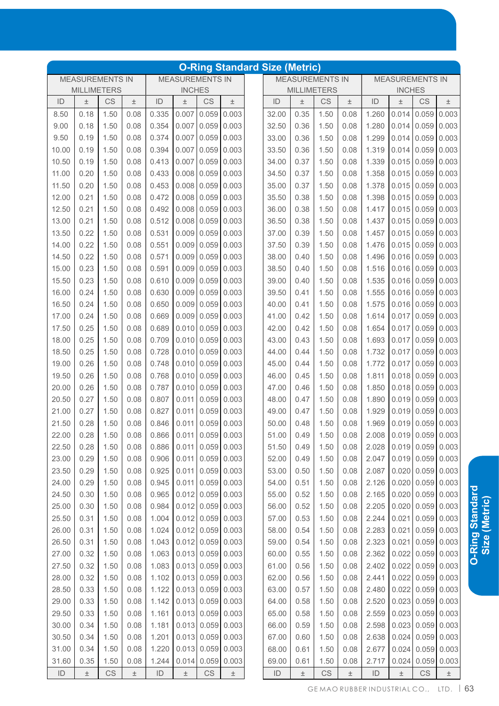|       |                    |                        |       |                               |                        |                               | <b>O-Ring Standard Size (Metric)</b> |       |       |                        |                                     |                           |                        |                               |               |
|-------|--------------------|------------------------|-------|-------------------------------|------------------------|-------------------------------|--------------------------------------|-------|-------|------------------------|-------------------------------------|---------------------------|------------------------|-------------------------------|---------------|
|       |                    | <b>MEASUREMENTS IN</b> |       |                               | <b>MEASUREMENTS IN</b> |                               |                                      |       |       | <b>MEASUREMENTS IN</b> |                                     |                           | <b>MEASUREMENTS IN</b> |                               |               |
|       | <b>MILLIMETERS</b> |                        |       |                               | <b>INCHES</b>          |                               |                                      |       |       | <b>MILLIMETERS</b>     |                                     |                           | <b>INCHES</b>          |                               |               |
| ID    | $\pm$              | CS                     | $\pm$ | ID                            | $\pm$                  | CS                            | $\pm$                                | ID    | 土     | CS                     | $\pm$                               | ID                        | 土                      | CS                            | $\pm$         |
| 8.50  | 0.18               | 1.50                   | 0.08  | 0.335                         | 0.007                  | 0.059                         | 0.003                                | 32.00 | 0.35  | 1.50                   | 0.08                                | 1.260                     | 0.014                  | 0.059                         | 0.003         |
| 9.00  | 0.18               | 1.50                   | 0.08  | 0.354                         | 0.007                  | 0.059                         | 0.003                                | 32.50 | 0.36  | 1.50                   | 0.08                                | 1.280                     | 0.014                  | 0.059                         | 0.003         |
| 9.50  | 0.19               | 1.50                   | 0.08  | 0.374                         | 0.007                  | 0.059                         | 0.003                                | 33.00 | 0.36  | 1.50                   | 0.08                                | 1.299                     | 0.014                  | 0.059                         | 0.003         |
| 10.00 | 0.19               | 1.50                   | 0.08  | 0.394                         | 0.007                  | 0.059                         | 0.003                                | 33.50 | 0.36  | 1.50                   | 0.08                                | 1.319                     | 0.014                  | 0.059                         | 0.003         |
| 10.50 | 0.19               | 1.50                   | 0.08  | 0.413                         | 0.007                  | 0.059                         | 0.003                                | 34.00 | 0.37  | 1.50                   | 0.08                                | 1.339                     | 0.015                  | 0.059                         | 0.003         |
| 11.00 | 0.20               | 1.50                   | 0.08  | 0.433                         | 0.008                  | 0.059                         | 0.003                                | 34.50 | 0.37  | 1.50                   | 0.08                                | 1.358                     | 0.015                  | 0.059                         | 0.003         |
| 11.50 | 0.20               | 1.50                   | 0.08  | 0.453                         | 0.008                  | 0.059                         | 0.003                                | 35.00 | 0.37  | 1.50                   | 0.08                                | 1.378                     | 0.015                  | 0.059                         | 0.003         |
| 12.00 | 0.21               | 1.50                   | 0.08  | 0.472                         | 0.008                  | 0.059                         | 0.003                                | 35.50 | 0.38  | 1.50                   | 0.08                                | 1.398                     | 0.015                  | 0.059                         | 0.003         |
| 12.50 | 0.21               | 1.50                   | 0.08  | 0.492                         | 0.008                  | 0.059                         | 0.003                                | 36.00 | 0.38  | 1.50                   | 0.08                                | 1.417                     | 0.015                  | 0.059                         | 0.003         |
| 13.00 | 0.21               | 1.50                   | 0.08  | 0.512                         | 0.008                  | 0.059                         | 0.003                                | 36.50 | 0.38  | 1.50                   | 0.08                                | 1.437                     | 0.015                  | 0.059                         | 0.003         |
| 13.50 | 0.22               | 1.50                   | 0.08  | 0.531                         | 0.009                  | 0.059                         | 0.003                                | 37.00 | 0.39  | 1.50                   | 0.08                                | 1.457                     | 0.015                  | 0.059                         | 0.003         |
| 14.00 | 0.22               | 1.50                   | 0.08  | 0.551                         | 0.009                  | 0.059                         | 0.003                                | 37.50 | 0.39  | 1.50                   | 0.08                                | 1.476                     | 0.015                  | 0.059                         | 0.003         |
| 14.50 | 0.22               | 1.50                   | 0.08  | 0.571                         | 0.009                  | 0.059                         | 0.003                                | 38.00 | 0.40  | 1.50                   | 0.08                                | 1.496                     | 0.016                  | 0.059                         | 0.003         |
| 15.00 | 0.23               | 1.50                   | 0.08  | 0.591                         | 0.009                  | 0.059                         | 0.003                                | 38.50 | 0.40  | 1.50                   | 0.08                                | 1.516                     | 0.016                  | 0.059                         | 0.003         |
| 15.50 | 0.23               | 1.50                   | 0.08  | 0.610                         | 0.009                  | 0.059                         | 0.003                                | 39.00 | 0.40  | 1.50                   | 0.08                                | 1.535                     | 0.016                  | 0.059                         | 0.003         |
| 16.00 | 0.24               | 1.50                   | 0.08  | 0.630                         | 0.009                  | 0.059                         | 0.003                                | 39.50 | 0.41  | 1.50                   | 0.08                                | 1.555                     | 0.016                  | 0.059                         | 0.003         |
| 16.50 | 0.24               | 1.50                   | 0.08  | 0.650                         | 0.009                  | 0.059                         | 0.003                                | 40.00 | 0.41  | 1.50                   | 0.08                                | 1.575                     | 0.016                  | 0.059                         | 0.003         |
| 17.00 | 0.24               | 1.50                   | 0.08  | 0.669                         | 0.009                  | 0.059                         | 0.003                                | 41.00 | 0.42  | 1.50                   | 0.08                                | 1.614                     | 0.017                  | 0.059                         | 0.003         |
| 17.50 | 0.25               | 1.50                   | 0.08  | 0.689                         | 0.010                  | 0.059                         | 0.003                                | 42.00 | 0.42  | 1.50                   | 0.08                                | 1.654                     | 0.017                  | 0.059                         | 0.003         |
| 18.00 | 0.25               | 1.50                   | 0.08  | 0.709                         | 0.010                  | 0.059                         | 0.003                                | 43.00 | 0.43  | 1.50                   | 0.08                                | 1.693                     | 0.017                  | 0.059                         | 0.003         |
| 18.50 | 0.25               | 1.50                   | 0.08  | 0.728                         | 0.010                  | 0.059                         | 0.003                                | 44.00 | 0.44  | 1.50                   | 0.08                                | 1.732                     | 0.017                  | 0.059                         | 0.003         |
| 19.00 | 0.26               | 1.50                   | 0.08  | 0.748                         | 0.010                  | 0.059                         | 0.003                                | 45.00 | 0.44  | 1.50                   | 0.08                                | 1.772                     | 0.017                  | 0.059                         | 0.003         |
| 19.50 | 0.26               | 1.50                   | 0.08  | 0.768                         | 0.010                  | 0.059                         | 0.003                                | 46.00 | 0.45  | 1.50                   | 0.08                                | 1.811                     | 0.018                  | 0.059                         | 0.003         |
| 20.00 | 0.26               | 1.50                   | 0.08  | 0.787                         | 0.010                  | 0.059                         | 0.003                                | 47.00 | 0.46  | 1.50                   | 0.08                                | 1.850                     | 0.018                  | 0.059                         | 0.003         |
| 20.50 | 0.27               | 1.50                   | 0.08  | 0.807                         | 0.011                  | 0.059                         | 0.003                                | 48.00 | 0.47  | 1.50                   | 0.08                                | 1.890                     | 0.019                  | 0.059                         | 0.003         |
| 21.00 | 0.27               | 1.50                   | 0.08  | 0.827                         | 0.011                  | 0.059                         | 0.003                                | 49.00 | 0.47  | 1.50                   | 0.08                                | 1.929                     | 0.019                  | 0.059                         | 0.003         |
| 21.50 | 0.28               | 1.50                   | 0.08  | 0.846                         | 0.011                  | 0.059                         | 0.003                                | 50.00 | 0.48  | 1.50                   | 0.08                                | 1.969                     | 0.019                  | 0.059                         | 0.003         |
| 22.00 | 0.28               | 1.50                   | 0.08  | $0.866$ $0.011$ $0.059$ 0.003 |                        |                               |                                      | 51.00 | 0.49  | 1.50                   | 0.08                                | $2.008$ 0.019 0.059 0.003 |                        |                               |               |
| 22.50 | 0.28               | 1.50                   | 0.08  | 0.886                         | 0.011                  | $0.059$ 0.003                 |                                      | 51.50 | 0.49  | 1.50                   | 0.08                                | 2.028                     |                        | $0.019$ 0.059 0.003           |               |
| 23.00 | 0.29               | 1.50                   | 0.08  | 0.906                         | 0.011                  |                               | $0.059$ 0.003                        | 52.00 | 0.49  | 1.50                   | 0.08                                | 2.047                     |                        | $0.019$ 0.059 0.003           |               |
| 23.50 | 0.29               | 1.50                   | 0.08  | 0.925                         | 0.011                  | 0.059                         | 0.003                                | 53.00 | 0.50  | 1.50                   | 0.08                                | 2.087                     |                        | $0.020$ 0.059 0.003           |               |
| 24.00 | 0.29               | 1.50                   | 0.08  | 0.945                         | 0.011                  |                               | $0.059$ 0.003                        | 54.00 | 0.51  | 1.50                   | 0.08                                | 2.126                     |                        | $0.020$ 0.059 0.003           |               |
| 24.50 | 0.30               | 1.50                   | 0.08  | 0.965                         |                        | $0.012$ 0.059 0.003           |                                      | 55.00 | 0.52  | 1.50                   | 0.08                                | 2.165                     |                        | $0.020 \mid 0.059 \mid 0.003$ |               |
| 25.00 | 0.30               | 1.50                   | 0.08  | 0.984                         |                        | $0.012$ 0.059                 | 0.003                                | 56.00 | 0.52  | 1.50                   | 0.08                                | 2.205                     | 0.020                  |                               | $0.059$ 0.003 |
| 25.50 | 0.31               | 1.50                   | 0.08  | 1.004                         |                        | $0.012$ 0.059 0.003           |                                      | 57.00 | 0.53  | 1.50                   | 0.08                                | 2.244                     | 0.021                  |                               | $0.059$ 0.003 |
| 26.00 | 0.31               | 1.50                   | 0.08  | 1.024                         |                        | $0.012$ 0.059 0.003           |                                      | 58.00 | 0.54  | 1.50                   | 0.08                                | 2.283                     | 0.021                  |                               | $0.059$ 0.003 |
| 26.50 | 0.31               | 1.50                   | 0.08  | 1.043                         | 0.012                  | $0.059$ 0.003                 |                                      | 59.00 | 0.54  | 1.50                   | 0.08                                | 2.323                     | 0.021                  |                               | $0.059$ 0.003 |
| 27.00 | 0.32               | 1.50                   | 0.08  | 1.063                         |                        | $0.013$ 0.059 0.003           |                                      | 60.00 | 0.55  | 1.50                   | 0.08                                | 2.362                     |                        | $0.022$ 0.059 0.003           |               |
| 27.50 | 0.32               | 1.50                   | 0.08  | 1.083                         |                        | $0.013 \mid 0.059 \mid 0.003$ |                                      | 61.00 | 0.56  | 1.50                   | 0.08                                | 2.402                     |                        | $0.022$ 0.059 0.003           |               |
| 28.00 | 0.32               | 1.50                   | 0.08  | 1.102                         | 0.013                  | 0.059                         | 0.003                                | 62.00 | 0.56  | 1.50                   | 0.08                                | 2.441                     |                        | $0.022$ 0.059 0.003           |               |
| 28.50 | 0.33               | 1.50                   | 0.08  | 1.122                         | 0.013                  | 0.059                         | 0.003                                | 63.00 | 0.57  | 1.50                   | 0.08                                | 2.480                     | 0.022                  |                               | $0.059$ 0.003 |
| 29.00 | 0.33               | 1.50                   | 0.08  | 1.142                         |                        | $0.013 \mid 0.059 \mid$       | 0.003                                | 64.00 | 0.58  | 1.50                   | 0.08                                | 2.520                     | 0.023                  |                               | $0.059$ 0.003 |
| 29.50 | 0.33               | 1.50                   | 0.08  | 1.161                         | 0.013                  |                               | $0.059$ 0.003                        | 65.00 | 0.58  | 1.50                   | 0.08                                | 2.559                     |                        | $0.023$ 0.059 0.003           |               |
| 30.00 | 0.34               | 1.50                   | 0.08  | 1.181                         | 0.013                  | 0.059                         | 0.003                                | 66.00 | 0.59  | 1.50                   | 0.08                                | 2.598                     |                        | $0.023$ 0.059 0.003           |               |
| 30.50 | 0.34               | 1.50                   | 0.08  | 1.201                         | 0.013                  | 0.059                         | 0.003                                | 67.00 | 0.60  | 1.50                   | 0.08                                | 2.638                     | 0.024                  |                               | $0.059$ 0.003 |
| 31.00 | 0.34               | 1.50                   | 0.08  | 1.220                         | 0.013                  | 0.059                         | 0.003                                | 68.00 | 0.61  | 1.50                   | 0.08                                | 2.677                     | 0.024                  |                               | $0.059$ 0.003 |
| 31.60 | 0.35               | 1.50                   | 0.08  | 1.244                         | 0.014                  | 0.059                         | 0.003                                | 69.00 | 0.61  | 1.50                   | 0.08                                | 2.717                     | 0.024                  | 0.059                         | 0.003         |
| ID    | $\pm$              | <b>CS</b>              | $\pm$ | ID                            | $\pm$                  | CS                            | $\pm$                                | ID    | $\pm$ | <b>CS</b>              | $\pm$                               | ID                        | $\pm$                  | CS                            | $\pm$         |
|       |                    |                        |       |                               |                        |                               |                                      |       |       |                        | GEMAORUBBERINDUSTRIALCO., LTD.   63 |                           |                        |                               |               |

**Size (Metric)**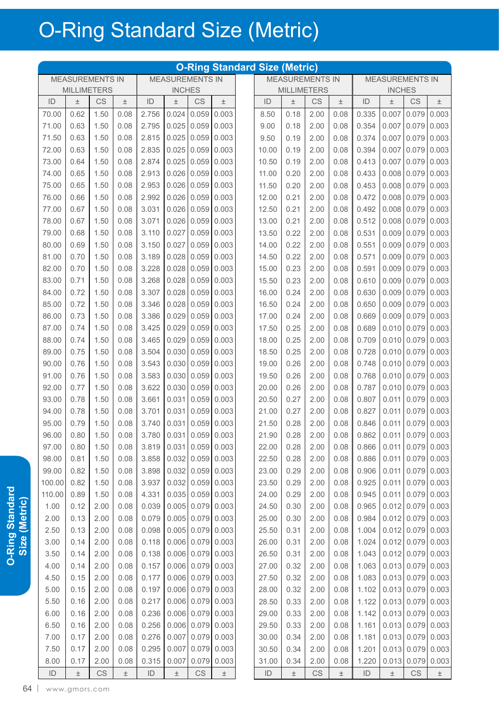|               |                        |                        |       |               |                         |                        |                     | <b>O-Ring Standard Size (Metric)</b> |       |                        |       |                           |                        |                        |               |
|---------------|------------------------|------------------------|-------|---------------|-------------------------|------------------------|---------------------|--------------------------------------|-------|------------------------|-------|---------------------------|------------------------|------------------------|---------------|
|               | <b>MEASUREMENTS IN</b> |                        |       |               | <b>MEASUREMENTS IN</b>  |                        |                     |                                      |       | <b>MEASUREMENTS IN</b> |       |                           | <b>MEASUREMENTS IN</b> |                        |               |
|               | <b>MILLIMETERS</b>     |                        |       |               | <b>INCHES</b>           |                        |                     |                                      |       | <b>MILLIMETERS</b>     |       |                           | <b>INCHES</b>          |                        |               |
| ID            | $\pm$                  | CS                     | 土     | ID            | 土                       | <b>CS</b>              | 土                   | ID                                   | $\pm$ | CS                     | $\pm$ | ID                        | 土                      | CS                     | $\pm$         |
| 70.00         | 0.62                   | 1.50                   | 0.08  | 2.756         | 0.024                   | 0.059                  | 0.003               | 8.50                                 | 0.18  | 2.00                   | 0.08  | 0.335                     | 0.007                  | 0.079                  | 0.003         |
| 71.00         | 0.63                   | 1.50                   | 0.08  | 2.795         | 0.025                   | 0.059                  | 0.003               | 9.00                                 | 0.18  | 2.00                   | 0.08  | 0.354                     | 0.007                  | 0.079                  | 0.003         |
| 71.50         | 0.63                   | 1.50                   | 0.08  | 2.815         | 0.025                   | 0.059                  | 0.003               | 9.50                                 | 0.19  | 2.00                   | 0.08  | 0.374                     | 0.007                  | 0.079                  | 0.003         |
| 72.00         | 0.63                   | 1.50                   | 0.08  | 2.835         | 0.025                   | 0.059                  | 0.003               | 10.00                                | 0.19  | 2.00                   | 0.08  | 0.394                     | 0.007                  | 0.079                  | 0.003         |
| 73.00         | 0.64                   | 1.50                   | 0.08  | 2.874         | 0.025                   | 0.059                  | 0.003               | 10.50                                | 0.19  | 2.00                   | 0.08  | 0.413                     | 0.007                  | 0.079                  | 0.003         |
| 74.00         | 0.65                   | 1.50                   | 0.08  | 2.913         | 0.026                   | 0.059                  | 0.003               | 11.00                                | 0.20  | 2.00                   | 0.08  | 0.433                     | 0.008                  | 0.079                  | 0.003         |
| 75.00         | 0.65                   | 1.50                   | 0.08  | 2.953         | 0.026                   | 0.059                  | 0.003               | 11.50                                | 0.20  | 2.00                   | 0.08  | 0.453                     | 0.008                  | 0.079                  | 0.003         |
| 76.00         | 0.66                   | 1.50                   | 0.08  | 2.992         | 0.026                   | 0.059                  | 0.003               | 12.00                                | 0.21  | 2.00                   | 0.08  | 0.472                     | 0.008                  | 0.079                  | 0.003         |
| 77.00         | 0.67                   | 1.50                   | 0.08  | 3.031         | 0.026                   | 0.059                  | 0.003               | 12.50                                | 0.21  | 2.00                   | 0.08  | 0.492                     | 0.008                  | 0.079                  | 0.003         |
| 78.00         | 0.67                   | 1.50                   | 0.08  | 3.071         | 0.026                   | 0.059                  | 0.003               | 13.00                                | 0.21  | 2.00                   | 0.08  | 0.512                     | 0.008                  | 0.079                  | 0.003         |
| 79.00         | 0.68                   | 1.50                   | 0.08  | 3.110         | 0.027                   | 0.059                  | 0.003               | 13.50                                | 0.22  | 2.00                   | 0.08  | 0.531                     | 0.009                  | 0.079                  | 0.003         |
| 80.00         | 0.69                   | 1.50                   | 0.08  | 3.150         | 0.027                   | 0.059                  | 0.003               | 14.00                                | 0.22  | 2.00                   | 0.08  | 0.551                     | 0.009                  | 0.079                  | 0.003         |
| 81.00         | 0.70                   | 1.50                   | 0.08  | 3.189         | 0.028                   | 0.059                  | 0.003               | 14.50                                | 0.22  | 2.00                   | 0.08  | 0.571                     | 0.009                  | 0.079                  | 0.003         |
| 82.00         | 0.70                   | 1.50                   | 0.08  | 3.228         | 0.028                   | 0.059                  | 0.003               | 15.00                                | 0.23  | 2.00                   | 0.08  | 0.591                     | 0.009                  | 0.079                  | 0.003         |
| 83.00         | 0.71                   | 1.50                   | 0.08  | 3.268         | 0.028                   | 0.059                  | 0.003               | 15.50                                | 0.23  | 2.00                   | 0.08  | 0.610                     | 0.009                  | 0.079                  | 0.003         |
| 84.00         | 0.72                   | 1.50                   | 0.08  | 3.307         | 0.028                   | 0.059                  | 0.003               | 16.00                                | 0.24  | 2.00                   | 0.08  | 0.630                     | 0.009                  | 0.079                  | 0.003         |
| 85.00         | 0.72                   | 1.50                   | 0.08  | 3.346         | 0.028                   | 0.059                  | 0.003               | 16.50                                | 0.24  | 2.00                   | 0.08  | 0.650                     | 0.009                  | 0.079                  | 0.003         |
| 86.00         | 0.73                   | 1.50                   | 0.08  | 3.386         | 0.029                   | 0.059                  | 0.003               | 17.00                                | 0.24  | 2.00                   | 0.08  | 0.669                     | 0.009                  | 0.079                  | 0.003         |
| 87.00         | 0.74                   | 1.50                   | 0.08  | 3.425         | 0.029                   | 0.059                  | 0.003               | 17.50                                | 0.25  | 2.00                   | 0.08  | 0.689                     | 0.010                  | 0.079                  | 0.003         |
| 88.00         | 0.74                   | 1.50                   | 0.08  | 3.465         | 0.029                   | 0.059                  | 0.003               | 18.00                                | 0.25  | 2.00                   | 0.08  | 0.709                     | 0.010                  | 0.079                  | 0.003         |
| 89.00         | 0.75                   | 1.50                   | 0.08  | 3.504         | 0.030                   | 0.059                  | 0.003               | 18.50                                | 0.25  | 2.00                   | 0.08  | 0.728                     | 0.010                  | 0.079                  | 0.003         |
| 90.00         | 0.76                   | 1.50                   | 0.08  | 3.543         | 0.030                   | 0.059                  | 0.003               | 19.00                                | 0.26  | 2.00                   | 0.08  | 0.748                     | 0.010                  | 0.079                  | 0.003         |
| 91.00         | 0.76                   | 1.50                   | 0.08  | 3.583         | 0.030                   | 0.059                  | 0.003               | 19.50                                | 0.26  | 2.00                   | 0.08  | 0.768                     | 0.010                  | 0.079                  | 0.003         |
| 92.00         | 0.77                   | 1.50                   | 0.08  | 3.622         | 0.030                   | 0.059                  | 0.003               | 20.00                                | 0.26  | 2.00                   | 0.08  | 0.787                     | 0.010                  |                        | $0.079$ 0.003 |
| 93.00         | 0.78                   | 1.50                   | 0.08  | 3.661         | 0.031                   | 0.059                  | 0.003               | 20.50                                | 0.27  | 2.00                   | 0.08  | 0.807                     | 0.011                  |                        | $0.079$ 0.003 |
| 94.00         | 0.78                   | 1.50                   | 0.08  | 3.701         | 0.031                   | 0.059                  | 0.003               | 21.00                                | 0.27  | 2.00                   | 0.08  | 0.827                     | 0.011                  | 0.079                  | 0.003         |
| 95.00         | 0.79                   | 1.50                   | 0.08  | 3.740         | 0.031                   | 0.059                  | 0.003               | 21.50                                | 0.28  | 2.00                   | 0.08  | 0.846                     | 0.011                  | 0.079                  | 0.003         |
| 96.00         | 0.80                   | 1.50                   | 0.08  |               | 3.780 0.031 0.059 0.003 |                        |                     | 21.90                                | 0.28  | 2.00                   | 0.08  | $0.862$ 0.011 0.079 0.003 |                        |                        |               |
| 97.00         | 0.80                   | 1.50                   | 0.08  | 3.819         |                         |                        | $0.031$ 0.059 0.003 | 22.00                                | 0.28  | 2.00                   | 0.08  | 0.866                     |                        | $0.011$ 0.079 0.003    |               |
| 98.00         | 0.81                   | 1.50                   | 0.08  | 3.858         |                         |                        | $0.032$ 0.059 0.003 | 22.50                                | 0.28  | 2.00                   | 0.08  | 0.886                     | 0.011                  |                        | $0.079$ 0.003 |
| 99.00         | 0.82                   | 1.50                   | 0.08  | 3.898         | 0.032                   |                        | $0.059$ 0.003       | 23.00                                | 0.29  | 2.00                   | 0.08  | 0.906                     | 0.011                  |                        | $0.079$ 0.003 |
| 100.00        | 0.82                   | 1.50                   | 0.08  | 3.937         |                         |                        | $0.032$ 0.059 0.003 | 23.50                                | 0.29  | 2.00                   | 0.08  | 0.925                     | 0.011                  |                        | $0.079$ 0.003 |
| 110.00        | 0.89                   | 1.50                   | 0.08  | 4.331         |                         |                        | $0.035$ 0.059 0.003 | 24.00                                | 0.29  | 2.00                   | 0.08  | 0.945                     | 0.011                  |                        | $0.079$ 0.003 |
| 1.00          | 0.12                   | 2.00                   | 0.08  | 0.039         | 0.005                   |                        | $0.079$ 0.003       | 24.50                                | 0.30  | 2.00                   | 0.08  | 0.965                     | 0.012                  |                        | $0.079$ 0.003 |
| 2.00          | 0.13                   | 2.00                   | 0.08  | 0.079         | 0.005                   |                        | $0.079$ 0.003       | 25.00                                | 0.30  | 2.00                   | 0.08  | 0.984                     |                        | $0.012$ 0.079 0.003    |               |
| 2.50          | 0.13                   | 2.00                   | 0.08  | 0.098         | 0.005                   |                        | $0.079$ 0.003       | 25.50                                | 0.31  | 2.00                   | 0.08  | 1.004                     |                        | $0.012$ 0.079 0.003    |               |
| 3.00          | 0.14                   | 2.00                   | 0.08  | 0.118         | 0.006                   |                        | $0.079$ 0.003       | 26.00                                | 0.31  | 2.00                   | 0.08  | 1.024                     |                        | $0.012$ 0.079 0.003    |               |
| 3.50          | 0.14                   | 2.00                   | 0.08  | 0.138         |                         |                        | $0.006$ 0.079 0.003 | 26.50                                | 0.31  | 2.00                   | 0.08  | 1.043                     |                        | 0.012 0.079 0.003      |               |
| 4.00          | 0.14                   | 2.00                   | 0.08  | 0.157         | 0.006                   |                        | $0.079$ 0.003       | 27.00                                | 0.32  | 2.00                   | 0.08  | 1.063                     |                        | $0.013$ 0.079 0.003    |               |
| 4.50          | 0.15                   | 2.00                   | 0.08  | 0.177         |                         |                        | $0.006$ 0.079 0.003 | 27.50                                | 0.32  | 2.00                   | 0.08  | 1.083                     |                        | 0.013 0.079 0.003      |               |
| 5.00          | 0.15                   | 2.00                   | 0.08  | 0.197         |                         |                        | 0.006 0.079 0.003   | 28.00                                | 0.32  | 2.00                   | 0.08  | 1.102                     |                        | $0.013$ 0.079 0.003    |               |
| 5.50          | 0.16                   | 2.00                   | 0.08  | 0.217         | 0.006                   |                        | $0.079$ 0.003       | 28.50                                | 0.33  | 2.00                   | 0.08  | 1.122                     |                        | $0.013$ 0.079 0.003    |               |
| 6.00          | 0.16                   | 2.00                   | 0.08  | 0.236         |                         |                        | 0.006 0.079 0.003   | 29.00                                | 0.33  | 2.00                   | 0.08  | 1.142                     |                        | $0.013$ 0.079 0.003    |               |
| 6.50          | 0.16                   | 2.00                   | 0.08  | 0.256         | 0.006                   |                        | $0.079$ 0.003       | 29.50                                | 0.33  | 2.00                   | 0.08  | 1.161                     |                        | $0.013$ 0.079 0.003    |               |
| 7.00          | 0.17                   | 2.00                   | 0.08  | 0.276         | 0.007                   | 0.079                  | 0.003               | 30.00                                | 0.34  | 2.00                   | 0.08  | 1.181                     |                        | 0.013 0.079 0.003      |               |
| 7.50          | 0.17                   | 2.00                   | 0.08  | 0.295         | 0.007                   |                        | $0.079$ 0.003       | 30.50                                | 0.34  | 2.00                   | 0.08  | 1.201                     |                        | 0.013 0.079 0.003      |               |
| 8.00          | 0.17                   | 2.00                   | 0.08  | 0.315         | 0.007                   |                        | $0.079$ 0.003       | 31.00                                | 0.34  | 2.00                   | 0.08  | 1.220                     |                        | $0.013$ 0.079 0.003    |               |
| $\mathsf{ID}$ | $\pm$                  | $\mathbb{C}\mathsf{S}$ | $\pm$ | $\mathsf{ID}$ | $\pm$                   | $\mathbb{C}\mathbb{S}$ | $\pm$               | $\mathsf{ID}$                        | $\pm$ | CS                     | $\pm$ | $\mathsf{ID}$             | $\pm$                  | $\mathbb{C}\mathsf{S}$ | $\pm$         |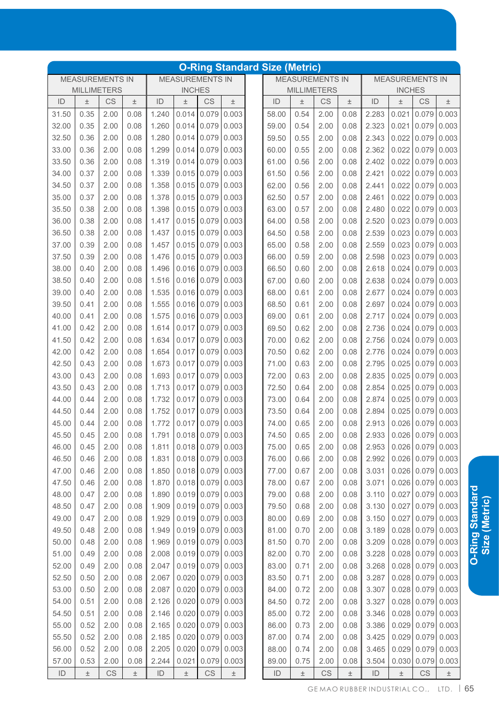|               |                                                                                         |           |       |       |       |                        |       | <b>O-Ring Standard Size (Metric)</b> |                        |      |       |       |               |                         |                         |
|---------------|-----------------------------------------------------------------------------------------|-----------|-------|-------|-------|------------------------|-------|--------------------------------------|------------------------|------|-------|-------|---------------|-------------------------|-------------------------|
|               | <b>MEASUREMENTS IN</b><br><b>MEASUREMENTS IN</b><br><b>MILLIMETERS</b><br><b>INCHES</b> |           |       |       |       |                        |       |                                      | <b>MEASUREMENTS IN</b> |      |       |       |               | <b>MEASUREMENTS IN</b>  |                         |
|               |                                                                                         |           |       |       |       |                        |       |                                      | <b>MILLIMETERS</b>     |      |       |       | <b>INCHES</b> |                         |                         |
| ID            | $\pm$                                                                                   | CS        | $\pm$ | ID    | 土     | CS                     | $\pm$ | ID                                   | $\pm$                  | CS   | $\pm$ | ID    | $\pm$         | CS                      | $\pm$                   |
| 31.50         | 0.35                                                                                    | 2.00      | 0.08  | 1.240 | 0.014 | 0.079                  | 0.003 | 58.00                                | 0.54                   | 2.00 | 0.08  | 2.283 | 0.021         | 0.079                   | 0.003                   |
| 32.00         | 0.35                                                                                    | 2.00      | 0.08  | 1.260 | 0.014 | 0.079                  | 0.003 | 59.00                                | 0.54                   | 2.00 | 0.08  | 2.323 | 0.021         | 0.079                   | 0.003                   |
| 32.50         | 0.36                                                                                    | 2.00      | 0.08  | 1.280 | 0.014 | 0.079                  | 0.003 | 59.50                                | 0.55                   | 2.00 | 0.08  | 2.343 |               | $0.022$ 0.079           | 0.003                   |
| 33.00         | 0.36                                                                                    | 2.00      | 0.08  | 1.299 | 0.014 | 0.079                  | 0.003 | 60.00                                | 0.55                   | 2.00 | 0.08  | 2.362 | 0.022         | 0.079                   | 0.003                   |
| 33.50         | 0.36                                                                                    | 2.00      | 0.08  | 1.319 | 0.014 | 0.079                  | 0.003 | 61.00                                | 0.56                   | 2.00 | 0.08  | 2.402 | 0.022         | 0.079                   | 0.003                   |
| 34.00         | 0.37                                                                                    | 2.00      | 0.08  | 1.339 | 0.015 | 0.079                  | 0.003 | 61.50                                | 0.56                   | 2.00 | 0.08  | 2.421 | 0.022         | 0.079                   | 0.003                   |
| 34.50         | 0.37                                                                                    | 2.00      | 0.08  | 1.358 | 0.015 | 0.079                  | 0.003 | 62.00                                | 0.56                   | 2.00 | 0.08  | 2.441 | 0.022         | 0.079                   | 0.003                   |
| 35.00         | 0.37                                                                                    | 2.00      | 0.08  | 1.378 | 0.015 | 0.079                  | 0.003 | 62.50                                | 0.57                   | 2.00 | 0.08  | 2.461 | 0.022         | 0.079                   | 0.003                   |
| 35.50         | 0.38                                                                                    | 2.00      | 0.08  | 1.398 | 0.015 | 0.079                  | 0.003 | 63.00                                | 0.57                   | 2.00 | 0.08  | 2.480 | 0.022         | 0.079                   | 0.003                   |
| 36.00         | 0.38                                                                                    | 2.00      | 0.08  | 1.417 | 0.015 | 0.079                  | 0.003 | 64.00                                | 0.58                   | 2.00 | 0.08  | 2.520 | 0.023         | 0.079                   | 0.003                   |
| 36.50         | 0.38                                                                                    | 2.00      | 0.08  | 1.437 | 0.015 | 0.079                  | 0.003 | 64.50                                | 0.58                   | 2.00 | 0.08  | 2.539 | 0.023         | 0.079                   | 0.003                   |
| 37.00         | 0.39                                                                                    | 2.00      | 0.08  | 1.457 | 0.015 | 0.079                  | 0.003 | 65.00                                | 0.58                   | 2.00 | 0.08  | 2.559 | 0.023         | 0.079                   | 0.003                   |
| 37.50         | 0.39                                                                                    | 2.00      | 0.08  | 1.476 | 0.015 | 0.079                  | 0.003 | 66.00                                | 0.59                   | 2.00 | 0.08  | 2.598 | 0.023         | 0.079                   | 0.003                   |
| 38.00         | 0.40                                                                                    | 2.00      | 0.08  | 1.496 | 0.016 | 0.079                  | 0.003 | 66.50                                | 0.60                   | 2.00 | 0.08  | 2.618 | 0.024         | 0.079                   | 0.003                   |
| 38.50         | 0.40                                                                                    | 2.00      | 0.08  | 1.516 | 0.016 | 0.079                  | 0.003 | 67.00                                | 0.60                   | 2.00 | 0.08  | 2.638 | 0.024         | 0.079                   | 0.003                   |
| 39.00         | 0.40                                                                                    | 2.00      | 0.08  | 1.535 | 0.016 | 0.079                  | 0.003 | 68.00                                | 0.61                   | 2.00 | 0.08  | 2.677 | 0.024         | 0.079                   | 0.003                   |
| 39.50         | 0.41                                                                                    | 2.00      | 0.08  | 1.555 | 0.016 | 0.079                  | 0.003 | 68.50                                | 0.61                   | 2.00 | 0.08  | 2.697 | 0.024         | 0.079                   | 0.003                   |
| 40.00         | 0.41                                                                                    | 2.00      | 0.08  | 1.575 | 0.016 | 0.079                  | 0.003 | 69.00                                | 0.61                   | 2.00 | 0.08  | 2.717 | 0.024         | 0.079                   | 0.003                   |
| 41.00         | 0.42                                                                                    | 2.00      | 0.08  | 1.614 | 0.017 | 0.079                  | 0.003 | 69.50                                | 0.62                   | 2.00 | 0.08  | 2.736 | 0.024         | 0.079                   | 0.003                   |
| 41.50         | 0.42                                                                                    | 2.00      | 0.08  | 1.634 | 0.017 | 0.079                  | 0.003 | 70.00                                | 0.62                   | 2.00 | 0.08  | 2.756 | 0.024         | 0.079                   | 0.003                   |
| 42.00         | 0.42                                                                                    | 2.00      | 0.08  | 1.654 | 0.017 | 0.079                  | 0.003 | 70.50                                | 0.62                   | 2.00 | 0.08  | 2.776 | 0.024         | 0.079                   | 0.003                   |
| 42.50         | 0.43                                                                                    | 2.00      | 0.08  | 1.673 | 0.017 | 0.079                  | 0.003 | 71.00                                | 0.63                   | 2.00 | 0.08  | 2.795 | 0.025         | 0.079                   | 0.003                   |
| 43.00         | 0.43                                                                                    | 2.00      | 0.08  | 1.693 | 0.017 | 0.079                  | 0.003 | 72.00                                | 0.63                   | 2.00 | 0.08  | 2.835 | 0.025         | 0.079                   | 0.003                   |
| 43.50         | 0.43                                                                                    | 2.00      | 0.08  | 1.713 | 0.017 | 0.079                  | 0.003 | 72.50                                | 0.64                   | 2.00 | 0.08  | 2.854 | 0.025         | 0.079                   | 0.003                   |
| 44.00         | 0.44                                                                                    | 2.00      | 0.08  | 1.732 | 0.017 | 0.079                  | 0.003 | 73.00                                | 0.64                   | 2.00 | 0.08  | 2.874 | 0.025         | 0.079                   | 0.003                   |
| 44.50         | 0.44                                                                                    | 2.00      | 0.08  | 1.752 | 0.017 | 0.079                  | 0.003 | 73.50                                | 0.64                   | 2.00 | 0.08  | 2.894 | 0.025         | 0.079                   | 0.003                   |
| 45.00         | 0.44                                                                                    | 2.00      | 0.08  | 1.772 | 0.017 | 0.079                  | 0.003 | 74.00                                | 0.65                   | 2.00 | 0.08  | 2.913 | 0.026         | 0.079                   | 0.003                   |
| 45.50         | 0.45                                                                                    | 2.00      | 0.08  | 1.791 |       | $0.018$ 0.079 0.003    |       | 74.50                                | 0.65                   | 2.00 | 0.08  |       |               |                         | 2.933 0.026 0.079 0.003 |
| 46.00         | 0.45                                                                                    | 2.00      | 0.08  | 1.811 |       | $0.018$ 0.079 0.003    |       | 75.00                                | 0.65                   | 2.00 | 0.08  | 2.953 |               | $0.026$ 0.079 0.003     |                         |
| 46.50         | 0.46                                                                                    | 2.00      | 0.08  | 1.831 |       | $0.018$ 0.079          | 0.003 | 76.00                                | 0.66                   | 2.00 | 0.08  | 2.992 |               | $0.026$ 0.079           | 0.003                   |
| 47.00         | 0.46                                                                                    | 2.00      | 0.08  | 1.850 |       | $0.018$ 0.079          | 0.003 | 77.00                                | 0.67                   | 2.00 | 0.08  | 3.031 |               | $0.026$ 0.079           | 0.003                   |
| 47.50         | 0.46                                                                                    | 2.00      | 0.08  | 1.870 |       | $0.018$ 0.079 0.003    |       | 78.00                                | 0.67                   | 2.00 | 0.08  | 3.071 |               | $0.026$ 0.079           | 0.003                   |
| 48.00         | 0.47                                                                                    | 2.00      | 0.08  | 1.890 |       | $0.019$ 0.079 0.003    |       | 79.00                                | 0.68                   | 2.00 | 0.08  | 3.110 |               | $0.027$ 0.079           | 0.003                   |
| 48.50         | 0.47                                                                                    | 2.00      | 0.08  | 1.909 |       | $0.019$ 0.079          | 0.003 | 79.50                                | 0.68                   | 2.00 | 0.08  | 3.130 | 0.027         | 0.079                   | 0.003                   |
| 49.00         | 0.47                                                                                    | 2.00      | 0.08  | 1.929 |       | $0.019$ 0.079          | 0.003 | 80.00                                | 0.69                   | 2.00 | 0.08  | 3.150 |               | $0.027$ 0.079           | 0.003                   |
| 49.50         | 0.48                                                                                    | 2.00      | 0.08  | 1.949 |       | $0.019$ 0.079          | 0.003 | 81.00                                | 0.70                   | 2.00 | 0.08  | 3.189 |               | 0.028   0.079           | 0.003                   |
| 50.00         | 0.48                                                                                    | 2.00      | 0.08  | 1.969 |       | $0.019$ 0.079          | 0.003 | 81.50                                | 0.70                   | 2.00 | 0.08  | 3.209 |               | $0.028 \mid 0.079 \mid$ | 0.003                   |
| 51.00         | 0.49                                                                                    | 2.00      | 0.08  | 2.008 |       | $0.019$ 0.079          | 0.003 | 82.00                                | 0.70                   | 2.00 | 0.08  | 3.228 |               | $0.028 \mid 0.079 \mid$ | 0.003                   |
| 52.00         | 0.49                                                                                    | 2.00      | 0.08  | 2.047 |       | $0.019$ 0.079          | 0.003 | 83.00                                | 0.71                   | 2.00 | 0.08  | 3.268 |               | $0.028$ 0.079           | 0.003                   |
| 52.50         | 0.50                                                                                    | 2.00      | 0.08  | 2.067 |       | 0.020   0.079          | 0.003 | 83.50                                | 0.71                   | 2.00 | 0.08  | 3.287 |               | $0.028$ 0.079           | 0.003                   |
| 53.00         | 0.50                                                                                    | 2.00      | 0.08  | 2.087 |       | 0.020   0.079          | 0.003 | 84.00                                | 0.72                   | 2.00 | 0.08  | 3.307 |               | $0.028$ 0.079           | 0.003                   |
| 54.00         | 0.51                                                                                    | 2.00      | 0.08  | 2.126 |       | 0.020   0.079          | 0.003 | 84.50                                | 0.72                   | 2.00 | 0.08  | 3.327 |               | $0.028$ 0.079           | 0.003                   |
| 54.50         | 0.51                                                                                    | 2.00      | 0.08  | 2.146 |       | 0.020   0.079          | 0.003 | 85.00                                | 0.72                   | 2.00 | 0.08  | 3.346 |               | $0.028$ 0.079           | 0.003                   |
| 55.00         | 0.52                                                                                    | 2.00      | 0.08  | 2.165 |       | 0.020   0.079          | 0.003 | 86.00                                | 0.73                   | 2.00 | 0.08  | 3.386 |               | $0.029$ 0.079           | 0.003                   |
| 55.50         | 0.52                                                                                    | 2.00      | 0.08  | 2.185 |       | 0.020   0.079          | 0.003 | 87.00                                | 0.74                   | 2.00 | 0.08  | 3.425 |               | $0.029$ 0.079           | 0.003                   |
| 56.00         | 0.52                                                                                    | 2.00      | 0.08  | 2.205 |       | 0.020   0.079          | 0.003 | 88.00                                | 0.74                   | 2.00 | 0.08  | 3.465 |               | $0.029$ 0.079           | 0.003                   |
| 57.00         | 0.53                                                                                    | 2.00      | 0.08  | 2.244 | 0.021 | 0.079                  | 0.003 | 89.00                                | 0.75                   | 2.00 | 0.08  | 3.504 | 0.030         | 0.079                   | 0.003                   |
| $\mathsf{ID}$ | $\pm$                                                                                   | <b>CS</b> | $\pm$ | ID    | $\pm$ | $\mathbb{C}\mathbb{S}$ | $\pm$ | $\mathsf{ID}$                        | $\pm$                  | CS   | $\pm$ | ID    | $\pm$         | CS                      | $\pm$                   |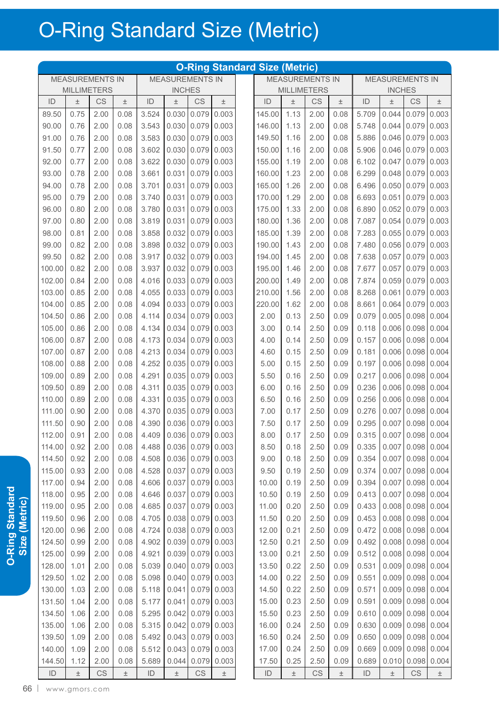|               |                                                                                         |      |       |               |       |                        |                       | <b>O-Ring Standard Size (Metric)</b> |                        |                    |       |                        |               |                     |               |
|---------------|-----------------------------------------------------------------------------------------|------|-------|---------------|-------|------------------------|-----------------------|--------------------------------------|------------------------|--------------------|-------|------------------------|---------------|---------------------|---------------|
|               | <b>MEASUREMENTS IN</b><br><b>MEASUREMENTS IN</b><br><b>MILLIMETERS</b><br><b>INCHES</b> |      |       |               |       |                        |                       |                                      | <b>MEASUREMENTS IN</b> |                    |       | <b>MEASUREMENTS IN</b> |               |                     |               |
|               |                                                                                         |      |       |               |       |                        |                       |                                      |                        | <b>MILLIMETERS</b> |       |                        | <b>INCHES</b> |                     |               |
| ID            | $\pm$                                                                                   | CS   | $\pm$ | ID            | $\pm$ | CS                     | $\pm$                 | ID                                   | $\pm$                  | CS                 | $\pm$ | ID                     | $\pm$         | <b>CS</b>           | $\pm$         |
| 89.50         | 0.75                                                                                    | 2.00 | 0.08  | 3.524         | 0.030 | 0.079                  | 0.003                 | 145.00                               | 1.13                   | 2.00               | 0.08  | 5.709                  | 0.044         | 0.079               | 0.003         |
| 90.00         | 0.76                                                                                    | 2.00 | 0.08  | 3.543         | 0.030 | 0.079                  | 0.003                 | 146.00                               | 1.13                   | 2.00               | 0.08  | 5.748                  | 0.044         | 0.079               | 0.003         |
| 91.00         | 0.76                                                                                    | 2.00 | 0.08  | 3.583         | 0.030 | 0.079                  | 0.003                 | 149.50                               | 1.16                   | 2.00               | 0.08  | 5.886                  | 0.046         | 0.079               | 0.003         |
| 91.50         | 0.77                                                                                    | 2.00 | 0.08  | 3.602         | 0.030 | 0.079                  | 0.003                 | 150.00                               | 1.16                   | 2.00               | 0.08  | 5.906                  | 0.046         | 0.079               | 0.003         |
| 92.00         | 0.77                                                                                    | 2.00 | 0.08  | 3.622         | 0.030 | 0.079                  | 0.003                 | 155.00                               | 1.19                   | 2.00               | 0.08  | 6.102                  | 0.047         | 0.079               | 0.003         |
| 93.00         | 0.78                                                                                    | 2.00 | 0.08  | 3.661         | 0.031 | 0.079                  | 0.003                 | 160.00                               | 1.23                   | 2.00               | 0.08  | 6.299                  | 0.048         | 0.079               | 0.003         |
| 94.00         | 0.78                                                                                    | 2.00 | 0.08  | 3.701         | 0.031 | 0.079                  | 0.003                 | 165.00                               | 1.26                   | 2.00               | 0.08  | 6.496                  | 0.050         | 0.079               | 0.003         |
| 95.00         | 0.79                                                                                    | 2.00 | 0.08  | 3.740         | 0.031 | 0.079                  | 0.003                 | 170.00                               | 1.29                   | 2.00               | 0.08  | 6.693                  | 0.051         | 0.079               | 0.003         |
| 96.00         | 0.80                                                                                    | 2.00 | 0.08  | 3.780         | 0.031 | 0.079                  | 0.003                 | 175.00                               | 1.33                   | 2.00               | 0.08  | 6.890                  | 0.052         | 0.079               | 0.003         |
| 97.00         | 0.80                                                                                    | 2.00 | 0.08  | 3.819         | 0.031 | 0.079                  | 0.003                 | 180.00                               | 1.36                   | 2.00               | 0.08  | 7.087                  | 0.054         | 0.079               | 0.003         |
| 98.00         | 0.81                                                                                    | 2.00 | 0.08  | 3.858         | 0.032 | 0.079                  | 0.003                 | 185.00                               | 1.39                   | 2.00               | 0.08  | 7.283                  | 0.055         | 0.079               | 0.003         |
| 99.00         | 0.82                                                                                    | 2.00 | 0.08  | 3.898         | 0.032 | 0.079                  | 0.003                 | 190.00                               | 1.43                   | 2.00               | 0.08  | 7.480                  | 0.056         | 0.079               | 0.003         |
| 99.50         | 0.82                                                                                    | 2.00 | 0.08  | 3.917         | 0.032 | 0.079                  | 0.003                 | 194.00                               | 1.45                   | 2.00               | 0.08  | 7.638                  | 0.057         | 0.079               | 0.003         |
| 100.00        | 0.82                                                                                    | 2.00 | 0.08  | 3.937         | 0.032 | 0.079                  | 0.003                 | 195.00                               | 1.46                   | 2.00               | 0.08  | 7.677                  | 0.057         | 0.079               | 0.003         |
| 102.00        | 0.84                                                                                    | 2.00 | 0.08  | 4.016         | 0.033 | 0.079                  | 0.003                 | 200.00                               | 1.49                   | 2.00               | 0.08  | 7.874                  | 0.059         | 0.079               | 0.003         |
| 103.00        | 0.85                                                                                    | 2.00 | 0.08  | 4.055         | 0.033 | 0.079                  | 0.003                 | 210.00                               | 1.56                   | 2.00               | 0.08  | 8.268                  | 0.061         | 0.079               | 0.003         |
| 104.00        | 0.85                                                                                    | 2.00 | 0.08  | 4.094         | 0.033 | 0.079                  | 0.003                 | 220.00                               | 1.62                   | 2.00               | 0.08  | 8.661                  | 0.064         | 0.079               | 0.003         |
| 104.50        | 0.86                                                                                    | 2.00 | 0.08  | 4.114         | 0.034 | 0.079                  | 0.003                 | 2.00                                 | 0.13                   | 2.50               | 0.09  | 0.079                  | 0.005         | 0.098               | 0.004         |
| 105.00        | 0.86                                                                                    | 2.00 | 0.08  | 4.134         | 0.034 | 0.079                  | 0.003                 | 3.00                                 | 0.14                   | 2.50               | 0.09  | 0.118                  | 0.006         | 0.098               | 0.004         |
| 106.00        | 0.87                                                                                    | 2.00 | 0.08  | 4.173         | 0.034 | 0.079                  | 0.003                 | 4.00                                 | 0.14                   | 2.50               | 0.09  | 0.157                  | 0.006         | 0.098               | 0.004         |
| 107.00        | 0.87                                                                                    | 2.00 | 0.08  | 4.213         | 0.034 | 0.079                  | 0.003                 | 4.60                                 | 0.15                   | 2.50               | 0.09  | 0.181                  | 0.006         | 0.098               | 0.004         |
| 108.00        | 0.88                                                                                    | 2.00 | 0.08  | 4.252         | 0.035 | 0.079                  | 0.003                 | 5.00                                 | 0.15                   | 2.50               | 0.09  | 0.197                  | 0.006         | 0.098               | 0.004         |
| 109.00        | 0.89                                                                                    | 2.00 | 0.08  | 4.291         | 0.035 | 0.079                  | 0.003                 | 5.50                                 | 0.16                   | 2.50               | 0.09  | 0.217                  | 0.006         | 0.098               | 0.004         |
| 109.50        | 0.89                                                                                    | 2.00 | 0.08  | 4.311         | 0.035 | 0.079                  | 0.003                 | 6.00                                 | 0.16                   | 2.50               | 0.09  | 0.236                  | 0.006         | 0.098               | 0.004         |
| 110.00        | 0.89                                                                                    | 2.00 | 0.08  | 4.331         | 0.035 | 0.079                  | 0.003                 | 6.50                                 | 0.16                   | 2.50               | 0.09  | 0.256                  | 0.006         | 0.098               | 0.004         |
| 111.00        | 0.90                                                                                    | 2.00 | 0.08  | 4.370         | 0.035 | 0.079                  | 0.003                 | 7.00                                 | 0.17                   | 2.50               | 0.09  | 0.276                  | 0.007         | 0.098               | 0.004         |
| 111.50        | 0.90                                                                                    | 2.00 | 0.08  | 4.390         | 0.036 | 0.079                  | 0.003                 | 7.50                                 | 0.17                   | 2.50               | 0.09  | 0.295                  | 0.007         | 0.098               | 0.004         |
| 112.00        | 0.91                                                                                    | 2.00 | 0.08  | 4.409         |       |                        | 0.036   0.079   0.003 | 8.00                                 | 0.17                   | 2.50               | 0.09  | 0.315                  |               | $0.007$ 0.098 0.004 |               |
| 114.00        | 0.92                                                                                    | 2.00 | 0.08  | 4.488         |       |                        | $0.036$ 0.079 0.003   | 8.50                                 | 0.18                   | 2.50               | 0.09  | 0.335                  | 0.007         |                     | 0.098   0.004 |
| 114.50        | 0.92                                                                                    | 2.00 | 0.08  | 4.508         | 0.036 |                        | 0.079 0.003           | 9.00                                 | 0.18                   | 2.50               | 0.09  | 0.354                  | 0.007         |                     | 0.098   0.004 |
| 115.00        | 0.93                                                                                    | 2.00 | 0.08  | 4.528         | 0.037 |                        | $0.079$ 0.003         | 9.50                                 | 0.19                   | 2.50               | 0.09  | 0.374                  | 0.007         |                     | 0.098   0.004 |
| 117.00        | 0.94                                                                                    | 2.00 | 0.08  | 4.606         | 0.037 |                        | $0.079$ 0.003         | 10.00                                | 0.19                   | 2.50               | 0.09  | 0.394                  | 0.007         |                     | 0.098   0.004 |
| 118.00        | 0.95                                                                                    | 2.00 | 0.08  | 4.646         | 0.037 |                        | $0.079$ 0.003         | 10.50                                | 0.19                   | 2.50               | 0.09  | 0.413                  | 0.007         |                     | 0.098   0.004 |
| 119.00        | 0.95                                                                                    | 2.00 | 0.08  | 4.685         | 0.037 |                        | $0.079$ 0.003         | 11.00                                | 0.20                   | 2.50               | 0.09  | 0.433                  | 0.008         |                     | 0.098   0.004 |
| 119.50        | 0.96                                                                                    | 2.00 | 0.08  | 4.705         | 0.038 | 0.079                  | 0.003                 | 11.50                                | 0.20                   | 2.50               | 0.09  | 0.453                  |               | $0.008$ 0.098 0.004 |               |
| 120.00        | 0.96                                                                                    | 2.00 | 0.08  | 4.724         | 0.038 | 0.079                  | 0.003                 | 12.00                                | 0.21                   | 2.50               | 0.09  | 0.472                  | 0.008         |                     | 0.098   0.004 |
| 124.50        | 0.99                                                                                    | 2.00 | 0.08  | 4.902         | 0.039 |                        | $0.079$ 0.003         | 12.50                                | 0.21                   | 2.50               | 0.09  | 0.492                  | 0.008         | 0.098               | 0.004         |
| 125.00        | 0.99                                                                                    | 2.00 | 0.08  | 4.921         | 0.039 |                        | $0.079$ 0.003         | 13.00                                | 0.21                   | 2.50               | 0.09  | 0.512                  |               | $0.008$ 0.098 0.004 |               |
| 128.00        | 1.01                                                                                    | 2.00 | 0.08  | 5.039         | 0.040 | 0.079                  | 0.003                 | 13.50                                | 0.22                   | 2.50               | 0.09  | 0.531                  | 0.009         | 0.098               | 0.004         |
| 129.50        | 1.02                                                                                    | 2.00 | 0.08  | 5.098         | 0.040 | 0.079                  | 0.003                 | 14.00                                | 0.22                   | 2.50               | 0.09  | 0.551                  | 0.009         | 0.098               | 0.004         |
| 130.00        | 1.03                                                                                    | 2.00 | 0.08  | 5.118         | 0.041 |                        | $0.079$ 0.003         | 14.50                                | 0.22                   | 2.50               | 0.09  | 0.571                  |               | $0.009$ 0.098 0.004 |               |
| 131.50        | 1.04                                                                                    | 2.00 | 0.08  | 5.177         | 0.041 |                        | $0.079$ 0.003         | 15.00                                | 0.23                   | 2.50               | 0.09  | 0.591                  | 0.009         | 0.098               | 0.004         |
| 134.50        | 1.06                                                                                    | 2.00 | 0.08  | 5.295         | 0.042 |                        | $0.079$ 0.003         | 15.50                                | 0.23                   | 2.50               | 0.09  | 0.610                  | 0.009         |                     | 0.098   0.004 |
| 135.00        | 1.06                                                                                    | 2.00 | 0.08  | 5.315         | 0.042 | 0.079                  | 0.003                 | 16.00                                | 0.24                   | 2.50               | 0.09  | 0.630                  | 0.009         |                     | 0.098   0.004 |
| 139.50        | 1.09                                                                                    | 2.00 | 0.08  | 5.492         | 0.043 | 0.079                  | 0.003                 | 16.50                                | 0.24                   | 2.50               | 0.09  | 0.650                  | 0.009         | 0.098               | 0.004         |
| 140.00        | 1.09                                                                                    | 2.00 | 0.08  | 5.512         | 0.043 | 0.079                  | 0.003                 | 17.00                                | 0.24                   | 2.50               | 0.09  | 0.669                  | 0.009         | 0.098               | 0.004         |
| 144.50        | 1.12                                                                                    | 2.00 | 0.08  | 5.689         | 0.044 | 0.079                  | 0.003                 | 17.50                                | 0.25                   | 2.50               | 0.09  | 0.689                  | 0.010         | 0.098               | 0.004         |
| $\mathsf{ID}$ | $\pm$                                                                                   | CS   | $\pm$ | $\mathsf{ID}$ | $\pm$ | $\mathbb{C}\mathbb{S}$ | $\pm$                 | $\mathsf{ID}$                        | $\pm$                  | CS                 | $\pm$ | $\mathsf{ID}$          | $\pm$         | CS                  | $\pm$         |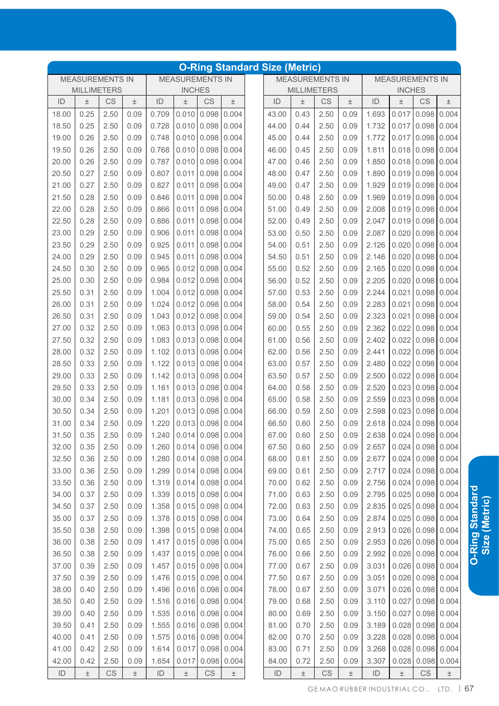|               |                                                                                         |                        |       |       |               |                        |                     | <b>O-Ring Standard Size (Metric)</b> |                    |                        |       |               |                         |                     |                   |
|---------------|-----------------------------------------------------------------------------------------|------------------------|-------|-------|---------------|------------------------|---------------------|--------------------------------------|--------------------|------------------------|-------|---------------|-------------------------|---------------------|-------------------|
|               | <b>MEASUREMENTS IN</b><br><b>MEASUREMENTS IN</b><br><b>MILLIMETERS</b><br><b>INCHES</b> |                        |       |       |               |                        |                     |                                      |                    | <b>MEASUREMENTS IN</b> |       |               | <b>MEASUREMENTS IN</b>  |                     |                   |
|               |                                                                                         |                        |       |       |               |                        |                     |                                      | <b>MILLIMETERS</b> |                        |       |               | <b>INCHES</b>           |                     |                   |
| ID            | $\pm$                                                                                   | CS                     | 土     | ID    | 土             | CS                     | $\pm$               | ID                                   | Ŧ                  | CS                     | $\pm$ | ID            | 土                       | CS                  | $\pm$             |
| 18.00         | 0.25                                                                                    | 2.50                   | 0.09  | 0.709 | 0.010         | 0.098                  | 0.004               | 43.00                                | 0.43               | 2.50                   | 0.09  | 1.693         | 0.017                   | 0.098               | 0.004             |
| 18.50         | 0.25                                                                                    | 2.50                   | 0.09  | 0.728 | 0.010         | 0.098                  | 0.004               | 44.00                                | 0.44               | 2.50                   | 0.09  | 1.732         | 0.017                   | 0.098               | 0.004             |
| 19.00         | 0.26                                                                                    | 2.50                   | 0.09  | 0.748 | 0.010         | 0.098                  | 0.004               | 45.00                                | 0.44               | 2.50                   | 0.09  | 1.772         | 0.017                   | 0.098               | 0.004             |
| 19.50         | 0.26                                                                                    | 2.50                   | 0.09  | 0.768 | 0.010         | 0.098                  | 0.004               | 46.00                                | 0.45               | 2.50                   | 0.09  | 1.811         | 0.018                   | 0.098               | 0.004             |
| 20.00         | 0.26                                                                                    | 2.50                   | 0.09  | 0.787 | 0.010         | 0.098                  | 0.004               | 47.00                                | 0.46               | 2.50                   | 0.09  | 1.850         | 0.018                   | 0.098               | 0.004             |
| 20.50         | 0.27                                                                                    | 2.50                   | 0.09  | 0.807 | 0.011         | 0.098                  | 0.004               | 48.00                                | 0.47               | 2.50                   | 0.09  | 1.890         | 0.019                   | 0.098               | 0.004             |
| 21.00         | 0.27                                                                                    | 2.50                   | 0.09  | 0.827 | 0.011         | 0.098                  | 0.004               | 49.00                                | 0.47               | 2.50                   | 0.09  | 1.929         | 0.019                   | 0.098               | 0.004             |
| 21.50         | 0.28                                                                                    | 2.50                   | 0.09  | 0.846 | 0.011         | 0.098                  | 0.004               | 50.00                                | 0.48               | 2.50                   | 0.09  | 1.969         | 0.019                   | 0.098               | 0.004             |
| 22.00         | 0.28                                                                                    | 2.50                   | 0.09  | 0.866 | 0.011         | 0.098                  | 0.004               | 51.00                                | 0.49               | 2.50                   | 0.09  | 2.008         | 0.019                   | 0.098               | 0.004             |
| 22.50         | 0.28                                                                                    | 2.50                   | 0.09  | 0.886 | 0.011         | 0.098                  | 0.004               | 52.00                                | 0.49               | 2.50                   | 0.09  | 2.047         | 0.019                   | 0.098               | 0.004             |
| 23.00         | 0.29                                                                                    | 2.50                   | 0.09  | 0.906 | 0.011         | 0.098                  | 0.004               | 53.00                                | 0.50               | 2.50                   | 0.09  | 2.087         | 0.020                   | 0.098               | 0.004             |
| 23.50         | 0.29                                                                                    | 2.50                   | 0.09  | 0.925 | 0.011         | 0.098                  | 0.004               | 54.00                                | 0.51               | 2.50                   | 0.09  | 2.126         | 0.020                   | 0.098               | 0.004             |
| 24.00         | 0.29                                                                                    | 2.50                   | 0.09  | 0.945 | 0.011         | 0.098                  | 0.004               | 54.50                                | 0.51               | 2.50                   | 0.09  | 2.146         | 0.020                   | 0.098               | 0.004             |
| 24.50         | 0.30                                                                                    | 2.50                   | 0.09  | 0.965 | 0.012         | 0.098                  | 0.004               | 55.00                                | 0.52               | 2.50                   | 0.09  | 2.165         | 0.020                   | 0.098               | 0.004             |
| 25.00         | 0.30                                                                                    | 2.50                   | 0.09  | 0.984 | 0.012         | 0.098                  | 0.004               | 56.00                                | 0.52               | 2.50                   | 0.09  | 2.205         | 0.020                   | 0.098               | 0.004             |
| 25.50         | 0.31                                                                                    | 2.50                   | 0.09  | 1.004 | $0.012$ 0.098 |                        | 0.004               | 57.00                                | 0.53               | 2.50                   | 0.09  | 2.244         | 0.021                   | 0.098               | 0.004             |
| 26.00         | 0.31                                                                                    | 2.50                   | 0.09  | 1.024 | 0.012         | 0.098                  | 0.004               | 58.00                                | 0.54               | 2.50                   | 0.09  | 2.283         | 0.021                   | 0.098               | 0.004             |
| 26.50         | 0.31                                                                                    | 2.50                   | 0.09  | 1.043 | 0.012         | 0.098                  | 0.004               | 59.00                                | 0.54               | 2.50                   | 0.09  | 2.323         | 0.021                   | 0.098               | 0.004             |
| 27.00         | 0.32                                                                                    | 2.50                   | 0.09  | 1.063 | 0.013         | 0.098                  | 0.004               | 60.00                                | 0.55               | 2.50                   | 0.09  | 2.362         | 0.022                   | 0.098               | 0.004             |
| 27.50         | 0.32                                                                                    | 2.50                   | 0.09  | 1.083 | 0.013         | 0.098                  | 0.004               | 61.00                                | 0.56               | 2.50                   | 0.09  | 2.402         | 0.022                   | 0.098               | 0.004             |
| 28.00         | 0.32                                                                                    | 2.50                   | 0.09  | 1.102 | 0.013         | 0.098                  | 0.004               | 62.00                                | 0.56               | 2.50                   | 0.09  | 2.441         | 0.022                   | 0.098               | 0.004             |
| 28.50         | 0.33                                                                                    | 2.50                   | 0.09  | 1.122 | 0.013         | 0.098                  | 0.004               | 63.00                                | 0.57               | 2.50                   | 0.09  | 2.480         | 0.022                   | 0.098               | 0.004             |
| 29.00         | 0.33                                                                                    | 2.50                   | 0.09  | 1.142 | 0.013         | 0.098                  | 0.004               | 63.50                                | 0.57               | 2.50                   | 0.09  | 2.500         | 0.022                   | 0.098               | 0.004             |
| 29.50         | 0.33                                                                                    | 2.50                   | 0.09  | 1.161 | 0.013         | 0.098                  | 0.004               | 64.00                                | 0.58               | 2.50                   | 0.09  | 2.520         | 0.023                   | 0.098               | 0.004             |
| 30.00         | 0.34                                                                                    | 2.50                   | 0.09  | 1.181 | 0.013         | 0.098                  | 0.004               | 65.00                                | 0.58               | 2.50                   | 0.09  | 2.559         | 0.023                   | 0.098               | 0.004             |
| 30.50         | 0.34                                                                                    | 2.50                   | 0.09  | 1.201 | 0.013         | 0.098                  | 0.004               | 66.00                                | 0.59               | 2.50                   | 0.09  | 2.598         | 0.023                   | 0.098               | 0.004             |
| 31.00         | 0.34                                                                                    | 2.50                   | 0.09  | 1.220 | 0.013         | 0.098                  | 0.004               | 66.50                                | 0.60               | 2.50                   | 0.09  | 2.618         | 0.024                   | 0.098               | 0.004             |
| 31.50         | 0.35                                                                                    | 2.50                   | 0.09  | 1.240 |               | $0.014$ 0.098 0.004    |                     | 67.00                                | 0.60               | 2.50                   | 0.09  |               | 2.638 0.024 0.098 0.004 |                     |                   |
| 32.00         | 0.35                                                                                    | 2.50                   | 0.09  | 1.260 |               |                        | $0.014$ 0.098 0.004 | 67.50                                | 0.60               | 2.50                   | 0.09  | 2.657         |                         |                     | 0.024 0.098 0.004 |
| 32.50         | 0.36                                                                                    | 2.50                   | 0.09  | 1.280 |               | $0.014$ 0.098          | 0.004               | 68.00                                | 0.61               | 2.50                   | 0.09  | 2.677         |                         | $0.024$ 0.098       | 0.004             |
| 33.00         | 0.36                                                                                    | 2.50                   | 0.09  | 1.299 |               | $0.014$ 0.098          | 0.004               | 69.00                                | 0.61               | 2.50                   | 0.09  | 2.717         |                         | $0.024$ 0.098 0.004 |                   |
| 33.50         | 0.36                                                                                    | 2.50                   | 0.09  | 1.319 |               | $0.014$ 0.098 0.004    |                     | 70.00                                | 0.62               | 2.50                   | 0.09  | 2.756         |                         | $0.024$ 0.098 0.004 |                   |
| 34.00         | 0.37                                                                                    | 2.50                   | 0.09  | 1.339 |               | $0.015$ 0.098 0.004    |                     | 71.00                                | 0.63               | 2.50                   | 0.09  | 2.795         |                         | $0.025$ 0.098       | 0.004             |
| 34.50         | 0.37                                                                                    | 2.50                   | 0.09  | 1.358 |               | $0.015$ 0.098          | 0.004               | 72.00                                | 0.63               | 2.50                   | 0.09  | 2.835         | 0.025                   | 0.098               | 0.004             |
| 35.00         | 0.37                                                                                    | 2.50                   | 0.09  | 1.378 |               | $0.015$ 0.098          | 0.004               | 73.00                                | 0.64               | 2.50                   | 0.09  | 2.874         |                         | $0.025$ 0.098       | 0.004             |
| 35.50         | 0.38                                                                                    | 2.50                   | 0.09  | 1.398 |               | $0.015$ 0.098          | 0.004               | 74.00                                | 0.65               | 2.50                   | 0.09  | 2.913         |                         | $0.026$ 0.098       | 0.004             |
| 36.00         | 0.38                                                                                    | 2.50                   | 0.09  | 1.417 |               | $0.015$ 0.098          | 0.004               | 75.00                                | 0.65               | 2.50                   | 0.09  | 2.953         |                         | $0.026$ 0.098       | 0.004             |
| 36.50         | 0.38                                                                                    | 2.50                   | 0.09  | 1.437 |               | $0.015$ 0.098          | 0.004               | 76.00                                | 0.66               | 2.50                   | 0.09  | 2.992         |                         | $0.026$ 0.098       | 0.004             |
| 37.00         | 0.39                                                                                    | 2.50                   | 0.09  | 1.457 |               | $0.015$ 0.098          | 0.004               | 77.00                                | 0.67               | 2.50                   | 0.09  | 3.031         | 0.026                   | 0.098               | 0.004             |
| 37.50         | 0.39                                                                                    | 2.50                   | 0.09  | 1.476 |               | $0.015$ 0.098          | 0.004               | 77.50                                | 0.67               | 2.50                   | 0.09  | 3.051         | 0.026                   | 0.098               | 0.004             |
| 38.00         | 0.40                                                                                    | 2.50                   | 0.09  | 1.496 |               | $0.016$ 0.098          | 0.004               | 78.00                                | 0.67               | 2.50                   | 0.09  | 3.071         |                         | $0.026$ 0.098       | 0.004             |
| 38.50         | 0.40                                                                                    | 2.50                   | 0.09  | 1.516 |               | $0.016$ 0.098          | 0.004               | 79.00                                | 0.68               | 2.50                   | 0.09  | 3.110         |                         | $0.027$ 0.098       | 0.004             |
| 39.00         | 0.40                                                                                    | 2.50                   | 0.09  | 1.535 |               | $0.016$ 0.098          | 0.004               | 80.00                                | 0.69               | 2.50                   | 0.09  | 3.150         |                         | $0.027$ 0.098       | 0.004             |
| 39.50         | 0.41                                                                                    | 2.50                   | 0.09  | 1.555 |               | $0.016$ 0.098          | 0.004               | 81.00                                | 0.70               | 2.50                   | 0.09  | 3.189         | 0.028                   | 0.098               | 0.004             |
| 40.00         | 0.41                                                                                    | 2.50                   | 0.09  | 1.575 |               | $0.016$ 0.098          | 0.004               | 82.00                                | 0.70               | 2.50                   | 0.09  | 3.228         | 0.028                   | 0.098               | 0.004             |
| 41.00         | 0.42                                                                                    | 2.50                   | 0.09  | 1.614 |               | $0.017$ 0.098          | 0.004               | 83.00                                | 0.71               | 2.50                   | 0.09  | 3.268         | 0.028                   | 0.098               | 0.004             |
| 42.00         | 0.42                                                                                    | 2.50                   | 0.09  | 1.654 | 0.017         | 0.098                  | 0.004               | 84.00                                | 0.72               | 2.50                   | 0.09  | 3.307         | 0.028                   | 0.098               | 0.004             |
| $\mathsf{ID}$ | $\pm$                                                                                   | $\mathbb{C}\mathbb{S}$ | $\pm$ | ID    | $\pm$         | $\mathbb{C}\mathbb{S}$ | $\pm$               | $\mathsf{ID}$                        | $\pm$              | CS                     | $\pm$ | $\mathsf{ID}$ | $\pm$                   | CS                  | $\pm$             |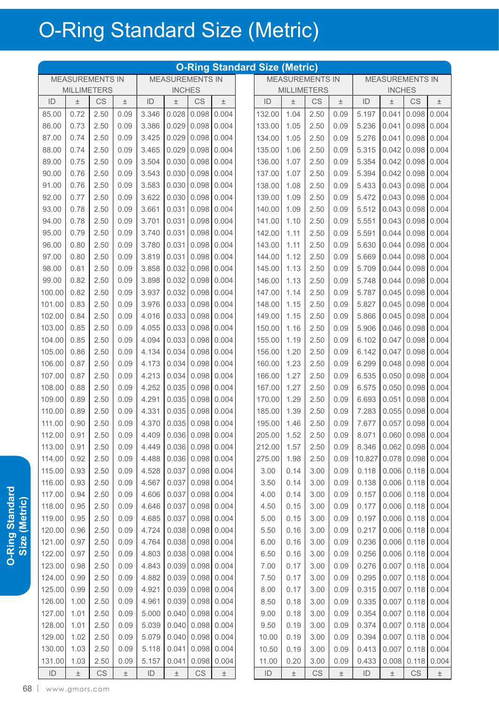|               |                                                                                         |                        |       |               |       |                     |       | <b>O-Ring Standard Size (Metric)</b> |       |                    |                        |               |               |                     |             |
|---------------|-----------------------------------------------------------------------------------------|------------------------|-------|---------------|-------|---------------------|-------|--------------------------------------|-------|--------------------|------------------------|---------------|---------------|---------------------|-------------|
|               | <b>MEASUREMENTS IN</b><br><b>MEASUREMENTS IN</b><br><b>MILLIMETERS</b><br><b>INCHES</b> |                        |       |               |       |                     |       | <b>MEASUREMENTS IN</b>               |       |                    | <b>MEASUREMENTS IN</b> |               |               |                     |             |
|               |                                                                                         |                        |       |               |       |                     |       |                                      |       | <b>MILLIMETERS</b> |                        |               | <b>INCHES</b> |                     |             |
| ID            | $\pm$                                                                                   | CS                     | $\pm$ | ID            | Ŧ     | <b>CS</b>           | $\pm$ | ID                                   | 土     | CS                 | $\pm$                  | ID            | $\pm$         | <b>CS</b>           | $\pm$       |
| 85.00         | 0.72                                                                                    | 2.50                   | 0.09  | 3.346         | 0.028 | 0.098               | 0.004 | 132.00                               | 1.04  | 2.50               | 0.09                   | 5.197         | 0.041         | 0.098               | 0.004       |
| 86.00         | 0.73                                                                                    | 2.50                   | 0.09  | 3.386         | 0.029 | 0.098               | 0.004 | 133.00                               | 1.05  | 2.50               | 0.09                   | 5.236         | 0.041         | 0.098               | 0.004       |
| 87.00         | 0.74                                                                                    | 2.50                   | 0.09  | 3.425         | 0.029 | 0.098               | 0.004 | 134.00                               | 1.05  | 2.50               | 0.09                   | 5.276         | 0.041         | 0.098               | 0.004       |
| 88.00         | 0.74                                                                                    | 2.50                   | 0.09  | 3.465         | 0.029 | 0.098               | 0.004 | 135.00                               | 1.06  | 2.50               | 0.09                   | 5.315         | 0.042         | 0.098               | 0.004       |
| 89.00         | 0.75                                                                                    | 2.50                   | 0.09  | 3.504         | 0.030 | 0.098               | 0.004 | 136.00                               | 1.07  | 2.50               | 0.09                   | 5.354         | 0.042         | 0.098               | 0.004       |
| 90.00         | 0.76                                                                                    | 2.50                   | 0.09  | 3.543         | 0.030 | 0.098               | 0.004 | 137.00                               | 1.07  | 2.50               | 0.09                   | 5.394         | 0.042         | 0.098               | 0.004       |
| 91.00         | 0.76                                                                                    | 2.50                   | 0.09  | 3.583         | 0.030 | 0.098               | 0.004 | 138.00                               | 1.08  | 2.50               | 0.09                   | 5.433         | 0.043         | 0.098               | 0.004       |
| 92.00         | 0.77                                                                                    | 2.50                   | 0.09  | 3.622         | 0.030 | 0.098               | 0.004 | 139.00                               | 1.09  | 2.50               | 0.09                   | 5.472         | 0.043         | 0.098               | 0.004       |
| 93.00         | 0.78                                                                                    | 2.50                   | 0.09  | 3.661         | 0.031 | 0.098               | 0.004 | 140.00                               | 1.09  | 2.50               | 0.09                   | 5.512         | 0.043         | 0.098               | 0.004       |
| 94.00         | 0.78                                                                                    | 2.50                   | 0.09  | 3.701         | 0.031 | 0.098               | 0.004 | 141.00                               | 1.10  | 2.50               | 0.09                   | 5.551         | 0.043         | 0.098               | 0.004       |
| 95.00         | 0.79                                                                                    | 2.50                   | 0.09  | 3.740         | 0.031 | 0.098               | 0.004 | 142.00                               | 1.11  | 2.50               | 0.09                   | 5.591         | 0.044         | 0.098               | 0.004       |
| 96.00         | 0.80                                                                                    | 2.50                   | 0.09  | 3.780         | 0.031 | 0.098               | 0.004 | 143.00                               | 1.11  | 2.50               | 0.09                   | 5.630         | 0.044         | 0.098               | 0.004       |
| 97.00         | 0.80                                                                                    | 2.50                   | 0.09  | 3.819         | 0.031 | 0.098               | 0.004 | 144.00                               | 1.12  | 2.50               | 0.09                   | 5.669         | 0.044         | 0.098               | 0.004       |
| 98.00         | 0.81                                                                                    | 2.50                   | 0.09  | 3.858         | 0.032 | 0.098               | 0.004 | 145.00                               | 1.13  | 2.50               | 0.09                   | 5.709         | 0.044         | 0.098               | 0.004       |
| 99.00         | 0.82                                                                                    | 2.50                   | 0.09  | 3.898         | 0.032 | 0.098               | 0.004 | 146.00                               | 1.13  | 2.50               | 0.09                   | 5.748         | 0.044         | 0.098               | 0.004       |
| 100.00        | 0.82                                                                                    | 2.50                   | 0.09  | 3.937         | 0.032 | 0.098               | 0.004 | 147.00                               | 1.14  | 2.50               | 0.09                   | 5.787         | 0.045         | 0.098               | 0.004       |
| 101.00        | 0.83                                                                                    | 2.50                   | 0.09  | 3.976         | 0.033 | 0.098               | 0.004 | 148.00                               | 1.15  | 2.50               | 0.09                   | 5.827         | 0.045         | 0.098               | 0.004       |
| 102.00        | 0.84                                                                                    | 2.50                   | 0.09  | 4.016         | 0.033 | 0.098               | 0.004 | 149.00                               | 1.15  | 2.50               | 0.09                   | 5.866         | 0.045         | 0.098               | 0.004       |
| 103.00        | 0.85                                                                                    | 2.50                   | 0.09  | 4.055         | 0.033 | 0.098               | 0.004 | 150.00                               | 1.16  | 2.50               | 0.09                   | 5.906         | 0.046         | 0.098               | 0.004       |
| 104.00        | 0.85                                                                                    | 2.50                   | 0.09  | 4.094         | 0.033 | 0.098               | 0.004 | 155.00                               | 1.19  | 2.50               | 0.09                   | 6.102         | 0.047         | 0.098               | 0.004       |
| 105.00        | 0.86                                                                                    | 2.50                   | 0.09  | 4.134         | 0.034 | 0.098               | 0.004 | 156.00                               | 1.20  | 2.50               | 0.09                   | 6.142         | 0.047         | 0.098               | 0.004       |
| 106.00        | 0.87                                                                                    | 2.50                   | 0.09  | 4.173         | 0.034 | 0.098               | 0.004 | 160.00                               | 1.23  | 2.50               | 0.09                   | 6.299         | 0.048         | 0.098               | 0.004       |
| 107.00        | 0.87                                                                                    | 2.50                   | 0.09  | 4.213         | 0.034 | 0.098               | 0.004 | 166.00                               | 1.27  | 2.50               | 0.09                   | 6.535         | 0.050         | 0.098               | 0.004       |
| 108.00        | 0.88                                                                                    | 2.50                   | 0.09  | 4.252         | 0.035 | 0.098               | 0.004 | 167.00                               | 1.27  | 2.50               | 0.09                   | 6.575         | 0.050         | 0.098               | 0.004       |
| 109.00        | 0.89                                                                                    | 2.50                   | 0.09  | 4.291         | 0.035 | 0.098               | 0.004 | 170.00                               | 1.29  | 2.50               | 0.09                   | 6.693         | 0.051         | 0.098               | 0.004       |
| 110.00        | 0.89                                                                                    | 2.50                   | 0.09  | 4.331         | 0.035 | 0.098               | 0.004 | 185.00                               | 1.39  | 2.50               | 0.09                   | 7.283         | 0.055         | 0.098               | 0.004       |
| 111.00        | 0.90                                                                                    | 2.50                   | 0.09  | 4.370         | 0.035 | 0.098               | 0.004 | 195.00                               | 1.46  | 2.50               | 0.09                   | 7.677         | 0.057         | 0.098               | 0.004       |
| 112.00        | 0.91                                                                                    | 2.50                   | 0.09  | 4.409         |       | $0.036$ 0.098 0.004 |       | 205.00 1.52                          |       | 2.50               | 0.09                   | 8.071         |               | $0.060$ 0.098 0.004 |             |
| 113.00        | 0.91                                                                                    | 2.50                   | 0.09  | 4.449         |       | 0.036 0.098         | 0.004 | 212.00                               | 1.57  | 2.50               | 0.09                   | 8.346         | 0.062         |                     | 0.098 0.004 |
| 114.00        | 0.92                                                                                    | 2.50                   | 0.09  | 4.488         | 0.036 | 0.098               | 0.004 | 275.00                               | 1.98  | 2.50               | 0.09                   | 10.827        | 0.078         | 0.098               | 0.004       |
| 115.00        | 0.93                                                                                    | 2.50                   | 0.09  | 4.528         | 0.037 | 0.098 0.004         |       | 3.00                                 | 0.14  | 3.00               | 0.09                   | 0.118         | 0.006         | 0.118               | 0.004       |
| 116.00        | 0.93                                                                                    | 2.50                   | 0.09  | 4.567         | 0.037 | 0.098               | 0.004 | 3.50                                 | 0.14  | 3.00               | 0.09                   | 0.138         | 0.006         | 0.118               | 0.004       |
| 117.00        | 0.94                                                                                    | 2.50                   | 0.09  | 4.606         | 0.037 | 0.098               | 0.004 | 4.00                                 | 0.14  | 3.00               | 0.09                   | 0.157         | 0.006         | 0.118               | 0.004       |
| 118.00        | 0.95                                                                                    | 2.50                   | 0.09  | 4.646         | 0.037 | 0.098               | 0.004 | 4.50                                 | 0.15  | 3.00               | 0.09                   | 0.177         | 0.006         | 0.118               | 0.004       |
| 119.00        | 0.95                                                                                    | 2.50                   | 0.09  | 4.685         | 0.037 | 0.098               | 0.004 | 5.00                                 | 0.15  | 3.00               | 0.09                   | 0.197         | 0.006         | 0.118               | 0.004       |
| 120.00        | 0.96                                                                                    | 2.50                   | 0.09  | 4.724         | 0.038 | 0.098               | 0.004 | 5.50                                 | 0.16  | 3.00               | 0.09                   | 0.217         | 0.006         | 0.118               | 0.004       |
| 121.00        | 0.97                                                                                    | 2.50                   | 0.09  | 4.764         | 0.038 | 0.098               | 0.004 | 6.00                                 | 0.16  | 3.00               | 0.09                   | 0.236         | 0.006         | 0.118               | 0.004       |
| 122.00        | 0.97                                                                                    | 2.50                   | 0.09  | 4.803         | 0.038 | 0.098               | 0.004 | 6.50                                 | 0.16  | 3.00               | 0.09                   | 0.256         | 0.006         | 0.118               | 0.004       |
| 123.00        | 0.98                                                                                    | 2.50                   | 0.09  | 4.843         | 0.039 | 0.098               | 0.004 | 7.00                                 | 0.17  | 3.00               | 0.09                   | 0.276         | 0.007         | 0.118               | 0.004       |
| 124.00        | 0.99                                                                                    | 2.50                   | 0.09  | 4.882         | 0.039 | 0.098               | 0.004 | 7.50                                 | 0.17  | 3.00               | 0.09                   | 0.295         | 0.007         | 0.118               | 0.004       |
| 125.00        | 0.99                                                                                    | 2.50                   | 0.09  | 4.921         | 0.039 | 0.098               | 0.004 | 8.00                                 | 0.17  | 3.00               | 0.09                   | 0.315         | 0.007         | 0.118               | 0.004       |
| 126.00        | 1.00                                                                                    | 2.50                   | 0.09  | 4.961         |       | 0.039 0.098 0.004   |       | 8.50                                 | 0.18  | 3.00               | 0.09                   | 0.335         | 0.007         | 0.118               | 0.004       |
| 127.00        | 1.01                                                                                    | 2.50                   | 0.09  | 5.000         | 0.040 | 0.098               | 0.004 | 9.00                                 | 0.18  | 3.00               | 0.09                   | 0.354         | 0.007         | 0.118               | 0.004       |
| 128.00        | 1.01                                                                                    | 2.50                   | 0.09  | 5.039         | 0.040 | 0.098               | 0.004 | 9.50                                 | 0.19  | 3.00               | 0.09                   | 0.374         | 0.007         | 0.118               | 0.004       |
| 129.00        | 1.02                                                                                    | 2.50                   | 0.09  | 5.079         | 0.040 | 0.098               | 0.004 | 10.00                                | 0.19  | 3.00               | 0.09                   | 0.394         | 0.007         | 0.118               | 0.004       |
| 130.00        | 1.03                                                                                    | 2.50                   | 0.09  | 5.118         | 0.041 | 0.098               | 0.004 | 10.50                                | 0.19  | 3.00               | 0.09                   | 0.413         | 0.007         | 0.118               | 0.004       |
| 131.00        | 1.03                                                                                    | 2.50                   | 0.09  | 5.157         | 0.041 | 0.098               | 0.004 | 11.00                                | 0.20  | 3.00               | 0.09                   | 0.433         | 0.008         | 0.118               | 0.004       |
| $\mathsf{ID}$ | $\pm$                                                                                   | $\mathbb{C}\mathbb{S}$ | $\pm$ | $\mathsf{ID}$ | $\pm$ | CS                  | $\pm$ | $\mathsf{ID}$                        | $\pm$ | CS                 | $\pm$                  | $\mathsf{ID}$ | $\pm$         | CS                  | $\pm$       |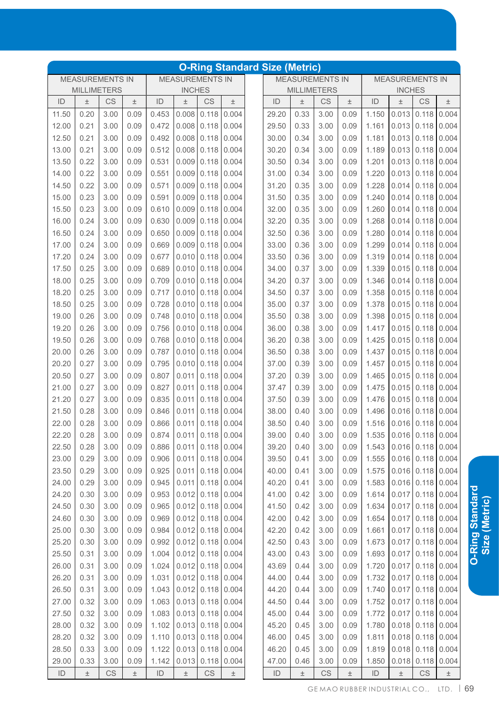|               |                                                                                         |      |       |               |               |                        |                     | <b>O-Ring Standard Size (Metric)</b> |                    |                        |       |               |                                               |                     |       |
|---------------|-----------------------------------------------------------------------------------------|------|-------|---------------|---------------|------------------------|---------------------|--------------------------------------|--------------------|------------------------|-------|---------------|-----------------------------------------------|---------------------|-------|
|               | <b>MEASUREMENTS IN</b><br><b>MEASUREMENTS IN</b><br><b>MILLIMETERS</b><br><b>INCHES</b> |      |       |               |               |                        |                     |                                      |                    | <b>MEASUREMENTS IN</b> |       |               | <b>MEASUREMENTS IN</b>                        |                     |       |
|               |                                                                                         |      |       |               |               |                        |                     |                                      | <b>MILLIMETERS</b> |                        |       |               | <b>INCHES</b>                                 |                     |       |
| ID            | $\pm$                                                                                   | CS   | Ŧ     | ID            | $\pm$         | CS                     | $\pm$               | ID                                   | $\pm$              | CS                     | $\pm$ | ID            | $\pm$                                         | <b>CS</b>           | $\pm$ |
| 11.50         | 0.20                                                                                    | 3.00 | 0.09  | 0.453         | 0.008         | 0.118                  | 0.004               | 29.20                                | 0.33               | 3.00                   | 0.09  | 1.150         | 0.013                                         | 0.118               | 0.004 |
| 12.00         | 0.21                                                                                    | 3.00 | 0.09  | 0.472         | 0.008         | 0.118                  | 0.004               | 29.50                                | 0.33               | 3.00                   | 0.09  | 1.161         | 0.013                                         | 0.118               | 0.004 |
| 12.50         | 0.21                                                                                    | 3.00 | 0.09  | 0.492         | 0.008         | 0.118                  | 0.004               | 30.00                                | 0.34               | 3.00                   | 0.09  | 1.181         | 0.013                                         | 0.118               | 0.004 |
| 13.00         | 0.21                                                                                    | 3.00 | 0.09  | 0.512         | 0.008         | 0.118                  | 0.004               | 30.20                                | 0.34               | 3.00                   | 0.09  | 1.189         | 0.013                                         | 0.118               | 0.004 |
| 13.50         | 0.22                                                                                    | 3.00 | 0.09  | 0.531         | 0.009         | 0.118                  | 0.004               | 30.50                                | 0.34               | 3.00                   | 0.09  | 1.201         | 0.013                                         | 0.118               | 0.004 |
| 14.00         | 0.22                                                                                    | 3.00 | 0.09  | 0.551         | 0.009         | 0.118                  | 0.004               | 31.00                                | 0.34               | 3.00                   | 0.09  | 1.220         | 0.013                                         | 0.118               | 0.004 |
| 14.50         | 0.22                                                                                    | 3.00 | 0.09  | 0.571         | 0.009         | 0.118                  | 0.004               | 31.20                                | 0.35               | 3.00                   | 0.09  | 1.228         | 0.014                                         | 0.118               | 0.004 |
| 15.00         | 0.23                                                                                    | 3.00 | 0.09  | 0.591         | 0.009         | 0.118                  | 0.004               | 31.50                                | 0.35               | 3.00                   | 0.09  | 1.240         | 0.014                                         | 0.118               | 0.004 |
| 15.50         | 0.23                                                                                    | 3.00 | 0.09  | 0.610         | 0.009         | 0.118                  | 0.004               | 32.00                                | 0.35               | 3.00                   | 0.09  | 1.260         | 0.014                                         | 0.118               | 0.004 |
| 16.00         | 0.24                                                                                    | 3.00 | 0.09  | 0.630         | 0.009         | 0.118                  | 0.004               | 32.20                                | 0.35               | 3.00                   | 0.09  | 1.268         | 0.014                                         | 0.118               | 0.004 |
| 16.50         | 0.24                                                                                    | 3.00 | 0.09  | 0.650         | 0.009         | 0.118                  | 0.004               | 32.50                                | 0.36               | 3.00                   | 0.09  | 1.280         | 0.014                                         | 0.118               | 0.004 |
| 17.00         | 0.24                                                                                    | 3.00 | 0.09  | 0.669         | 0.009         | 0.118                  | 0.004               | 33.00                                | 0.36               | 3.00                   | 0.09  | 1.299         | 0.014                                         | 0.118               | 0.004 |
| 17.20         | 0.24                                                                                    | 3.00 | 0.09  | 0.677         | 0.010         | 0.118                  | 0.004               | 33.50                                | 0.36               | 3.00                   | 0.09  | 1.319         | 0.014                                         | 0.118               | 0.004 |
| 17.50         | 0.25                                                                                    | 3.00 | 0.09  | 0.689         | 0.010         | 0.118                  | 0.004               | 34.00                                | 0.37               | 3.00                   | 0.09  | 1.339         | 0.015                                         | 0.118               | 0.004 |
| 18.00         | 0.25                                                                                    | 3.00 | 0.09  | 0.709         | 0.010         | 0.118                  | 0.004               | 34.20                                | 0.37               | 3.00                   | 0.09  | 1.346         | 0.014                                         | 0.118               | 0.004 |
| 18.20         | 0.25                                                                                    | 3.00 | 0.09  | 0.717         | 0.010         | 0.118                  | 0.004               | 34.50                                | 0.37               | 3.00                   | 0.09  | 1.358         | 0.015                                         | 0.118               | 0.004 |
| 18.50         | 0.25                                                                                    | 3.00 | 0.09  | 0.728         | 0.010         | 0.118                  | 0.004               | 35.00                                | 0.37               | 3.00                   | 0.09  | 1.378         | 0.015                                         | 0.118               | 0.004 |
| 19.00         | 0.26                                                                                    | 3.00 | 0.09  | 0.748         | 0.010         | 0.118                  | 0.004               | 35.50                                | 0.38               | 3.00                   | 0.09  | 1.398         | 0.015                                         | 0.118               | 0.004 |
| 19.20         | 0.26                                                                                    | 3.00 | 0.09  | 0.756         | 0.010         | 0.118                  | 0.004               | 36.00                                | 0.38               | 3.00                   | 0.09  | 1.417         | 0.015                                         | 0.118               | 0.004 |
| 19.50         | 0.26                                                                                    | 3.00 | 0.09  | 0.768         | 0.010         | 0.118                  | 0.004               | 36.20                                | 0.38               | 3.00                   | 0.09  | 1.425         | 0.015                                         | 0.118               | 0.004 |
| 20.00         | 0.26                                                                                    | 3.00 | 0.09  | 0.787         | 0.010         | 0.118                  | 0.004               | 36.50                                | 0.38               | 3.00                   | 0.09  | 1.437         | 0.015                                         | 0.118               | 0.004 |
| 20.20         | 0.27                                                                                    | 3.00 | 0.09  | 0.795         | 0.010         | 0.118                  | 0.004               | 37.00                                | 0.39               | 3.00                   | 0.09  | 1.457         | 0.015                                         | 0.118               | 0.004 |
| 20.50         | 0.27                                                                                    | 3.00 | 0.09  | 0.807         | 0.011         | 0.118                  | 0.004               | 37.20                                | 0.39               | 3.00                   | 0.09  | 1.465         | 0.015                                         | 0.118               | 0.004 |
| 21.00         | 0.27                                                                                    | 3.00 | 0.09  | 0.827         | 0.011         | 0.118                  | 0.004               | 37.47                                | 0.39               | 3.00                   | 0.09  | 1.475         | 0.015                                         | 0.118               | 0.004 |
| 21.20         | 0.27                                                                                    | 3.00 | 0.09  | 0.835         | 0.011         | 0.118                  | 0.004               | 37.50                                | 0.39               | 3.00                   | 0.09  | 1.476         | 0.015                                         | 0.118               | 0.004 |
| 21.50         | 0.28                                                                                    | 3.00 | 0.09  | 0.846         | 0.011         | 0.118                  | 0.004               | 38.00                                | 0.40               | 3.00                   | 0.09  | 1.496         | 0.016                                         | 0.118               | 0.004 |
| 22.00         | 0.28                                                                                    | 3.00 | 0.09  | 0.866         | 0.011         | 0.118                  | 0.004               | 38.50                                | 0.40               | 3.00                   | 0.09  | 1.516         | 0.016                                         | 0.118               | 0.004 |
| 22.20         | 0.28                                                                                    | 3.00 | 0.09  | 0.874         |               | $0.011$ 0.118 0.004    |                     | 39.00                                | 0.40               | 3.00                   | 0.09  |               | $1.535$ $\vert 0.016 \vert 0.118 \vert 0.004$ |                     |       |
| 22.50         | 0.28                                                                                    | 3.00 | 0.09  | 0.886         |               |                        | $0.011$ 0.118 0.004 | 39.20                                | 0.40               | 3.00                   | 0.09  | 1.543         |                                               | $0.016$ 0.118 0.004 |       |
| 23.00         | 0.29                                                                                    | 3.00 | 0.09  | 0.906         | 0.011         | 0.118                  | 0.004               | 39.50                                | 0.41               | 3.00                   | 0.09  | 1.555         |                                               | $0.016$ 0.118 0.004 |       |
| 23.50         | 0.29                                                                                    | 3.00 | 0.09  | 0.925         | 0.011         | 0.118                  | 0.004               | 40.00                                | 0.41               | 3.00                   | 0.09  | 1.575         |                                               | $0.016$ 0.118 0.004 |       |
| 24.00         | 0.29                                                                                    | 3.00 | 0.09  | 0.945         | 0.011         | 0.118                  | 0.004               | 40.20                                | 0.41               | 3.00                   | 0.09  | 1.583         |                                               | $0.016$ 0.118 0.004 |       |
| 24.20         | 0.30                                                                                    | 3.00 | 0.09  | 0.953         |               | $0.012$ 0.118          | 0.004               | 41.00                                | 0.42               | 3.00                   | 0.09  | 1.614         | 0.017                                         | $0.118$ 0.004       |       |
| 24.50         | 0.30                                                                                    | 3.00 | 0.09  | 0.965         | $0.012$ 0.118 |                        | 0.004               | 41.50                                | 0.42               | 3.00                   | 0.09  | 1.634         | 0.017                                         | $0.118$ 0.004       |       |
| 24.60         | 0.30                                                                                    | 3.00 | 0.09  | 0.969         |               | $0.012$ 0.118          | 0.004               | 42.00                                | 0.42               | 3.00                   | 0.09  | 1.654         | 0.017                                         | $0.118$ 0.004       |       |
| 25.00         | 0.30                                                                                    | 3.00 | 0.09  | 0.984         |               | $0.012$ 0.118          | 0.004               | 42.20                                | 0.42               | 3.00                   | 0.09  | 1.661         | 0.017                                         | $0.118$ 0.004       |       |
| 25.20         | 0.30                                                                                    | 3.00 | 0.09  | 0.992         |               | $0.012$ 0.118          | 0.004               | 42.50                                | 0.43               | 3.00                   | 0.09  | 1.673         | 0.017                                         | $0.118$ 0.004       |       |
| 25.50         | 0.31                                                                                    | 3.00 | 0.09  | 1.004         |               | $0.012$ 0.118          | 0.004               | 43.00                                | 0.43               | 3.00                   | 0.09  | 1.693         | 0.017                                         | $0.118$ 0.004       |       |
| 26.00         | 0.31                                                                                    | 3.00 | 0.09  | 1.024         |               | $0.012$ 0.118          | 0.004               | 43.69                                | 0.44               | 3.00                   | 0.09  | 1.720         | 0.017                                         | $0.118$ 0.004       |       |
| 26.20         | 0.31                                                                                    | 3.00 | 0.09  | 1.031         |               | $0.012$ 0.118          | 0.004               | 44.00                                | 0.44               | 3.00                   | 0.09  | 1.732         | 0.017                                         | $0.118$ 0.004       |       |
| 26.50         | 0.31                                                                                    | 3.00 | 0.09  | 1.043         |               | $0.012$ 0.118          | 0.004               | 44.20                                | 0.44               | 3.00                   | 0.09  | 1.740         | 0.017                                         | 0.118               | 0.004 |
| 27.00         | 0.32                                                                                    | 3.00 | 0.09  | 1.063         |               | $0.013$ 0.118          | 0.004               | 44.50                                | 0.44               | 3.00                   | 0.09  | 1.752         | 0.017                                         | 0.118               | 0.004 |
| 27.50         | 0.32                                                                                    | 3.00 | 0.09  | 1.083         |               | $0.013$ 0.118          | 0.004               | 45.00                                | 0.44               | 3.00                   | 0.09  | 1.772         | 0.017                                         | 0.118               | 0.004 |
| 28.00         | 0.32                                                                                    | 3.00 | 0.09  | 1.102         |               | $0.013$ 0.118          | 0.004               | 45.20                                | 0.45               | 3.00                   | 0.09  | 1.780         | 0.018                                         | 0.118               | 0.004 |
| 28.20         | 0.32                                                                                    | 3.00 | 0.09  | 1.110         |               | $0.013$ 0.118          | 0.004               | 46.00                                | 0.45               | 3.00                   | 0.09  | 1.811         | 0.018                                         | 0.118               | 0.004 |
| 28.50         | 0.33                                                                                    | 3.00 | 0.09  | 1.122         |               | $0.013$ 0.118          | 0.004               | 46.20                                | 0.45               | 3.00                   | 0.09  | 1.819         | 0.018                                         | 0.118               | 0.004 |
| 29.00         | 0.33                                                                                    | 3.00 | 0.09  | 1.142         |               | $0.013$ 0.118          | 0.004               | 47.00                                | 0.46               | 3.00                   | 0.09  | 1.850         | 0.018                                         | 0.118               | 0.004 |
| $\mathsf{ID}$ | $\pm$                                                                                   | CS   | $\pm$ | $\mathsf{ID}$ | $\pm$         | $\mathbb{C}\mathbb{S}$ | $\pm$               | $\mathsf{ID}$                        | $\pm$              | CS                     | $\pm$ | $\mathsf{ID}$ | $\pm$                                         | CS                  | $\pm$ |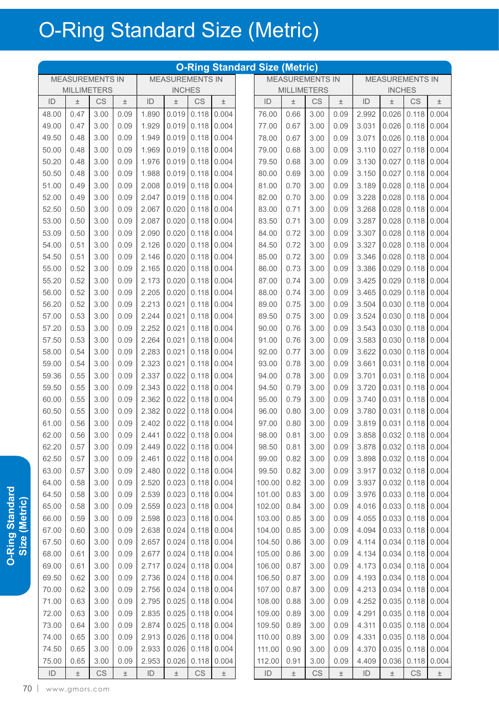|               |                        |                        |       |               |                        |                        |                     | <b>O-Ring Standard Size (Metric)</b> |                        |                        |       |               |                         |                         |       |
|---------------|------------------------|------------------------|-------|---------------|------------------------|------------------------|---------------------|--------------------------------------|------------------------|------------------------|-------|---------------|-------------------------|-------------------------|-------|
|               | <b>MEASUREMENTS IN</b> |                        |       |               | <b>MEASUREMENTS IN</b> |                        |                     |                                      | <b>MEASUREMENTS IN</b> |                        |       |               | <b>MEASUREMENTS IN</b>  |                         |       |
|               | <b>MILLIMETERS</b>     |                        |       |               | <b>INCHES</b>          |                        |                     |                                      | <b>MILLIMETERS</b>     |                        |       |               | <b>INCHES</b>           |                         |       |
| ID            | $\pm$                  | CS                     | $\pm$ | ID            | 土                      | <b>CS</b>              | 土                   | ID                                   | $\pm$                  | CS                     | Ŧ     | ID            | $\pm$                   | CS                      | $\pm$ |
| 48.00         | 0.47                   | 3.00                   | 0.09  | 1.890         | 0.019                  | 0.118                  | 0.004               | 76.00                                | 0.66                   | 3.00                   | 0.09  | 2.992         | 0.026                   | 0.118                   | 0.004 |
| 49.00         | 0.47                   | 3.00                   | 0.09  | 1.929         | 0.019                  | 0.118                  | 0.004               | 77.00                                | 0.67                   | 3.00                   | 0.09  | 3.031         | 0.026                   | 0.118                   | 0.004 |
| 49.50         | 0.48                   | 3.00                   | 0.09  | 1.949         | 0.019                  | 0.118                  | 0.004               | 78.00                                | 0.67                   | 3.00                   | 0.09  | 3.071         | 0.026                   | 0.118                   | 0.004 |
| 50.00         | 0.48                   | 3.00                   | 0.09  | 1.969         | 0.019                  | 0.118                  | 0.004               | 79.00                                | 0.68                   | 3.00                   | 0.09  | 3.110         | 0.027                   | 0.118                   | 0.004 |
| 50.20         | 0.48                   | 3.00                   | 0.09  | 1.976         | 0.019                  | 0.118                  | 0.004               | 79.50                                | 0.68                   | 3.00                   | 0.09  | 3.130         | 0.027                   | 0.118                   | 0.004 |
| 50.50         | 0.48                   | 3.00                   | 0.09  | 1.988         | 0.019                  | 0.118                  | 0.004               | 80.00                                | 0.69                   | 3.00                   | 0.09  | 3.150         | 0.027                   | 0.118                   | 0.004 |
| 51.00         | 0.49                   | 3.00                   | 0.09  | 2.008         | 0.019                  | 0.118                  | 0.004               | 81.00                                | 0.70                   | 3.00                   | 0.09  | 3.189         | 0.028                   | 0.118                   | 0.004 |
| 52.00         | 0.49                   | 3.00                   | 0.09  | 2.047         | 0.019                  | 0.118                  | 0.004               | 82.00                                | 0.70                   | 3.00                   | 0.09  | 3.228         | 0.028                   | 0.118                   | 0.004 |
| 52.50         | 0.50                   | 3.00                   | 0.09  | 2.067         | 0.020                  | 0.118                  | 0.004               | 83.00                                | 0.71                   | 3.00                   | 0.09  | 3.268         | 0.028                   | 0.118                   | 0.004 |
| 53.00         | 0.50                   | 3.00                   | 0.09  | 2.087         | 0.020                  | 0.118                  | 0.004               | 83.50                                | 0.71                   | 3.00                   | 0.09  | 3.287         | 0.028                   | 0.118                   | 0.004 |
| 53.09         | 0.50                   | 3.00                   | 0.09  | 2.090         | 0.020                  | 0.118                  | 0.004               | 84.00                                | 0.72                   | 3.00                   | 0.09  | 3.307         | 0.028                   | 0.118                   | 0.004 |
| 54.00         | 0.51                   | 3.00                   | 0.09  | 2.126         | 0.020                  | 0.118                  | 0.004               | 84.50                                | 0.72                   | 3.00                   | 0.09  | 3.327         | 0.028                   | 0.118                   | 0.004 |
| 54.50         | 0.51                   | 3.00                   | 0.09  | 2.146         | 0.020                  | 0.118                  | 0.004               | 85.00                                | 0.72                   | 3.00                   | 0.09  | 3.346         | 0.028                   | 0.118                   | 0.004 |
| 55.00         | 0.52                   | 3.00                   | 0.09  | 2.165         | 0.020                  | 0.118                  | 0.004               | 86.00                                | 0.73                   | 3.00                   | 0.09  | 3.386         | 0.029                   | 0.118                   | 0.004 |
| 55.20         | 0.52                   | 3.00                   | 0.09  | 2.173         | 0.020                  | 0.118                  | 0.004               | 87.00                                | 0.74                   | 3.00                   | 0.09  | 3.425         | 0.029                   | 0.118                   | 0.004 |
| 56.00         | 0.52                   | 3.00                   | 0.09  | 2.205         | 0.020                  | 0.118                  | 0.004               | 88.00                                | 0.74                   | 3.00                   | 0.09  | 3.465         | 0.029                   | 0.118                   | 0.004 |
| 56.20         | 0.52                   | 3.00                   | 0.09  | 2.213         | 0.021                  | 0.118                  | 0.004               | 89.00                                | 0.75                   | 3.00                   | 0.09  | 3.504         | 0.030                   | 0.118                   | 0.004 |
| 57.00         | 0.53                   | 3.00                   | 0.09  | 2.244         | 0.021                  | 0.118                  | 0.004               | 89.50                                | 0.75                   | 3.00                   | 0.09  | 3.524         | 0.030                   | 0.118                   | 0.004 |
| 57.20         | 0.53                   | 3.00                   | 0.09  | 2.252         | 0.021                  | 0.118                  | 0.004               | 90.00                                | 0.76                   | 3.00                   | 0.09  | 3.543         | 0.030                   | 0.118                   | 0.004 |
| 57.50         | 0.53                   | 3.00                   | 0.09  | 2.264         | 0.021                  | 0.118                  | 0.004               | 91.00                                | 0.76                   | 3.00                   | 0.09  | 3.583         | 0.030                   | 0.118                   | 0.004 |
| 58.00         | 0.54                   | 3.00                   | 0.09  | 2.283         | 0.021                  | 0.118                  | 0.004               | 92.00                                | 0.77                   | 3.00                   | 0.09  | 3.622         | 0.030                   | 0.118                   | 0.004 |
| 59.00         | 0.54                   | 3.00                   | 0.09  | 2.323         | 0.021                  | 0.118                  | 0.004               | 93.00                                | 0.78                   | 3.00                   | 0.09  | 3.661         | 0.031                   | 0.118                   | 0.004 |
| 59.36         | 0.55                   | 3.00                   | 0.09  | 2.337         | 0.022                  | 0.118                  | 0.004               | 94.00                                | 0.78                   | 3.00                   | 0.09  | 3.701         | 0.031                   | 0.118                   | 0.004 |
| 59.50         | 0.55                   | 3.00                   | 0.09  | 2.343         | 0.022                  | 0.118                  | 0.004               | 94.50                                | 0.79                   | 3.00                   | 0.09  | 3.720         | 0.031                   | 0.118                   | 0.004 |
| 60.00         | 0.55                   | 3.00                   | 0.09  | 2.362         | 0.022                  | 0.118                  | 0.004               | 95.00                                | 0.79                   | 3.00                   | 0.09  | 3.740         | 0.031                   | 0.118                   | 0.004 |
| 60.50         | 0.55                   | 3.00                   | 0.09  | 2.382         | 0.022                  | 0.118                  | 0.004               | 96.00                                | 0.80                   | 3.00                   | 0.09  | 3.780         | 0.031                   | 0.118                   | 0.004 |
| 61.00         | 0.56                   | 3.00                   | 0.09  | 2.402         | 0.022                  | 0.118                  | 0.004               | 97.00                                | 0.80                   | 3.00                   | 0.09  | 3.819         | 0.031                   | 0.118                   | 0.004 |
| 62.00         | 0.56                   | 3.00                   | 0.09  | 2.441         |                        |                        | $0.022$ 0.118 0.004 | 98.00                                | 0.81                   | 3.00                   | 0.09  |               | 3.858 0.032 0.118 0.004 |                         |       |
| 62.20         | 0.57                   | 3.00                   | 0.09  | 2.449         |                        |                        | $0.022$ 0.118 0.004 | 98.50                                | 0.81                   | 3.00                   | 0.09  | 3.878         |                         | $0.032 \mid 0.118 \mid$ | 0.004 |
| 62.50         | 0.57                   | 3.00                   | 0.09  | 2.461         | 0.022                  | 0.118                  | 0.004               | 99.00                                | 0.82                   | 3.00                   | 0.09  | 3.898         | 0.032                   | 0.118                   | 0.004 |
| 63.00         | 0.57                   | 3.00                   | 0.09  | 2.480         | 0.022                  | 0.118                  | 0.004               | 99.50                                | 0.82                   | 3.00                   | 0.09  | 3.917         | 0.032                   | 0.118                   | 0.004 |
| 64.00         | 0.58                   | 3.00                   | 0.09  | 2.520         | 0.023                  | 0.118                  | 0.004               | 100.00                               | 0.82                   | 3.00                   | 0.09  | 3.937         | 0.032                   | 0.118                   | 0.004 |
| 64.50         | 0.58                   | 3.00                   | 0.09  | 2.539         | 0.023                  | 0.118                  | 0.004               | 101.00                               | 0.83                   | 3.00                   | 0.09  | 3.976         | 0.033                   | 0.118                   | 0.004 |
| 65.00         | 0.58                   | 3.00                   | 0.09  | 2.559         | 0.023                  | 0.118                  | 0.004               | 102.00                               | 0.84                   | 3.00                   | 0.09  | 4.016         | 0.033                   | 0.118                   | 0.004 |
| 66.00         | 0.59                   | 3.00                   | 0.09  | 2.598         | 0.023                  | 0.118                  | 0.004               | 103.00                               | 0.85                   | 3.00                   | 0.09  | 4.055         | 0.033                   | 0.118                   | 0.004 |
| 67.00         | 0.60                   | 3.00                   | 0.09  | 2.638         | 0.024                  | 0.118                  | 0.004               | 104.00                               | 0.85                   | 3.00                   | 0.09  | 4.094         | 0.033                   | 0.118                   | 0.004 |
| 67.50         | 0.60                   | 3.00                   | 0.09  | 2.657         | 0.024                  | 0.118                  | 0.004               | 104.50                               | 0.86                   | 3.00                   | 0.09  | 4.114         | 0.034                   | 0.118                   | 0.004 |
| 68.00         | 0.61                   | 3.00                   | 0.09  | 2.677         | 0.024                  | 0.118                  | 0.004               | 105.00                               | 0.86                   | 3.00                   | 0.09  | 4.134         | 0.034                   | 0.118                   | 0.004 |
| 69.00         | 0.61                   | 3.00                   | 0.09  | 2.717         | 0.024                  | 0.118                  | 0.004               | 106.00                               | 0.87                   | 3.00                   | 0.09  | 4.173         | 0.034                   | 0.118                   | 0.004 |
| 69.50         | 0.62                   | 3.00                   | 0.09  | 2.736         | 0.024                  | 0.118                  | 0.004               | 106.50                               | 0.87                   | 3.00                   | 0.09  | 4.193         | 0.034                   | 0.118                   | 0.004 |
| 70.00         | 0.62                   | 3.00                   | 0.09  | 2.756         | 0.024                  | 0.118                  | 0.004               | 107.00                               | 0.87                   | 3.00                   | 0.09  | 4.213         | 0.034                   | 0.118                   | 0.004 |
| 71.00         | 0.63                   | 3.00                   | 0.09  | 2.795         | 0.025                  | 0.118                  | 0.004               | 108.00                               | 0.88                   | 3.00                   | 0.09  | 4.252         | 0.035                   | 0.118                   | 0.004 |
| 72.00         | 0.63                   | 3.00                   | 0.09  | 2.835         | 0.025                  | 0.118                  | 0.004               | 109.00                               | 0.89                   | 3.00                   | 0.09  | 4.291         | 0.035                   | 0.118                   | 0.004 |
| 73.00         | 0.64                   | 3.00                   | 0.09  | 2.874         | 0.025                  | 0.118                  | 0.004               | 109.50                               | 0.89                   | 3.00                   | 0.09  | 4.311         | 0.035                   | 0.118                   | 0.004 |
| 74.00         | 0.65                   | 3.00                   | 0.09  | 2.913         | 0.026                  | 0.118                  | 0.004               | 110.00                               | 0.89                   | 3.00                   | 0.09  | 4.331         | 0.035                   | 0.118                   | 0.004 |
| 74.50         | 0.65                   | 3.00                   | 0.09  | 2.933         | 0.026                  | 0.118                  | 0.004               | 111.00                               | 0.90                   | 3.00                   | 0.09  | 4.370         | 0.035                   | 0.118                   | 0.004 |
| 75.00         | 0.65                   | 3.00                   | 0.09  | 2.953         | 0.026                  | 0.118                  | 0.004               | 112.00                               | 0.91                   | 3.00                   | 0.09  | 4.409         | 0.036                   | 0.118                   | 0.004 |
| $\mathsf{ID}$ | $\pm$                  | $\mathbb{C}\mathbb{S}$ | $\pm$ | $\mathsf{ID}$ | $\pm$                  | $\mathbb{C}\mathbb{S}$ | $\pm$               | $\mathsf{ID}$                        | $\pm$                  | $\mathbb{C}\mathsf{S}$ | $\pm$ | $\mathsf{ID}$ | $\pm$                   | $\mathbb{C}\mathbb{S}$  | $\pm$ |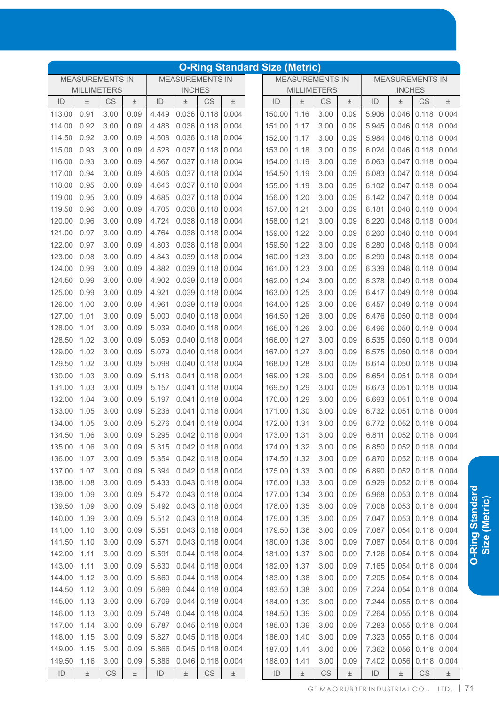|        |                                                                                         |           |       |       |       |                        |               | <b>O-Ring Standard Size (Metric)</b> |       |                        |       |       |                           |               |                     |
|--------|-----------------------------------------------------------------------------------------|-----------|-------|-------|-------|------------------------|---------------|--------------------------------------|-------|------------------------|-------|-------|---------------------------|---------------|---------------------|
|        | <b>MEASUREMENTS IN</b><br><b>MEASUREMENTS IN</b><br><b>MILLIMETERS</b><br><b>INCHES</b> |           |       |       |       |                        |               |                                      |       | <b>MEASUREMENTS IN</b> |       |       | <b>MEASUREMENTS IN</b>    |               |                     |
|        |                                                                                         |           |       |       |       |                        |               |                                      |       | <b>MILLIMETERS</b>     |       |       | <b>INCHES</b>             |               |                     |
| ID     | 土                                                                                       | CS        | 土     | ID    | 土     | CS                     | $\pm$         | ID                                   | 土     | CS                     | 土     | ID    | 土                         | CS            | 土                   |
| 113.00 | 0.91                                                                                    | 3.00      | 0.09  | 4.449 | 0.036 | 0.118                  | 0.004         | 150.00                               | 1.16  | 3.00                   | 0.09  | 5.906 | 0.046                     | 0.118         | 0.004               |
| 114.00 | 0.92                                                                                    | 3.00      | 0.09  | 4.488 | 0.036 | 0.118                  | 0.004         | 151.00                               | 1.17  | 3.00                   | 0.09  | 5.945 | 0.046                     | 0.118         | 0.004               |
| 114.50 | 0.92                                                                                    | 3.00      | 0.09  | 4.508 | 0.036 | 0.118                  | 0.004         | 152.00                               | 1.17  | 3.00                   | 0.09  | 5.984 | 0.046                     | 0.118         | 0.004               |
| 115.00 | 0.93                                                                                    | 3.00      | 0.09  | 4.528 | 0.037 | 0.118                  | 0.004         | 153.00                               | 1.18  | 3.00                   | 0.09  | 6.024 | 0.046                     | 0.118         | 0.004               |
| 116.00 | 0.93                                                                                    | 3.00      | 0.09  | 4.567 | 0.037 | 0.118                  | 0.004         | 154.00                               | 1.19  | 3.00                   | 0.09  | 6.063 | 0.047                     | 0.118         | 0.004               |
| 117.00 | 0.94                                                                                    | 3.00      | 0.09  | 4.606 | 0.037 | 0.118                  | 0.004         | 154.50                               | 1.19  | 3.00                   | 0.09  | 6.083 | 0.047                     | 0.118         | 0.004               |
| 118.00 | 0.95                                                                                    | 3.00      | 0.09  | 4.646 | 0.037 | 0.118                  | 0.004         | 155.00                               | 1.19  | 3.00                   | 0.09  | 6.102 | 0.047                     | 0.118         | 0.004               |
| 119.00 | 0.95                                                                                    | 3.00      | 0.09  | 4.685 | 0.037 | 0.118                  | 0.004         | 156.00                               | 1.20  | 3.00                   | 0.09  | 6.142 | 0.047                     | 0.118         | 0.004               |
| 119.50 | 0.96                                                                                    | 3.00      | 0.09  | 4.705 | 0.038 | 0.118                  | 0.004         | 157.00                               | 1.21  | 3.00                   | 0.09  | 6.181 | 0.048                     | 0.118         | 0.004               |
| 120.00 | 0.96                                                                                    | 3.00      | 0.09  | 4.724 | 0.038 | 0.118                  | 0.004         | 158.00                               | 1.21  | 3.00                   | 0.09  | 6.220 | 0.048                     | 0.118         | 0.004               |
| 121.00 | 0.97                                                                                    | 3.00      | 0.09  | 4.764 | 0.038 | 0.118                  | 0.004         | 159.00                               | 1.22  | 3.00                   | 0.09  | 6.260 | 0.048                     | 0.118         | 0.004               |
| 122.00 | 0.97                                                                                    | 3.00      | 0.09  | 4.803 | 0.038 | 0.118                  | 0.004         | 159.50                               | 1.22  | 3.00                   | 0.09  | 6.280 | 0.048                     | 0.118         | 0.004               |
| 123.00 | 0.98                                                                                    | 3.00      | 0.09  | 4.843 | 0.039 | 0.118                  | 0.004         | 160.00                               | 1.23  | 3.00                   | 0.09  | 6.299 | 0.048                     | 0.118         | 0.004               |
| 124.00 | 0.99                                                                                    | 3.00      | 0.09  | 4.882 | 0.039 | 0.118                  | 0.004         | 161.00                               | 1.23  | 3.00                   | 0.09  | 6.339 | 0.048                     | 0.118         | 0.004               |
| 124.50 | 0.99                                                                                    | 3.00      | 0.09  | 4.902 | 0.039 | 0.118                  | 0.004         | 162.00                               | 1.24  | 3.00                   | 0.09  | 6.378 | 0.049                     | 0.118         | 0.004               |
| 125.00 | 0.99                                                                                    | 3.00      | 0.09  | 4.921 | 0.039 | 0.118                  | 0.004         | 163.00                               | 1.25  | 3.00                   | 0.09  | 6.417 | 0.049                     | 0.118         | 0.004               |
| 126.00 | 1.00                                                                                    | 3.00      | 0.09  | 4.961 | 0.039 | 0.118                  | 0.004         | 164.00                               | 1.25  | 3.00                   | 0.09  | 6.457 | 0.049                     | 0.118         | 0.004               |
| 127.00 | 1.01                                                                                    | 3.00      | 0.09  | 5.000 | 0.040 | 0.118                  | 0.004         | 164.50                               | 1.26  | 3.00                   | 0.09  | 6.476 | 0.050                     | 0.118         | 0.004               |
| 128.00 | 1.01                                                                                    | 3.00      | 0.09  | 5.039 | 0.040 | 0.118                  | 0.004         | 165.00                               | 1.26  | 3.00                   | 0.09  | 6.496 | 0.050                     | 0.118         | 0.004               |
| 128.50 | 1.02                                                                                    | 3.00      | 0.09  | 5.059 | 0.040 | 0.118                  | 0.004         | 166.00                               | 1.27  | 3.00                   | 0.09  | 6.535 | 0.050                     | 0.118         | 0.004               |
| 129.00 | 1.02                                                                                    | 3.00      | 0.09  | 5.079 | 0.040 | 0.118                  | 0.004         | 167.00                               | 1.27  | 3.00                   | 0.09  | 6.575 | 0.050                     | 0.118         | 0.004               |
| 129.50 | 1.02                                                                                    | 3.00      | 0.09  | 5.098 | 0.040 | 0.118                  | 0.004         | 168.00                               | 1.28  | 3.00                   | 0.09  | 6.614 | 0.050                     | 0.118         | 0.004               |
| 130.00 | 1.03                                                                                    | 3.00      | 0.09  | 5.118 | 0.041 | 0.118                  | 0.004         | 169.00                               | 1.29  | 3.00                   | 0.09  | 6.654 | 0.051                     | 0.118         | 0.004               |
| 131.00 | 1.03                                                                                    | 3.00      | 0.09  | 5.157 | 0.041 | 0.118                  | 0.004         | 169.50                               | 1.29  | 3.00                   | 0.09  | 6.673 | 0.051                     | 0.118         | 0.004               |
| 132.00 | 1.04                                                                                    | 3.00      | 0.09  | 5.197 | 0.041 | 0.118                  | 0.004         | 170.00                               | 1.29  | 3.00                   | 0.09  | 6.693 | 0.051                     | 0.118         | 0.004               |
| 133.00 | 1.05                                                                                    | 3.00      | 0.09  | 5.236 | 0.041 | 0.118                  | 0.004         | 171.00                               | 1.30  | 3.00                   | 0.09  | 6.732 | 0.051                     | 0.118         | 0.004               |
| 134.00 | 1.05                                                                                    | 3.00      | 0.09  | 5.276 | 0.041 | 0.118                  | 0.004         | 172.00                               | 1.31  | 3.00                   | 0.09  | 6.772 | 0.052                     | 0.118         | 0.004               |
| 134.50 | 1.06                                                                                    | 3.00      | 0.09  | 5.295 |       | $0.042$ 0.118 0.004    |               | 173.00 1.31                          |       | 3.00                   | 0.09  |       | $6.811$ 0.052 0.118 0.004 |               |                     |
| 135.00 | 1.06                                                                                    | 3.00      | 0.09  | 5.315 |       | $0.042$ 0.118 0.004    |               | 174.00                               | 1.32  | 3.00                   | 0.09  | 6.850 |                           |               | $0.052$ 0.118 0.004 |
| 136.00 | 1.07                                                                                    | 3.00      | 0.09  | 5.354 |       | $0.042$ 0.118 0.004    |               | 174.50                               | 1.32  | 3.00                   | 0.09  | 6.870 |                           | $0.052$ 0.118 | 0.004               |
| 137.00 | 1.07                                                                                    | 3.00      | 0.09  | 5.394 |       | $0.042$ 0.118 0.004    |               | 175.00                               | 1.33  | 3.00                   | 0.09  | 6.890 |                           | $0.052$ 0.118 | 0.004               |
| 138.00 | 1.08                                                                                    | 3.00      | 0.09  | 5.433 |       | $0.043$ 0.118 0.004    |               | 176.00                               | 1.33  | 3.00                   | 0.09  | 6.929 |                           | $0.052$ 0.118 | 0.004               |
| 139.00 | 1.09                                                                                    | 3.00      | 0.09  | 5.472 | 0.043 | $0.118$ 0.004          |               | 177.00                               | 1.34  | 3.00                   | 0.09  | 6.968 |                           | 0.053   0.118 | 0.004               |
| 139.50 | 1.09                                                                                    | 3.00      | 0.09  | 5.492 | 0.043 | 0.118                  | 0.004         | 178.00                               | 1.35  | 3.00                   | 0.09  | 7.008 |                           | $0.053$ 0.118 | 0.004               |
| 140.00 | 1.09                                                                                    | 3.00      | 0.09  | 5.512 | 0.043 | 0.118                  | 0.004         | 179.00                               | 1.35  | 3.00                   | 0.09  | 7.047 |                           | $0.053$ 0.118 | 0.004               |
| 141.00 | 1.10                                                                                    | 3.00      | 0.09  | 5.551 | 0.043 | $0.118$ 0.004          |               | 179.50                               | 1.36  | 3.00                   | 0.09  | 7.067 |                           | $0.054$ 0.118 | 0.004               |
| 141.50 | 1.10                                                                                    | 3.00      | 0.09  | 5.571 | 0.043 |                        | $0.118$ 0.004 | 180.00                               | 1.36  | 3.00                   | 0.09  | 7.087 |                           | $0.054$ 0.118 | 0.004               |
| 142.00 | 1.11                                                                                    | 3.00      | 0.09  | 5.591 | 0.044 |                        | $0.118$ 0.004 | 181.00                               | 1.37  | 3.00                   | 0.09  | 7.126 |                           | $0.054$ 0.118 | 0.004               |
| 143.00 | 1.11                                                                                    | 3.00      | 0.09  | 5.630 | 0.044 |                        | $0.118$ 0.004 | 182.00                               | 1.37  | 3.00                   | 0.09  | 7.165 | 0.054                     | 0.118         | 0.004               |
| 144.00 | 1.12                                                                                    | 3.00      | 0.09  | 5.669 | 0.044 |                        | $0.118$ 0.004 | 183.00                               | 1.38  | 3.00                   | 0.09  | 7.205 |                           | $0.054$ 0.118 | 0.004               |
| 144.50 | 1.12                                                                                    | 3.00      | 0.09  | 5.689 | 0.044 |                        | $0.118$ 0.004 | 183.50                               | 1.38  | 3.00                   | 0.09  | 7.224 |                           | $0.054$ 0.118 | 0.004               |
| 145.00 | 1.13                                                                                    | 3.00      | 0.09  | 5.709 | 0.044 |                        | $0.118$ 0.004 | 184.00                               | 1.39  | 3.00                   | 0.09  | 7.244 |                           | $0.055$ 0.118 | 0.004               |
| 146.00 | 1.13                                                                                    | 3.00      | 0.09  | 5.748 | 0.044 |                        | $0.118$ 0.004 | 184.50                               | 1.39  | 3.00                   | 0.09  | 7.264 |                           | $0.055$ 0.118 | 0.004               |
| 147.00 | 1.14                                                                                    | 3.00      | 0.09  | 5.787 | 0.045 |                        | $0.118$ 0.004 | 185.00                               | 1.39  | 3.00                   | 0.09  | 7.283 |                           | $0.055$ 0.118 | 0.004               |
| 148.00 | 1.15                                                                                    | 3.00      | 0.09  | 5.827 | 0.045 | 0.118                  | 0.004         | 186.00                               | 1.40  | 3.00                   | 0.09  | 7.323 | 0.055                     | 0.118         | 0.004               |
| 149.00 | 1.15                                                                                    | 3.00      | 0.09  | 5.866 | 0.045 |                        | $0.118$ 0.004 | 187.00                               | 1.41  | 3.00                   | 0.09  | 7.362 | 0.056                     | 0.118         | 0.004               |
| 149.50 | 1.16                                                                                    | 3.00      | 0.09  | 5.886 | 0.046 |                        | $0.118$ 0.004 | 188.00                               | 1.41  | 3.00                   | 0.09  | 7.402 | 0.056                     | 0.118         | 0.004               |
| ID     | $\pm$                                                                                   | <b>CS</b> | $\pm$ | ID    | $\pm$ | $\mathbb{C}\mathbb{S}$ | $\pm$         | ID                                   | $\pm$ | $\mathbb{C}\mathbb{S}$ | $\pm$ | ID    | $\pm$                     | CS            | $\pm$               |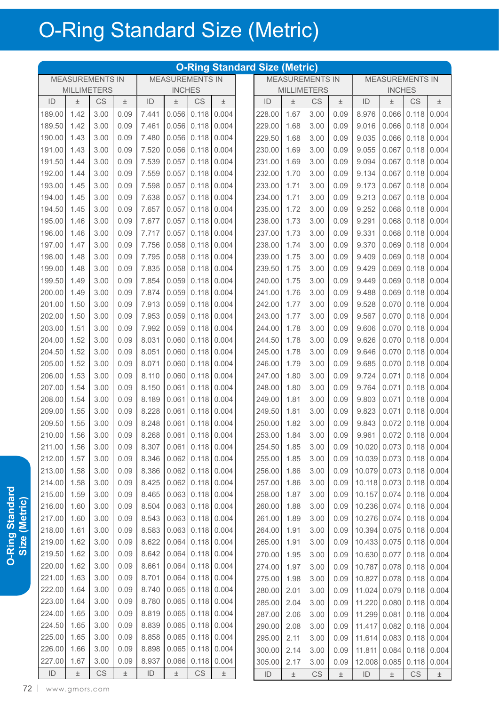|               |                        |                        |       |               |                        |                        |       | <b>O-Ring Standard Size (Metric)</b> |       |                        |       |               |                           |           |               |
|---------------|------------------------|------------------------|-------|---------------|------------------------|------------------------|-------|--------------------------------------|-------|------------------------|-------|---------------|---------------------------|-----------|---------------|
|               | <b>MEASUREMENTS IN</b> |                        |       |               | <b>MEASUREMENTS IN</b> |                        |       |                                      |       | <b>MEASUREMENTS IN</b> |       |               | <b>MEASUREMENTS IN</b>    |           |               |
|               | <b>MILLIMETERS</b>     |                        |       |               | <b>INCHES</b>          |                        |       |                                      |       | <b>MILLIMETERS</b>     |       |               | <b>INCHES</b>             |           |               |
| ID            | $\pm$                  | CS                     | $\pm$ | ID            | Ŧ                      | <b>CS</b>              | $\pm$ | ID                                   | Ŧ     | CS                     | $\pm$ | ID            | $\pm$                     | <b>CS</b> | $\pm$         |
| 189.00        | 1.42                   | 3.00                   | 0.09  | 7.441         | 0.056                  | 0.118                  | 0.004 | 228.00                               | 1.67  | 3.00                   | 0.09  | 8.976         | 0.066                     | 0.118     | 0.004         |
| 189.50        | 1.42                   | 3.00                   | 0.09  | 7.461         | 0.056                  | 0.118                  | 0.004 | 229.00                               | 1.68  | 3.00                   | 0.09  | 9.016         | 0.066                     | 0.118     | 0.004         |
| 190.00        | 1.43                   | 3.00                   | 0.09  | 7.480         | 0.056                  | 0.118                  | 0.004 | 229.50                               | 1.68  | 3.00                   | 0.09  | 9.035         | 0.066                     | 0.118     | 0.004         |
| 191.00        | 1.43                   | 3.00                   | 0.09  | 7.520         | 0.056                  | 0.118                  | 0.004 | 230.00                               | 1.69  | 3.00                   | 0.09  | 9.055         | 0.067                     | 0.118     | 0.004         |
| 191.50        | 1.44                   | 3.00                   | 0.09  | 7.539         | 0.057                  | 0.118                  | 0.004 | 231.00                               | 1.69  | 3.00                   | 0.09  | 9.094         | 0.067                     | 0.118     | 0.004         |
| 192.00        | 1.44                   | 3.00                   | 0.09  | 7.559         | 0.057                  | 0.118                  | 0.004 | 232.00                               | 1.70  | 3.00                   | 0.09  | 9.134         | 0.067                     | 0.118     | 0.004         |
| 193.00        | 1.45                   | 3.00                   | 0.09  | 7.598         | 0.057                  | 0.118                  | 0.004 | 233.00                               | 1.71  | 3.00                   | 0.09  | 9.173         | 0.067                     | 0.118     | 0.004         |
| 194.00        | 1.45                   | 3.00                   | 0.09  | 7.638         | 0.057                  | 0.118                  | 0.004 | 234.00                               | 1.71  | 3.00                   | 0.09  | 9.213         | 0.067                     | 0.118     | 0.004         |
| 194.50        | 1.45                   | 3.00                   | 0.09  | 7.657         | 0.057                  | 0.118                  | 0.004 | 235.00                               | 1.72  | 3.00                   | 0.09  | 9.252         | 0.068                     | 0.118     | 0.004         |
| 195.00        | 1.46                   | 3.00                   | 0.09  | 7.677         | 0.057                  | 0.118                  | 0.004 | 236.00                               | 1.73  | 3.00                   | 0.09  | 9.291         | 0.068                     | 0.118     | 0.004         |
| 196.00        | 1.46                   | 3.00                   | 0.09  | 7.717         | 0.057                  | 0.118                  | 0.004 | 237.00                               | 1.73  | 3.00                   | 0.09  | 9.331         | 0.068                     | 0.118     | 0.004         |
| 197.00        | 1.47                   | 3.00                   | 0.09  | 7.756         | 0.058                  | 0.118                  | 0.004 | 238.00                               | 1.74  | 3.00                   | 0.09  | 9.370         | 0.069                     | 0.118     | 0.004         |
| 198.00        | 1.48                   | 3.00                   | 0.09  | 7.795         | 0.058                  | 0.118                  | 0.004 | 239.00                               | 1.75  | 3.00                   | 0.09  | 9.409         | 0.069                     | 0.118     | 0.004         |
| 199.00        | 1.48                   | 3.00                   | 0.09  | 7.835         | 0.058                  | 0.118                  | 0.004 | 239.50                               | 1.75  | 3.00                   | 0.09  | 9.429         | 0.069                     | 0.118     | 0.004         |
| 199.50        | 1.49                   | 3.00                   | 0.09  | 7.854         | 0.059                  | 0.118                  | 0.004 | 240.00                               | 1.75  | 3.00                   | 0.09  | 9.449         | 0.069                     | 0.118     | 0.004         |
| 200.00        | 1.49                   | 3.00                   | 0.09  | 7.874         | 0.059                  | 0.118                  | 0.004 | 241.00                               | 1.76  | 3.00                   | 0.09  | 9.488         | 0.069                     | 0.118     | 0.004         |
| 201.00        | 1.50                   | 3.00                   | 0.09  | 7.913         | 0.059                  | 0.118                  | 0.004 | 242.00                               | 1.77  | 3.00                   | 0.09  | 9.528         | 0.070                     | 0.118     | 0.004         |
| 202.00        | 1.50                   | 3.00                   | 0.09  | 7.953         | 0.059                  | 0.118                  | 0.004 | 243.00                               | 1.77  | 3.00                   | 0.09  | 9.567         | 0.070                     | 0.118     | 0.004         |
| 203.00        | 1.51                   | 3.00                   | 0.09  | 7.992         | 0.059                  | 0.118                  | 0.004 | 244.00                               | 1.78  | 3.00                   | 0.09  | 9.606         | 0.070                     | 0.118     | 0.004         |
| 204.00        | 1.52                   | 3.00                   | 0.09  | 8.031         | 0.060                  | 0.118                  | 0.004 | 244.50                               | 1.78  | 3.00                   | 0.09  | 9.626         | 0.070                     | 0.118     | 0.004         |
| 204.50        | 1.52                   | 3.00                   | 0.09  | 8.051         | 0.060                  | 0.118                  | 0.004 | 245.00                               | 1.78  | 3.00                   | 0.09  | 9.646         | 0.070                     | 0.118     | 0.004         |
| 205.00        | 1.52                   | 3.00                   | 0.09  | 8.071         | 0.060                  | 0.118                  | 0.004 | 246.00                               | 1.79  | 3.00                   | 0.09  | 9.685         | 0.070                     | 0.118     | 0.004         |
| 206.00        | 1.53                   | 3.00                   | 0.09  | 8.110         | 0.060                  | 0.118                  | 0.004 | 247.00                               | 1.80  | 3.00                   | 0.09  | 9.724         | 0.071                     | 0.118     | 0.004         |
| 207.00        | 1.54                   | 3.00                   | 0.09  | 8.150         | 0.061                  | 0.118                  | 0.004 | 248.00                               | 1.80  | 3.00                   | 0.09  | 9.764         | 0.071                     | 0.118     | 0.004         |
| 208.00        | 1.54                   | 3.00                   | 0.09  | 8.189         | 0.061                  | 0.118                  | 0.004 | 249.00                               | 1.81  | 3.00                   | 0.09  | 9.803         | 0.071                     | 0.118     | 0.004         |
| 209.00        | 1.55                   | 3.00                   | 0.09  | 8.228         | 0.061                  | 0.118                  | 0.004 | 249.50                               | 1.81  | 3.00                   | 0.09  | 9.823         | 0.071                     | 0.118     | 0.004         |
| 209.50        | 1.55                   | 3.00                   | 0.09  | 8.248         | 0.061                  | 0.118                  | 0.004 | 250.00                               | 1.82  | 3.00                   | 0.09  | 9.843         | 0.072                     | 0.118     | 0.004         |
| 210.00 1.56   |                        | 3.00                   | 0.09  | 8.268         |                        | $0.061$ 0.118 0.004    |       | 253.00                               | 1.84  | 3.00                   | 0.09  |               | $9.961$ 0.072 0.118 0.004 |           |               |
| 211.00        | 1.56                   | 3.00                   | 0.09  | 8.307         |                        | $0.061$ 0.118          | 0.004 | 254.50                               | 1.85  | 3.00                   | 0.09  | 10.020 0.073  |                           |           | $0.118$ 0.004 |
| 212.00        | 1.57                   | 3.00                   | 0.09  | 8.346         | 0.062                  | 0.118                  | 0.004 | 255.00                               | 1.85  | 3.00                   | 0.09  | 10.039 0.073  |                           | 0.118     | 0.004         |
| 213.00        | 1.58                   | 3.00                   | 0.09  | 8.386         | 0.062                  | 0.118                  | 0.004 | 256.00                               | 1.86  | 3.00                   | 0.09  | 10.079 0.073  |                           | 0.118     | 0.004         |
| 214.00        | 1.58                   | 3.00                   | 0.09  | 8.425         | 0.062                  | 0.118                  | 0.004 | 257.00                               | 1.86  | 3.00                   | 0.09  | 10.118 0.073  |                           | 0.118     | 0.004         |
| 215.00        | 1.59                   | 3.00                   | 0.09  | 8.465         | 0.063                  | 0.118                  | 0.004 | 258.00                               | 1.87  | 3.00                   | 0.09  | 10.157 0.074  |                           | 0.118     | 0.004         |
| 216.00        | 1.60                   | 3.00                   | 0.09  | 8.504         | 0.063                  | 0.118                  | 0.004 | 260.00                               | 1.88  | 3.00                   | 0.09  | 10.236 0.074  |                           |           | $0.118$ 0.004 |
| 217.00        | 1.60                   | 3.00                   | 0.09  | 8.543         | 0.063                  | 0.118                  | 0.004 | 261.00                               | 1.89  | 3.00                   | 0.09  | 10.276 0.074  |                           | 0.118     | 0.004         |
| 218.00        | 1.61                   | 3.00                   | 0.09  | 8.583         | 0.063                  | 0.118                  | 0.004 | 264.00                               | 1.91  | 3.00                   | 0.09  | 10.394 0.075  |                           | 0.118     | 0.004         |
| 219.00        | 1.62                   | 3.00                   | 0.09  | 8.622         | 0.064                  | 0.118                  | 0.004 | 265.00                               | 1.91  | 3.00                   | 0.09  | 10.433 0.075  |                           | 0.118     | 0.004         |
| 219.50        | 1.62                   | 3.00                   | 0.09  | 8.642         | 0.064                  | 0.118                  | 0.004 | 270.00                               | 1.95  | 3.00                   | 0.09  | 10.630 0.077  |                           |           | 0.118   0.004 |
| 220.00        | 1.62                   | 3.00                   | 0.09  | 8.661         | 0.064                  | 0.118                  | 0.004 | 274.00                               | 1.97  | 3.00                   | 0.09  | 10.787 0.078  |                           |           | $0.118$ 0.004 |
| 221.00        | 1.63                   | 3.00                   | 0.09  | 8.701         | 0.064                  | 0.118                  | 0.004 | 275.00                               | 1.98  | 3.00                   | 0.09  | 10.827 0.078  |                           | 0.118     | 0.004         |
| 222.00        | 1.64                   | 3.00                   | 0.09  | 8.740         | 0.065                  | 0.118                  | 0.004 | 280.00                               | 2.01  | 3.00                   | 0.09  | 11.024 0.079  |                           | 0.118     | 0.004         |
| 223.00        | 1.64                   | 3.00                   | 0.09  | 8.780         | 0.065                  | 0.118                  | 0.004 | 285.00                               | 2.04  | 3.00                   | 0.09  | 11.220        | 0.080                     | 0.118     | 0.004         |
| 224.00        | 1.65                   | 3.00                   | 0.09  | 8.819         | 0.065                  | 0.118                  | 0.004 | 287.00                               | 2.06  | 3.00                   | 0.09  | 11.299        | 0.081                     |           | 0.118   0.004 |
| 224.50        | 1.65                   | 3.00                   | 0.09  | 8.839         | 0.065                  | 0.118                  | 0.004 | 290.00                               | 2.08  | 3.00                   | 0.09  | 11.417        | 0.082                     | 0.118     | 0.004         |
| 225.00        | 1.65                   | 3.00                   | 0.09  | 8.858         | 0.065                  | 0.118                  | 0.004 | 295.00                               | 2.11  | 3.00                   | 0.09  | 11.614        | 0.083                     | 0.118     | 0.004         |
| 226.00        | 1.66                   | 3.00                   | 0.09  | 8.898         | 0.065                  | 0.118                  | 0.004 | 300.00                               | 2.14  | 3.00                   | 0.09  | 11.811        | 0.084                     | 0.118     | 0.004         |
| 227.00        | 1.67                   | 3.00                   | 0.09  | 8.937         | 0.066                  | 0.118                  | 0.004 | 305.00                               | 2.17  | 3.00                   | 0.09  | 12.008        | 0.085                     | 0.118     | 0.004         |
| $\mathsf{ID}$ | $\pm$                  | $\mathbb{C}\mathbb{S}$ | $\pm$ | $\mathsf{ID}$ | $\pm$                  | $\mathbb{C}\mathbb{S}$ | $\pm$ | $\mathsf{ID}$                        | $\pm$ | CS                     | $\pm$ | $\mathsf{ID}$ | $\pm$                     | CS        | $\pm$         |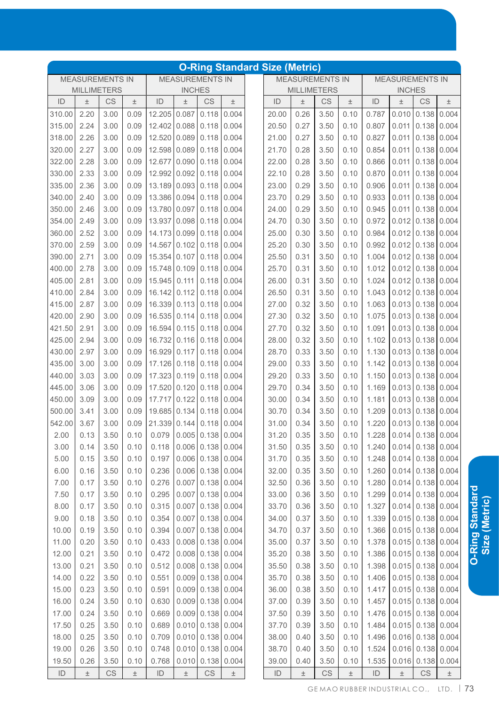|               |                                                                                         |           |       |              |       |                         |       | <b>O-Ring Standard Size (Metric)</b> |                    |                        |       |       |                        |                     |                                 |
|---------------|-----------------------------------------------------------------------------------------|-----------|-------|--------------|-------|-------------------------|-------|--------------------------------------|--------------------|------------------------|-------|-------|------------------------|---------------------|---------------------------------|
|               | <b>MEASUREMENTS IN</b><br><b>MEASUREMENTS IN</b><br><b>MILLIMETERS</b><br><b>INCHES</b> |           |       |              |       |                         |       |                                      |                    | <b>MEASUREMENTS IN</b> |       |       | <b>MEASUREMENTS IN</b> |                     |                                 |
|               |                                                                                         |           |       |              |       |                         |       |                                      | <b>MILLIMETERS</b> |                        |       |       | <b>INCHES</b>          |                     |                                 |
| ID            | 土                                                                                       | <b>CS</b> | 土     | ID           | $\pm$ | CS                      | $\pm$ | ID                                   | 土                  | CS                     | 土     | ID    | Ŧ                      | CS                  | 土                               |
| 310.00        | 2.20                                                                                    | 3.00      | 0.09  | 12.205       | 0.087 | 0.118                   | 0.004 | 20.00                                | 0.26               | 3.50                   | 0.10  | 0.787 | 0.010                  | 0.138               | 0.004                           |
| 315.00        | 2.24                                                                                    | 3.00      | 0.09  | 12.402       | 0.088 | 0.118                   | 0.004 | 20.50                                | 0.27               | 3.50                   | 0.10  | 0.807 | 0.011                  | 0.138               | 0.004                           |
| 318.00        | 2.26                                                                                    | 3.00      | 0.09  | 12.520 0.089 |       | 0.118                   | 0.004 | 21.00                                | 0.27               | 3.50                   | 0.10  | 0.827 | 0.011                  | 0.138               | 0.004                           |
| 320.00        | 2.27                                                                                    | 3.00      | 0.09  | 12.598 0.089 |       | 0.118                   | 0.004 | 21.70                                | 0.28               | 3.50                   | 0.10  | 0.854 | 0.011                  | 0.138               | 0.004                           |
| 322.00        | 2.28                                                                                    | 3.00      | 0.09  | 12.677       | 0.090 | 0.118                   | 0.004 | 22.00                                | 0.28               | 3.50                   | 0.10  | 0.866 | 0.011                  | 0.138               | 0.004                           |
| 330.00        | 2.33                                                                                    | 3.00      | 0.09  | 12.992 0.092 |       | 0.118                   | 0.004 | 22.10                                | 0.28               | 3.50                   | 0.10  | 0.870 | 0.011                  | 0.138               | 0.004                           |
| 335.00        | 2.36                                                                                    | 3.00      | 0.09  | 13.189       | 0.093 | 0.118                   | 0.004 | 23.00                                | 0.29               | 3.50                   | 0.10  | 0.906 | 0.011                  | 0.138               | 0.004                           |
| 340.00        | 2.40                                                                                    | 3.00      | 0.09  | 13.386 0.094 |       | 0.118                   | 0.004 | 23.70                                | 0.29               | 3.50                   | 0.10  | 0.933 | 0.011                  | 0.138               | 0.004                           |
| 350.00        | 2.46                                                                                    | 3.00      | 0.09  | 13.780 0.097 |       | 0.118                   | 0.004 | 24.00                                | 0.29               | 3.50                   | 0.10  | 0.945 | 0.011                  | 0.138               | 0.004                           |
| 354.00        | 2.49                                                                                    | 3.00      | 0.09  | 13.937       | 0.098 | 0.118                   | 0.004 | 24.70                                | 0.30               | 3.50                   | 0.10  | 0.972 |                        | $0.012$ 0.138       | 0.004                           |
| 360.00        | 2.52                                                                                    | 3.00      | 0.09  | 14.173 0.099 |       | 0.118                   | 0.004 | 25.00                                | 0.30               | 3.50                   | 0.10  | 0.984 |                        | $0.012$ 0.138       | 0.004                           |
| 370.00        | 2.59                                                                                    | 3.00      | 0.09  | 14.567       | 0.102 | 0.118                   | 0.004 | 25.20                                | 0.30               | 3.50                   | 0.10  | 0.992 |                        | $0.012$ 0.138       | 0.004                           |
| 390.00        | 2.71                                                                                    | 3.00      | 0.09  | 15.354       | 0.107 | 0.118                   | 0.004 | 25.50                                | 0.31               | 3.50                   | 0.10  | 1.004 |                        | $0.012$ 0.138       | 0.004                           |
| 400.00        | 2.78                                                                                    | 3.00      | 0.09  | 15.748       | 0.109 | 0.118                   | 0.004 | 25.70                                | 0.31               | 3.50                   | 0.10  | 1.012 |                        | $0.012$ 0.138       | 0.004                           |
| 405.00        | 2.81                                                                                    | 3.00      | 0.09  | 15.945       | 0.111 | 0.118                   | 0.004 | 26.00                                | 0.31               | 3.50                   | 0.10  | 1.024 |                        | $0.012$ 0.138       | 0.004                           |
| 410.00        | 2.84                                                                                    | 3.00      | 0.09  | 16.142 0.112 |       | 0.118                   | 0.004 | 26.50                                | 0.31               | 3.50                   | 0.10  | 1.043 |                        | $0.012$ 0.138       | 0.004                           |
| 415.00        | 2.87                                                                                    | 3.00      | 0.09  | 16.339 0.113 |       | 0.118                   | 0.004 | 27.00                                | 0.32               | 3.50                   | 0.10  | 1.063 | 0.013                  | 0.138               | 0.004                           |
| 420.00        | 2.90                                                                                    | 3.00      | 0.09  | 16.535 0.114 |       | 0.118                   | 0.004 | 27.30                                | 0.32               | 3.50                   | 0.10  | 1.075 | 0.013                  | 0.138               | 0.004                           |
| 421.50        | 2.91                                                                                    | 3.00      | 0.09  | 16.594       | 0.115 | 0.118                   | 0.004 | 27.70                                | 0.32               | 3.50                   | 0.10  | 1.091 | 0.013                  | 0.138               | 0.004                           |
| 425.00        | 2.94                                                                                    | 3.00      | 0.09  | 16.732       | 0.116 | 0.118                   | 0.004 | 28.00                                | 0.32               | 3.50                   | 0.10  | 1.102 | 0.013                  | 0.138               | 0.004                           |
| 430.00        | 2.97                                                                                    | 3.00      | 0.09  | 16.929 0.117 |       | 0.118                   | 0.004 | 28.70                                | 0.33               | 3.50                   | 0.10  | 1.130 | 0.013                  | 0.138               | 0.004                           |
| 435.00        | 3.00                                                                                    | 3.00      | 0.09  | 17.126 0.118 |       | 0.118                   | 0.004 | 29.00                                | 0.33               | 3.50                   | 0.10  | 1.142 | 0.013                  | 0.138               | 0.004                           |
| 440.00        | 3.03                                                                                    | 3.00      | 0.09  | 17.323 0.119 |       | 0.118                   | 0.004 | 29.20                                | 0.33               | 3.50                   | 0.10  | 1.150 | 0.013                  | 0.138               | 0.004                           |
| 445.00        | 3.06                                                                                    | 3.00      | 0.09  | 17.520 0.120 |       | 0.118                   | 0.004 | 29.70                                | 0.34               | 3.50                   | 0.10  | 1.169 | 0.013                  | 0.138               | 0.004                           |
| 450.00        | 3.09                                                                                    | 3.00      | 0.09  | 17.717       | 0.122 | 0.118                   | 0.004 | 30.00                                | 0.34               | 3.50                   | 0.10  | 1.181 | 0.013                  | 0.138               | 0.004                           |
| 500.00        | 3.41                                                                                    | 3.00      | 0.09  | 19.685 0.134 |       | 0.118                   | 0.004 | 30.70                                | 0.34               | 3.50                   | 0.10  | 1.209 | 0.013                  | 0.138               | 0.004                           |
| 542.00        | 3.67                                                                                    | 3.00      | 0.09  | 21.339 0.144 |       | 0.118                   | 0.004 | 31.00                                | 0.34               | 3.50                   | 0.10  | 1.220 |                        | $0.013$ 0.138       | 0.004                           |
| 2.00          | 0.13                                                                                    | 3.50      | 0.10  | 0.079        |       | $0.005$ 0.138 0.004     |       | 31.20                                | 0.35               | 3.50                   | 0.10  |       |                        |                     | $1.228$   0.014   0.138   0.004 |
| 3.00          | 0.14                                                                                    | 3.50      | 0.10  | 0.118        |       | $0.006$   0.138   0.004 |       | 31.50                                | 0.35               | 3.50                   | 0.10  | 1.240 |                        | $0.014$ 0.138 0.004 |                                 |
| 5.00          | 0.15                                                                                    | 3.50      | 0.10  | 0.197        |       | $0.006$ 0.138 0.004     |       | 31.70                                | 0.35               | 3.50                   | 0.10  | 1.248 |                        | $0.014$ 0.138 0.004 |                                 |
| 6.00          | 0.16                                                                                    | 3.50      | 0.10  | 0.236        |       | $0.006$ 0.138 0.004     |       | 32.00                                | 0.35               | 3.50                   | 0.10  | 1.260 |                        | $0.014$ 0.138       | 0.004                           |
| 7.00          | 0.17                                                                                    | 3.50      | 0.10  | 0.276        |       | $0.007$ 0.138           | 0.004 | 32.50                                | 0.36               | 3.50                   | 0.10  | 1.280 | 0.014                  | 0.138               | 0.004                           |
| 7.50          | 0.17                                                                                    | 3.50      | 0.10  | 0.295        |       | $0.007$ 0.138 0.004     |       | 33.00                                | 0.36               | 3.50                   | 0.10  | 1.299 | 0.014                  | 0.138               | 0.004                           |
| 8.00          | 0.17                                                                                    | 3.50      | 0.10  | 0.315        |       | $0.007$ 0.138           | 0.004 | 33.70                                | 0.36               | 3.50                   | 0.10  | 1.327 | 0.014                  | 0.138               | 0.004                           |
| 9.00          | 0.18                                                                                    | 3.50      | 0.10  | 0.354        |       | $0.007$ 0.138 0.004     |       | 34.00                                | 0.37               | 3.50                   | 0.10  | 1.339 |                        | $0.015$ 0.138       | 0.004                           |
| 10.00         | 0.19                                                                                    | 3.50      | 0.10  | 0.394        |       | $0.007$ 0.138 0.004     |       | 34.70                                | 0.37               | 3.50                   | 0.10  | 1.366 |                        | $0.015$ 0.138       | 0.004                           |
| 11.00         | 0.20                                                                                    | 3.50      | 0.10  | 0.433        |       | $0.008$ 0.138           | 0.004 | 35.00                                | 0.37               | 3.50                   | 0.10  | 1.378 |                        | $0.015$ 0.138       | 0.004                           |
| 12.00         | 0.21                                                                                    | 3.50      | 0.10  | 0.472        |       | $0.008$ 0.138           | 0.004 | 35.20                                | 0.38               | 3.50                   | 0.10  | 1.386 |                        | $0.015$ 0.138       | 0.004                           |
| 13.00         | 0.21                                                                                    | 3.50      | 0.10  | 0.512        |       | $0.008$ 0.138           | 0.004 | 35.50                                | 0.38               | 3.50                   | 0.10  | 1.398 | 0.015                  | 0.138               | 0.004                           |
| 14.00         | 0.22                                                                                    | 3.50      | 0.10  | 0.551        |       | $0.009$ 0.138           | 0.004 | 35.70                                | 0.38               | 3.50                   | 0.10  | 1.406 | 0.015                  | 0.138               | 0.004                           |
| 15.00         | 0.23                                                                                    | 3.50      | 0.10  | 0.591        |       | $0.009$ 0.138           | 0.004 | 36.00                                | 0.38               | 3.50                   | 0.10  | 1.417 |                        | $0.015$ 0.138 0.004 |                                 |
| 16.00         | 0.24                                                                                    | 3.50      | 0.10  | 0.630        |       | $0.009$ 0.138           | 0.004 | 37.00                                | 0.39               | 3.50                   | 0.10  | 1.457 |                        | $0.015$ 0.138 0.004 |                                 |
| 17.00         | 0.24                                                                                    | 3.50      | 0.10  | 0.669        |       | $0.009$ 0.138           | 0.004 | 37.50                                | 0.39               | 3.50                   | 0.10  | 1.476 | 0.015                  | 0.138               | 0.004                           |
| 17.50         | 0.25                                                                                    | 3.50      | 0.10  | 0.689        |       | $0.010$ 0.138           | 0.004 | 37.70                                | 0.39               | 3.50                   | 0.10  | 1.484 |                        | $0.015$ 0.138       | 0.004                           |
| 18.00         | 0.25                                                                                    | 3.50      | 0.10  | 0.709        |       | $0.010$ 0.138           | 0.004 | 38.00                                | 0.40               | 3.50                   | 0.10  | 1.496 |                        | $0.016$ 0.138       | 0.004                           |
| 19.00         | 0.26                                                                                    | 3.50      | 0.10  | 0.748        |       | $0.010$ 0.138           | 0.004 | 38.70                                | 0.40               | 3.50                   | 0.10  | 1.524 |                        | $0.016$ 0.138       | 0.004                           |
| 19.50         | 0.26                                                                                    | 3.50      | 0.10  | 0.768        |       | $0.010$ 0.138           | 0.004 | 39.00                                | 0.40               | 3.50                   | 0.10  | 1.535 | 0.016                  | 0.138               | 0.004                           |
| $\mathsf{ID}$ | $\pm$                                                                                   | CS        | $\pm$ | ID           | $\pm$ | $\mathbb{C}\mathsf{S}$  | $\pm$ | ID                                   | $\pm$              | CS                     | $\pm$ | ID    | $\pm$                  | CS                  | $\pm$                           |
|               |                                                                                         |           |       |              |       |                         |       |                                      |                    |                        |       |       |                        |                     |                                 |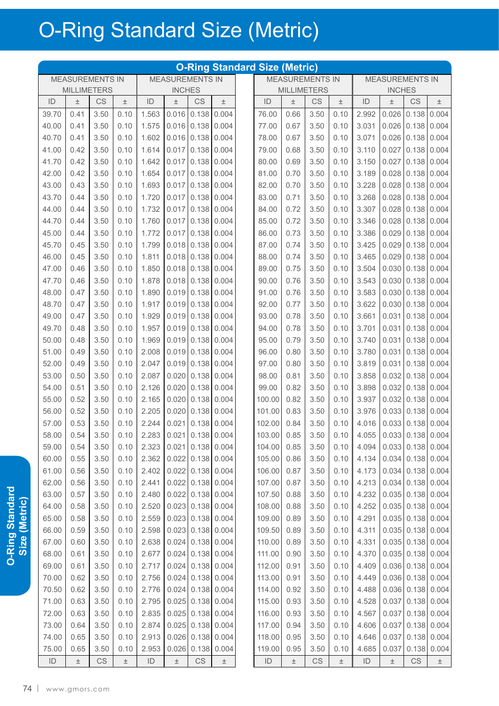|               |                        |                        |       |       |                           |       |                     | <b>O-Ring Standard Size (Metric)</b> |       |                        |       |                         |                        |                        |                    |
|---------------|------------------------|------------------------|-------|-------|---------------------------|-------|---------------------|--------------------------------------|-------|------------------------|-------|-------------------------|------------------------|------------------------|--------------------|
|               | <b>MEASUREMENTS IN</b> |                        |       |       | <b>MEASUREMENTS IN</b>    |       |                     |                                      |       | <b>MEASUREMENTS IN</b> |       |                         | <b>MEASUREMENTS IN</b> |                        |                    |
|               | <b>MILLIMETERS</b>     |                        |       |       | <b>INCHES</b>             |       |                     |                                      |       | <b>MILLIMETERS</b>     |       |                         | <b>INCHES</b>          |                        |                    |
| ID            | $\pm$                  | CS                     | $\pm$ | ID    | $\pm$                     | CS    | $\pm$               | ID                                   | $\pm$ | CS                     | $\pm$ | ID                      | $\pm$                  | CS                     | $\pm$              |
| 39.70         | 0.41                   | 3.50                   | 0.10  | 1.563 | 0.016                     | 0.138 | 0.004               | 76.00                                | 0.66  | 3.50                   | 0.10  | 2.992                   | 0.026                  | 0.138                  | 0.004              |
| 40.00         | 0.41                   | 3.50                   | 0.10  | 1.575 | 0.016                     | 0.138 | 0.004               | 77.00                                | 0.67  | 3.50                   | 0.10  | 3.031                   | 0.026                  | 0.138                  | 0.004              |
| 40.70         | 0.41                   | 3.50                   | 0.10  | 1.602 | 0.016                     | 0.138 | 0.004               | 78.00                                | 0.67  | 3.50                   | 0.10  | 3.071                   | 0.026                  | 0.138                  | 0.004              |
| 41.00         | 0.42                   | 3.50                   | 0.10  | 1.614 | 0.017                     | 0.138 | 0.004               | 79.00                                | 0.68  | 3.50                   | 0.10  | 3.110                   | 0.027                  | 0.138                  | 0.004              |
| 41.70         | 0.42                   | 3.50                   | 0.10  | 1.642 | 0.017                     | 0.138 | 0.004               | 80.00                                | 0.69  | 3.50                   | 0.10  | 3.150                   | 0.027                  | 0.138                  | 0.004              |
| 42.00         | 0.42                   | 3.50                   | 0.10  | 1.654 | 0.017                     | 0.138 | 0.004               | 81.00                                | 0.70  | 3.50                   | 0.10  | 3.189                   | 0.028                  | 0.138                  | 0.004              |
| 43.00         | 0.43                   | 3.50                   | 0.10  | 1.693 | 0.017                     | 0.138 | 0.004               | 82.00                                | 0.70  | 3.50                   | 0.10  | 3.228                   | 0.028                  | 0.138                  | 0.004              |
| 43.70         | 0.44                   | 3.50                   | 0.10  | 1.720 | 0.017                     | 0.138 | 0.004               | 83.00                                | 0.71  | 3.50                   | 0.10  | 3.268                   | 0.028                  | 0.138                  | 0.004              |
| 44.00         | 0.44                   | 3.50                   | 0.10  | 1.732 | 0.017                     | 0.138 | 0.004               | 84.00                                | 0.72  | 3.50                   | 0.10  | 3.307                   | 0.028                  | 0.138                  | 0.004              |
| 44.70         | 0.44                   | 3.50                   | 0.10  | 1.760 | 0.017                     | 0.138 | 0.004               | 85.00                                | 0.72  | 3.50                   | 0.10  | 3.346                   | 0.028                  | 0.138                  | 0.004              |
| 45.00         | 0.44                   | 3.50                   | 0.10  | 1.772 | 0.017                     | 0.138 | 0.004               | 86.00                                | 0.73  | 3.50                   | 0.10  | 3.386                   | 0.029                  | 0.138                  | 0.004              |
| 45.70         | 0.45                   | 3.50                   | 0.10  | 1.799 | 0.018                     | 0.138 | 0.004               | 87.00                                | 0.74  | 3.50                   | 0.10  | 3.425                   | 0.029                  | 0.138                  | 0.004              |
| 46.00         | 0.45                   | 3.50                   | 0.10  | 1.811 | 0.018                     | 0.138 | 0.004               | 88.00                                | 0.74  | 3.50                   | 0.10  | 3.465                   | 0.029                  | 0.138                  | 0.004              |
| 47.00         | 0.46                   | 3.50                   | 0.10  | 1.850 | 0.018                     | 0.138 | 0.004               | 89.00                                | 0.75  | 3.50                   | 0.10  | 3.504                   | 0.030                  | 0.138                  | 0.004              |
| 47.70         | 0.46                   | 3.50                   | 0.10  | 1.878 | 0.018                     | 0.138 | 0.004               | 90.00                                | 0.76  | 3.50                   | 0.10  | 3.543                   | 0.030                  | 0.138                  | 0.004              |
| 48.00         | 0.47                   | 3.50                   | 0.10  | 1.890 | 0.019                     | 0.138 | 0.004               | 91.00                                | 0.76  | 3.50                   | 0.10  | 3.583                   | 0.030                  | 0.138                  | 0.004              |
| 48.70         | 0.47                   | 3.50                   | 0.10  | 1.917 | 0.019                     | 0.138 | 0.004               | 92.00                                | 0.77  | 3.50                   | 0.10  | 3.622                   | 0.030                  | 0.138                  | 0.004              |
| 49.00         | 0.47                   | 3.50                   | 0.10  | 1.929 | 0.019                     | 0.138 | 0.004               | 93.00                                | 0.78  | 3.50                   | 0.10  | 3.661                   | 0.031                  | 0.138                  | 0.004              |
| 49.70         | 0.48                   | 3.50                   | 0.10  | 1.957 | 0.019                     | 0.138 | 0.004               | 94.00                                | 0.78  | 3.50                   | 0.10  | 3.701                   | 0.031                  | 0.138                  | 0.004              |
| 50.00         | 0.48                   | 3.50                   | 0.10  | 1.969 | 0.019                     | 0.138 | 0.004               | 95.00                                | 0.79  | 3.50                   | 0.10  | 3.740                   | 0.031                  | 0.138                  | 0.004              |
| 51.00         | 0.49                   | 3.50                   | 0.10  | 2.008 | 0.019                     | 0.138 | 0.004               | 96.00                                | 0.80  | 3.50                   | 0.10  | 3.780                   | 0.031                  | 0.138                  | 0.004              |
| 52.00         | 0.49                   | 3.50                   | 0.10  | 2.047 | 0.019                     | 0.138 | 0.004               | 97.00                                | 0.80  | 3.50                   | 0.10  | 3.819                   | 0.031                  | 0.138                  | 0.004              |
| 53.00         | 0.50                   | 3.50                   | 0.10  | 2.087 | 0.020                     | 0.138 | 0.004               | 98.00                                | 0.81  | 3.50                   | 0.10  | 3.858                   | 0.032                  | 0.138                  | 0.004              |
| 54.00         | 0.51                   | 3.50                   | 0.10  | 2.126 | 0.020                     | 0.138 | 0.004               | 99.00                                | 0.82  | 3.50                   | 0.10  | 3.898                   | 0.032                  | 0.138                  | 0.004              |
| 55.00         | 0.52                   | 3.50                   | 0.10  | 2.165 | 0.020                     | 0.138 | 0.004               | 100.00                               | 0.82  | 3.50                   | 0.10  | 3.937                   | 0.032                  | 0.138                  | 0.004              |
| 56.00         | 0.52                   | 3.50                   | 0.10  | 2.205 | 0.020                     | 0.138 | 0.004               | 101.00                               | 0.83  | 3.50                   | 0.10  | 3.976                   | 0.033                  | 0.138                  | 0.004              |
| 57.00         | 0.53                   | 3.50                   | 0.10  | 2.244 | 0.021                     | 0.138 | 0.004               | 102.00                               | 0.84  | 3.50                   | 0.10  | 4.016                   | 0.033                  | 0.138                  | 0.004              |
| 58.00         | 0.54                   | 3.50                   | 0.10  |       | $2.283$ 0.021 0.138 0.004 |       |                     | 103.00 0.85                          |       | 3.50                   | 0.10  | 4.055 0.033 0.138 0.004 |                        |                        |                    |
| 59.00         | 0.54                   | 3.50                   | 0.10  | 2.323 |                           |       | $0.021$ 0.138 0.004 | 104.00                               | 0.85  | 3.50                   | 0.10  | 4.094                   |                        | $0.033$ 0.138 0.004    |                    |
| 60.00         | 0.55                   | 3.50                   | 0.10  | 2.362 | 0.022                     |       | $0.138$ 0.004       | 105.00                               | 0.86  | 3.50                   | 0.10  | 4.134                   | 0.034                  |                        | 0.138   0.004      |
| 61.00         | 0.56                   | 3.50                   | 0.10  | 2.402 | 0.022                     |       | $0.138$ 0.004       | 106.00                               | 0.87  | 3.50                   | 0.10  | 4.173                   | 0.034                  |                        | 0.138   0.004      |
| 62.00         | 0.56                   | 3.50                   | 0.10  | 2.441 | 0.022                     |       | $0.138$ 0.004       | 107.00                               | 0.87  | 3.50                   | 0.10  | 4.213                   | 0.034                  |                        | 0.138   0.004      |
| 63.00         | 0.57                   | 3.50                   | 0.10  | 2.480 | 0.022                     |       | 0.138 0.004         | 107.50                               | 0.88  | 3.50                   | 0.10  | 4.232                   | 0.035                  |                        | 0.138   0.004      |
| 64.00         | 0.58                   | 3.50                   | 0.10  | 2.520 | 0.023                     |       | $0.138$ 0.004       | 108.00                               | 0.88  | 3.50                   | 0.10  | 4.252                   | 0.035                  |                        | 0.138   0.004      |
| 65.00         | 0.58                   | 3.50                   | 0.10  | 2.559 | 0.023                     |       | $0.138$ 0.004       | 109.00                               | 0.89  | 3.50                   | 0.10  | 4.291                   |                        | 0.035 0.138 0.004      |                    |
| 66.00         | 0.59                   | 3.50                   | 0.10  | 2.598 | 0.023                     |       | $0.138$ 0.004       | 109.50                               | 0.89  | 3.50                   | 0.10  | 4.311                   | 0.035                  |                        | 0.138   0.004      |
| 67.00         | 0.60                   | 3.50                   | 0.10  | 2.638 | 0.024                     |       | $0.138$ 0.004       | 110.00                               | 0.89  | 3.50                   | 0.10  | 4.331                   | 0.035                  |                        | 0.138   0.004      |
| 68.00         | 0.61                   | 3.50                   | 0.10  | 2.677 | 0.024                     |       | $0.138$ 0.004       | 111.00                               | 0.90  | 3.50                   | 0.10  | 4.370                   |                        | 0.035 0.138 0.004      |                    |
| 69.00         | 0.61                   | 3.50                   | 0.10  | 2.717 | 0.024                     |       | $0.138$ 0.004       | 112.00                               | 0.91  | 3.50                   | 0.10  | 4.409                   |                        | 0.036 0.138 0.004      |                    |
| 70.00         | 0.62                   | 3.50                   | 0.10  | 2.756 | 0.024                     |       | $0.138$ 0.004       | 113.00                               | 0.91  | 3.50                   | 0.10  | 4.449                   |                        | 0.036 0.138 0.004      |                    |
| 70.50         | 0.62                   | 3.50                   | 0.10  | 2.776 | 0.024                     |       | $0.138$ 0.004       | 114.00                               | 0.92  | 3.50                   | 0.10  | 4.488                   | 0.036                  |                        | 0.138   0.004      |
| 71.00         | 0.63                   | 3.50                   | 0.10  | 2.795 | 0.025                     |       | 0.138 0.004         | 115.00                               | 0.93  | 3.50                   | 0.10  | 4.528                   | 0.037                  |                        | 0.138   0.004      |
| 72.00         | 0.63                   | 3.50                   | 0.10  | 2.835 | 0.025                     |       | $0.138$ 0.004       | 116.00                               | 0.93  | 3.50                   | 0.10  | 4.567                   | 0.037                  |                        | 0.138   0.004      |
| 73.00         | 0.64                   | 3.50                   | 0.10  | 2.874 | 0.025                     | 0.138 | 0.004               | 117.00                               | 0.94  | 3.50                   | 0.10  | 4.606                   | 0.037                  |                        | 0.138   0.004      |
| 74.00         | 0.65                   | 3.50                   | 0.10  | 2.913 | 0.026                     | 0.138 | 0.004               | 118.00                               | 0.95  | 3.50                   | 0.10  | 4.646                   | 0.037                  |                        | 0.138   0.004      |
| 75.00         | 0.65                   | 3.50                   | 0.10  | 2.953 | 0.026                     | 0.138 | 0.004               | 119.00                               | 0.95  | 3.50                   | 0.10  | 4.685                   | 0.037                  |                        | $0.138 \mid 0.004$ |
| $\mathsf{ID}$ | $\pm$                  | $\mathbb{C}\mathsf{S}$ | $\pm$ | ID    | $\pm$                     | CS    | $\pm$               | ID                                   | $\pm$ | CS                     | $\pm$ | $\mathsf{ID}$           | $\pm$                  | $\mathbb{C}\mathsf{S}$ | $\pm$              |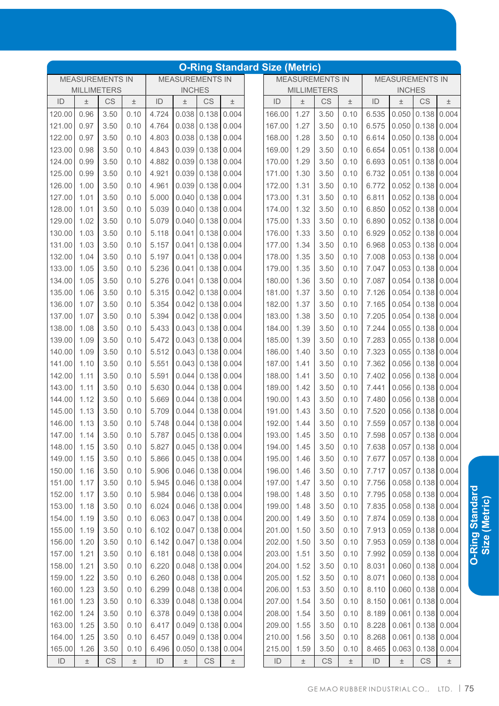|               |                    |                        |       |               |                        |                                |       | <b>O-Ring Standard Size (Metric)</b> |              |                        |              |                |               |                        |               |
|---------------|--------------------|------------------------|-------|---------------|------------------------|--------------------------------|-------|--------------------------------------|--------------|------------------------|--------------|----------------|---------------|------------------------|---------------|
|               |                    | <b>MEASUREMENTS IN</b> |       |               | <b>MEASUREMENTS IN</b> |                                |       |                                      |              | <b>MEASUREMENTS IN</b> |              |                |               | <b>MEASUREMENTS IN</b> |               |
|               | <b>MILLIMETERS</b> |                        |       |               | <b>INCHES</b>          |                                |       |                                      |              | <b>MILLIMETERS</b>     |              |                | <b>INCHES</b> |                        |               |
| ID            | $\pm$              | <b>CS</b>              | $\pm$ | ID            | $\pm$                  | CS                             | $\pm$ | ID                                   | $\pm$        | CS                     | 土            | ID             | 土             | CS                     | $\pm$         |
| 120.00        | 0.96               | 3.50                   | 0.10  | 4.724         | 0.038                  | 0.138                          | 0.004 | 166.00                               | 1.27         | 3.50                   | 0.10         | 6.535          | 0.050         | 0.138                  | 0.004         |
| 121.00        | 0.97               | 3.50                   | 0.10  | 4.764         | 0.038                  | 0.138                          | 0.004 | 167.00                               | 1.27         | 3.50                   | 0.10         | 6.575          | 0.050         | 0.138                  | 0.004         |
| 122.00        | 0.97               | 3.50                   | 0.10  | 4.803         | 0.038                  | 0.138                          | 0.004 | 168.00                               | 1.28         | 3.50                   | 0.10         | 6.614          | 0.050         | 0.138                  | 0.004         |
| 123.00        | 0.98               | 3.50                   | 0.10  | 4.843         | 0.039                  | 0.138                          | 0.004 | 169.00                               | 1.29         | 3.50                   | 0.10         | 6.654          | 0.051         | 0.138                  | 0.004         |
| 124.00        | 0.99               | 3.50                   | 0.10  | 4.882         | 0.039                  | 0.138                          | 0.004 | 170.00                               | 1.29         | 3.50                   | 0.10         | 6.693          | 0.051         | 0.138                  | 0.004         |
| 125.00        | 0.99               | 3.50                   | 0.10  | 4.921         | 0.039                  | 0.138                          | 0.004 | 171.00                               | 1.30         | 3.50                   | 0.10         | 6.732          | 0.051         | 0.138                  | 0.004         |
| 126.00        | 1.00               | 3.50                   | 0.10  | 4.961         | 0.039                  | 0.138                          | 0.004 | 172.00                               | 1.31         | 3.50                   | 0.10         | 6.772          | 0.052         | 0.138                  | 0.004         |
| 127.00        | 1.01               | 3.50                   | 0.10  | 5.000         | 0.040                  | 0.138                          | 0.004 | 173.00                               | 1.31         | 3.50                   | 0.10         | 6.811          | 0.052         | 0.138                  | 0.004         |
| 128.00        | 1.01               | 3.50                   | 0.10  | 5.039         | 0.040                  | 0.138                          | 0.004 | 174.00                               | 1.32         | 3.50                   | 0.10         | 6.850          | 0.052         | 0.138                  | 0.004         |
| 129.00        | 1.02               | 3.50                   | 0.10  | 5.079         | 0.040                  | 0.138                          | 0.004 | 175.00                               | 1.33         | 3.50                   | 0.10         | 6.890          | 0.052         | 0.138                  | 0.004         |
| 130.00        | 1.03               | 3.50                   | 0.10  | 5.118         | 0.041                  | 0.138                          | 0.004 | 176.00                               | 1.33         | 3.50                   | 0.10         | 6.929          | 0.052         | 0.138                  | 0.004         |
| 131.00        | 1.03               | 3.50                   | 0.10  | 5.157         | 0.041                  | 0.138                          | 0.004 | 177.00                               | 1.34         | 3.50                   | 0.10         | 6.968          | 0.053         | 0.138                  | 0.004         |
| 132.00        | 1.04               | 3.50                   | 0.10  | 5.197         | 0.041                  | 0.138                          | 0.004 | 178.00                               | 1.35         | 3.50                   | 0.10         | 7.008          | 0.053         | 0.138                  | 0.004         |
| 133.00        | 1.05               | 3.50                   | 0.10  | 5.236         | 0.041                  | 0.138                          | 0.004 | 179.00                               | 1.35         | 3.50                   | 0.10         | 7.047          | 0.053         | 0.138                  | 0.004         |
| 134.00        | 1.05               | 3.50                   | 0.10  | 5.276         | 0.041                  | 0.138                          | 0.004 | 180.00                               | 1.36         | 3.50                   | 0.10         | 7.087          | 0.054         | 0.138                  | 0.004         |
| 135.00        | 1.06               | 3.50                   | 0.10  | 5.315         | 0.042                  | 0.138                          | 0.004 | 181.00                               | 1.37         | 3.50                   | 0.10         | 7.126          | 0.054         | 0.138                  | 0.004         |
| 136.00        | 1.07               | 3.50                   | 0.10  | 5.354         | 0.042                  | 0.138                          | 0.004 | 182.00                               | 1.37         | 3.50                   | 0.10         | 7.165          | 0.054         | 0.138                  | 0.004         |
| 137.00        | 1.07               | 3.50                   | 0.10  | 5.394         | 0.042                  | 0.138                          | 0.004 | 183.00                               | 1.38         | 3.50                   | 0.10         | 7.205          | 0.054         | 0.138                  | 0.004         |
| 138.00        | 1.08               | 3.50                   | 0.10  | 5.433         | 0.043                  | 0.138                          | 0.004 | 184.00                               | 1.39         | 3.50                   | 0.10         | 7.244          | 0.055         | 0.138                  | 0.004         |
| 139.00        | 1.09               | 3.50                   | 0.10  | 5.472         | 0.043                  | 0.138                          | 0.004 | 185.00                               | 1.39         | 3.50                   | 0.10         | 7.283          | 0.055         | 0.138                  | 0.004         |
| 140.00        | 1.09               | 3.50                   | 0.10  | 5.512         | 0.043                  | 0.138                          | 0.004 | 186.00                               | 1.40         | 3.50                   | 0.10         | 7.323          | 0.055         | 0.138                  | 0.004         |
| 141.00        | 1.10               | 3.50                   | 0.10  | 5.551         | 0.043                  | 0.138                          | 0.004 | 187.00                               | 1.41         | 3.50                   | 0.10         | 7.362          | 0.056         | 0.138                  | 0.004         |
| 142.00        | 1.11               | 3.50                   | 0.10  | 5.591         | 0.044                  | 0.138                          | 0.004 | 188.00                               | 1.41         | 3.50                   | 0.10         | 7.402          | 0.056         | 0.138                  | 0.004         |
| 143.00        | 1.11               | 3.50                   | 0.10  | 5.630         | 0.044                  | 0.138                          | 0.004 | 189.00                               | 1.42         | 3.50                   | 0.10         | 7.441          | 0.056         | 0.138                  | 0.004         |
| 144.00        | 1.12               | 3.50                   | 0.10  | 5.669         | 0.044                  | 0.138                          | 0.004 | 190.00                               | 1.43         | 3.50                   | 0.10         | 7.480          | 0.056         | 0.138                  | 0.004         |
| 145.00        | 1.13               | 3.50                   | 0.10  | 5.709         | 0.044                  | 0.138                          | 0.004 | 191.00                               | 1.43         | 3.50                   | 0.10         | 7.520          | 0.056         | 0.138                  | 0.004         |
| 146.00        | 1.13               | 3.50                   | 0.10  | 5.748         | 0.044                  | 0.138                          | 0.004 | 192.00                               | 1.44         | 3.50                   | 0.10         | 7.559          | 0.057         | 0.138                  | 0.004         |
| 147.00        | 1.14               | 3.50                   | 0.10  | 5.787         |                        | $0.045$ 0.138 0.004            |       | 193.00                               | 1.45         | 3.50                   | 0.10         | 7.598          |               | $0.057$ 0.138 0.004    |               |
| 148.00        | 1.15               | 3.50                   | 0.10  | 5.827         |                        | $0.045$ 0.138 0.004            |       | 194.00                               | 1.45         | 3.50                   | 0.10         | 7.638          |               | $0.057$ 0.138 0.004    |               |
| 149.00        | 1.15               | 3.50                   | 0.10  | 5.866         |                        | $0.045$ 0.138                  | 0.004 | 195.00                               | 1.46         | 3.50                   | 0.10         | 7.677          | 0.057         | $0.138 \mid 0.004$     |               |
| 150.00        | 1.16               | 3.50                   | 0.10  | 5.906         |                        | $0.046$ 0.138 0.004            |       | 196.00                               | 1.46         | 3.50                   | 0.10         | 7.717          | 0.057         |                        | $0.138$ 0.004 |
| 151.00        | 1.17               | 3.50                   | 0.10  | 5.945         |                        | $0.046$ 0.138 0.004            |       | 197.00                               | 1.47         | 3.50                   | 0.10         | 7.756          | 0.058         |                        | $0.138$ 0.004 |
| 152.00        | 1.17               | 3.50                   | 0.10  | 5.984         |                        | $0.046$ 0.138                  | 0.004 | 198.00                               | 1.48         | 3.50                   | 0.10         | 7.795          | 0.058         | $0.138$ 0.004          |               |
| 153.00        | 1.18               | 3.50                   | 0.10  | 6.024         |                        | $0.046$ 0.138                  | 0.004 | 199.00                               | 1.48         | 3.50                   | 0.10         | 7.835          | 0.058         |                        | $0.138$ 0.004 |
| 154.00        | 1.19               | 3.50                   | 0.10  | 6.063         | 0.047                  | 0.138                          | 0.004 | 200.00                               | 1.49         | 3.50                   | 0.10         | 7.874          |               | $0.059$ 0.138 0.004    |               |
| 155.00        | 1.19               | 3.50                   | 0.10  | 6.102         | 0.047                  | 0.138                          | 0.004 | 201.00                               | 1.50         | 3.50                   | 0.10         | 7.913          | 0.059         |                        | $0.138$ 0.004 |
| 156.00        | 1.20               | 3.50                   | 0.10  | 6.142         | 0.047                  | 0.138                          | 0.004 | 202.00                               | 1.50         | 3.50                   | 0.10         | 7.953          | 0.059         |                        | $0.138$ 0.004 |
| 157.00        | 1.21               | 3.50                   | 0.10  | 6.181         |                        | $0.048$ 0.138                  | 0.004 | 203.00                               | 1.51         | 3.50                   | 0.10         | 7.992          |               | $0.059$ 0.138 0.004    |               |
| 158.00        | 1.21               | 3.50                   | 0.10  | 6.220         |                        | $0.048$ 0.138                  | 0.004 | 204.00                               | 1.52         | 3.50                   | 0.10         | 8.031          | 0.060         | 0.138                  | 0.004         |
| 159.00        | 1.22               | 3.50                   | 0.10  | 6.260         |                        | $0.048$ 0.138                  | 0.004 |                                      |              |                        |              | 8.071          | 0.060         | $0.138$ 0.004          |               |
| 160.00        | 1.23               | 3.50                   | 0.10  | 6.299         |                        | $0.048$ 0.138                  | 0.004 | 205.00<br>206.00                     | 1.52         | 3.50                   | 0.10         |                |               | $0.060$ 0.138 0.004    |               |
| 161.00        | 1.23               | 3.50                   | 0.10  | 6.339         |                        | $0.048$ 0.138                  | 0.004 | 207.00                               | 1.53<br>1.54 | 3.50<br>3.50           | 0.10         | 8.110<br>8.150 | 0.061         |                        | $0.138$ 0.004 |
|               |                    | 3.50                   |       |               |                        | $0.049$ 0.138                  | 0.004 | 208.00                               |              |                        | 0.10<br>0.10 | 8.189          | 0.061         |                        | $0.138$ 0.004 |
| 162.00        | 1.24               |                        | 0.10  | 6.378         |                        |                                |       |                                      | 1.54         | 3.50                   |              |                |               |                        |               |
| 163.00        | 1.25               | 3.50                   | 0.10  | 6.417         |                        | $0.049$ 0.138<br>$0.049$ 0.138 | 0.004 | 209.00                               | 1.55         | 3.50                   | 0.10         | 8.228          | 0.061         | 0.138                  | 0.004         |
| 164.00        | 1.25               | 3.50                   | 0.10  | 6.457         |                        |                                | 0.004 | 210.00                               | 1.56         | 3.50                   | 0.10         | 8.268          | 0.061         | 0.138                  | 0.004         |
| 165.00        | 1.26               | 3.50                   | 0.10  | 6.496         | 0.050                  | 0.138                          | 0.004 | 215.00                               | 1.59         | 3.50                   | 0.10         | 8.465          | 0.063         | 0.138                  | 0.004         |
| $\mathsf{ID}$ | $\pm$              | CS                     | $\pm$ | $\mathsf{ID}$ | $\pm$                  | $\mathbb{C}\mathbb{S}$         | $\pm$ | $\mathsf{ID}$                        | $\pm$        | CS                     | $\pm$        | $\mathsf{ID}$  | $\pm$         | $\mathbb{C}\mathbb{S}$ | $\pm$         |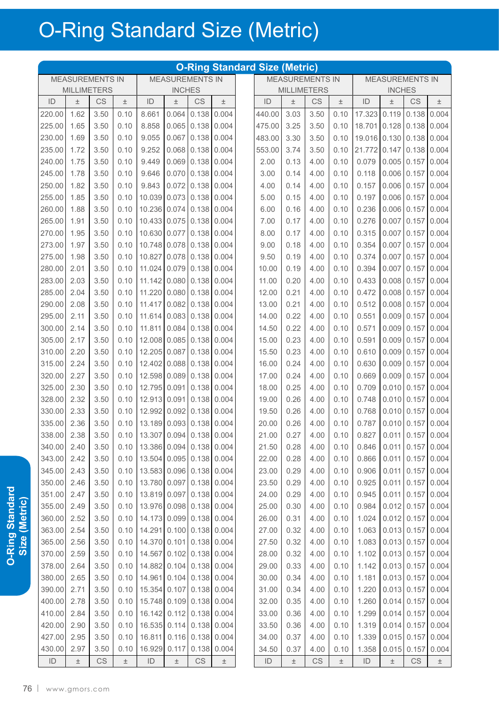| <b>MEASUREMENTS IN</b><br><b>MEASUREMENTS IN</b><br><b>MEASUREMENTS IN</b><br><b>MEASUREMENTS IN</b><br><b>MILLIMETERS</b><br><b>INCHES</b><br><b>MILLIMETERS</b><br><b>INCHES</b><br><b>CS</b><br>CS<br>ID<br>CS<br>ID<br>CS<br>ID<br>ID<br>$\pm$<br>土<br>$\pm$<br>$\pm$<br>土<br>土<br>土<br>1.62<br>220.00<br>3.50<br>0.10<br>8.661<br>0.064<br>0.138<br>0.004<br>440.00<br>3.03<br>3.50<br>0.10<br>17.323<br>0.119<br>0.138<br>1.65<br>8.858<br>3.25<br>3.50<br>225.00<br>3.50<br>0.10<br>0.065<br>0.138<br>0.004<br>475.00<br>0.10<br>18.701<br>0.128<br>0.138<br>1.69<br>3.30<br>230.00<br>3.50<br>9.055<br>0.067<br>0.138<br>0.004<br>483.00<br>3.50<br>0.10<br>19.016 0.130<br>0.138<br>0.10<br>235.00<br>21.772<br>1.72<br>3.50<br>0.10<br>9.252<br>0.068<br>0.138<br>0.004<br>553.00<br>3.74<br>3.50<br>0.10<br>0.147<br>0.138<br>240.00<br>1.75<br>3.50<br>9.449<br>0.069<br>0.138<br>0.004<br>2.00<br>0.13<br>4.00<br>0.10<br>0.079<br>0.005<br>0.157<br>0.10<br>245.00<br>1.78<br>3.50<br>9.646<br>0.070<br>0.138<br>0.004<br>0.14<br>0.10<br>0.118<br>0.006<br>0.157<br>0.10<br>3.00<br>4.00<br>250.00<br>1.82<br>3.50<br>0.10<br>9.843<br>0.072<br>0.138<br>0.004<br>0.14<br>4.00<br>0.10<br>0.157<br>0.006<br>0.157<br>4.00<br>255.00<br>1.85<br>3.50<br>10.039<br>0.073<br>0.138<br>0.004<br>0.15<br>0.10<br>0.197<br>0.006<br>0.157<br>0.10<br>5.00<br>4.00<br>1.88<br>0.138<br>260.00<br>3.50<br>0.10<br>10.236<br>0.074<br>0.004<br>6.00<br>0.16<br>4.00<br>0.10<br>0.236<br>0.006<br>0.157<br>265.00<br>1.91<br>0.276<br>3.50<br>0.10<br>10.433<br>0.075<br>0.138<br>0.004<br>0.17<br>4.00<br>0.10<br>0.007<br>0.157<br>7.00<br>270.00<br>1.95<br>10.630<br>0.077<br>0.138<br>0.004<br>0.17<br>0.315<br>0.007<br>3.50<br>0.10<br>8.00<br>4.00<br>0.10 |                |
|-------------------------------------------------------------------------------------------------------------------------------------------------------------------------------------------------------------------------------------------------------------------------------------------------------------------------------------------------------------------------------------------------------------------------------------------------------------------------------------------------------------------------------------------------------------------------------------------------------------------------------------------------------------------------------------------------------------------------------------------------------------------------------------------------------------------------------------------------------------------------------------------------------------------------------------------------------------------------------------------------------------------------------------------------------------------------------------------------------------------------------------------------------------------------------------------------------------------------------------------------------------------------------------------------------------------------------------------------------------------------------------------------------------------------------------------------------------------------------------------------------------------------------------------------------------------------------------------------------------------------------------------------------------------------------------------------------------------------------------------------------------------------|----------------|
|                                                                                                                                                                                                                                                                                                                                                                                                                                                                                                                                                                                                                                                                                                                                                                                                                                                                                                                                                                                                                                                                                                                                                                                                                                                                                                                                                                                                                                                                                                                                                                                                                                                                                                                                                                         |                |
|                                                                                                                                                                                                                                                                                                                                                                                                                                                                                                                                                                                                                                                                                                                                                                                                                                                                                                                                                                                                                                                                                                                                                                                                                                                                                                                                                                                                                                                                                                                                                                                                                                                                                                                                                                         |                |
|                                                                                                                                                                                                                                                                                                                                                                                                                                                                                                                                                                                                                                                                                                                                                                                                                                                                                                                                                                                                                                                                                                                                                                                                                                                                                                                                                                                                                                                                                                                                                                                                                                                                                                                                                                         | $\pm$          |
|                                                                                                                                                                                                                                                                                                                                                                                                                                                                                                                                                                                                                                                                                                                                                                                                                                                                                                                                                                                                                                                                                                                                                                                                                                                                                                                                                                                                                                                                                                                                                                                                                                                                                                                                                                         | 0.004          |
|                                                                                                                                                                                                                                                                                                                                                                                                                                                                                                                                                                                                                                                                                                                                                                                                                                                                                                                                                                                                                                                                                                                                                                                                                                                                                                                                                                                                                                                                                                                                                                                                                                                                                                                                                                         | 0.004          |
|                                                                                                                                                                                                                                                                                                                                                                                                                                                                                                                                                                                                                                                                                                                                                                                                                                                                                                                                                                                                                                                                                                                                                                                                                                                                                                                                                                                                                                                                                                                                                                                                                                                                                                                                                                         | 0.004          |
|                                                                                                                                                                                                                                                                                                                                                                                                                                                                                                                                                                                                                                                                                                                                                                                                                                                                                                                                                                                                                                                                                                                                                                                                                                                                                                                                                                                                                                                                                                                                                                                                                                                                                                                                                                         | 0.004          |
|                                                                                                                                                                                                                                                                                                                                                                                                                                                                                                                                                                                                                                                                                                                                                                                                                                                                                                                                                                                                                                                                                                                                                                                                                                                                                                                                                                                                                                                                                                                                                                                                                                                                                                                                                                         | 0.004          |
|                                                                                                                                                                                                                                                                                                                                                                                                                                                                                                                                                                                                                                                                                                                                                                                                                                                                                                                                                                                                                                                                                                                                                                                                                                                                                                                                                                                                                                                                                                                                                                                                                                                                                                                                                                         | 0.004          |
|                                                                                                                                                                                                                                                                                                                                                                                                                                                                                                                                                                                                                                                                                                                                                                                                                                                                                                                                                                                                                                                                                                                                                                                                                                                                                                                                                                                                                                                                                                                                                                                                                                                                                                                                                                         | 0.004          |
|                                                                                                                                                                                                                                                                                                                                                                                                                                                                                                                                                                                                                                                                                                                                                                                                                                                                                                                                                                                                                                                                                                                                                                                                                                                                                                                                                                                                                                                                                                                                                                                                                                                                                                                                                                         | 0.004          |
|                                                                                                                                                                                                                                                                                                                                                                                                                                                                                                                                                                                                                                                                                                                                                                                                                                                                                                                                                                                                                                                                                                                                                                                                                                                                                                                                                                                                                                                                                                                                                                                                                                                                                                                                                                         | 0.004          |
|                                                                                                                                                                                                                                                                                                                                                                                                                                                                                                                                                                                                                                                                                                                                                                                                                                                                                                                                                                                                                                                                                                                                                                                                                                                                                                                                                                                                                                                                                                                                                                                                                                                                                                                                                                         | 0.004          |
|                                                                                                                                                                                                                                                                                                                                                                                                                                                                                                                                                                                                                                                                                                                                                                                                                                                                                                                                                                                                                                                                                                                                                                                                                                                                                                                                                                                                                                                                                                                                                                                                                                                                                                                                                                         | 0.004<br>0.157 |
| 273.00<br>1.97<br>3.50<br>0.10<br>10.748<br>0.078<br>0.138<br>0.18<br>0.10<br>0.354<br>0.007<br>0.157<br>0.004<br>9.00<br>4.00                                                                                                                                                                                                                                                                                                                                                                                                                                                                                                                                                                                                                                                                                                                                                                                                                                                                                                                                                                                                                                                                                                                                                                                                                                                                                                                                                                                                                                                                                                                                                                                                                                          | 0.004          |
| 275.00<br>0.374<br>1.98<br>3.50<br>10.827<br>0.078<br>0.138<br>0.004<br>0.19<br>0.007<br>0.157<br>0.10<br>9.50<br>4.00<br>0.10                                                                                                                                                                                                                                                                                                                                                                                                                                                                                                                                                                                                                                                                                                                                                                                                                                                                                                                                                                                                                                                                                                                                                                                                                                                                                                                                                                                                                                                                                                                                                                                                                                          | 0.004          |
| 2.01<br>0.394<br>280.00<br>3.50<br>0.10<br>11.024<br>0.079<br>0.138<br>0.004<br>10.00<br>0.19<br>4.00<br>0.10<br>0.007<br>0.157                                                                                                                                                                                                                                                                                                                                                                                                                                                                                                                                                                                                                                                                                                                                                                                                                                                                                                                                                                                                                                                                                                                                                                                                                                                                                                                                                                                                                                                                                                                                                                                                                                         | 0.004          |
| 283.00<br>2.03<br>11.142<br>0.080<br>0.138<br>0.004<br>3.50<br>0.10<br>11.00<br>0.20<br>4.00<br>0.10<br>0.433<br>0.008<br>0.157                                                                                                                                                                                                                                                                                                                                                                                                                                                                                                                                                                                                                                                                                                                                                                                                                                                                                                                                                                                                                                                                                                                                                                                                                                                                                                                                                                                                                                                                                                                                                                                                                                         | 0.004          |
| 285.00<br>2.04<br>3.50<br>0.10<br>11.220<br>0.080<br>0.138<br>0.004<br>12.00<br>0.21<br>4.00<br>0.472<br>0.008<br>0.157<br>0.10                                                                                                                                                                                                                                                                                                                                                                                                                                                                                                                                                                                                                                                                                                                                                                                                                                                                                                                                                                                                                                                                                                                                                                                                                                                                                                                                                                                                                                                                                                                                                                                                                                         | 0.004          |
| 290.00<br>2.08<br>3.50<br>11.417<br>0.082<br>0.138<br>0.004<br>13.00<br>0.21<br>0.10<br>0.512<br>0.008<br>0.157<br>0.10<br>4.00                                                                                                                                                                                                                                                                                                                                                                                                                                                                                                                                                                                                                                                                                                                                                                                                                                                                                                                                                                                                                                                                                                                                                                                                                                                                                                                                                                                                                                                                                                                                                                                                                                         | 0.004          |
| 295.00<br>2.11<br>3.50<br>0.10<br>11.614<br>0.083<br>0.138<br>0.004<br>14.00<br>0.22<br>4.00<br>0.10<br>0.551<br>0.009<br>0.157                                                                                                                                                                                                                                                                                                                                                                                                                                                                                                                                                                                                                                                                                                                                                                                                                                                                                                                                                                                                                                                                                                                                                                                                                                                                                                                                                                                                                                                                                                                                                                                                                                         | 0.004          |
| 300.00<br>2.14<br>3.50<br>11.811<br>0.084<br>0.138<br>0.004<br>14.50<br>0.22<br>0.10<br>0.571<br>0.009<br>0.157<br>0.10<br>4.00                                                                                                                                                                                                                                                                                                                                                                                                                                                                                                                                                                                                                                                                                                                                                                                                                                                                                                                                                                                                                                                                                                                                                                                                                                                                                                                                                                                                                                                                                                                                                                                                                                         | 0.004          |
| 0.591<br>305.00<br>2.17<br>3.50<br>0.10<br>12.008<br>0.085<br>0.138<br>0.004<br>15.00<br>0.23<br>4.00<br>0.10<br>0.009<br>0.157                                                                                                                                                                                                                                                                                                                                                                                                                                                                                                                                                                                                                                                                                                                                                                                                                                                                                                                                                                                                                                                                                                                                                                                                                                                                                                                                                                                                                                                                                                                                                                                                                                         | 0.004          |
| 0.087<br>0.610<br>0.009<br>310.00<br>2.20<br>3.50<br>0.10<br>12.205<br>0.138<br>0.004<br>15.50<br>0.23<br>4.00<br>0.10<br>0.157                                                                                                                                                                                                                                                                                                                                                                                                                                                                                                                                                                                                                                                                                                                                                                                                                                                                                                                                                                                                                                                                                                                                                                                                                                                                                                                                                                                                                                                                                                                                                                                                                                         | 0.004          |
| 315.00<br>2.24<br>12.402<br>0.088<br>0.138<br>0.24<br>0.630<br>0.009<br>3.50<br>0.10<br>0.004<br>16.00<br>4.00<br>0.10<br>0.157                                                                                                                                                                                                                                                                                                                                                                                                                                                                                                                                                                                                                                                                                                                                                                                                                                                                                                                                                                                                                                                                                                                                                                                                                                                                                                                                                                                                                                                                                                                                                                                                                                         | 0.004          |
| 320.00<br>2.27<br>3.50<br>0.10<br>12.598<br>0.089<br>0.138<br>17.00<br>0.24<br>4.00<br>0.10<br>0.669<br>0.009<br>0.157<br>0.004                                                                                                                                                                                                                                                                                                                                                                                                                                                                                                                                                                                                                                                                                                                                                                                                                                                                                                                                                                                                                                                                                                                                                                                                                                                                                                                                                                                                                                                                                                                                                                                                                                         | 0.004          |
| 2.30<br>325.00<br>3.50<br>12.795<br>0.091<br>0.138<br>18.00<br>0.25<br>0.709<br>0.010<br>0.157<br>0.10<br>0.004<br>4.00<br>0.10                                                                                                                                                                                                                                                                                                                                                                                                                                                                                                                                                                                                                                                                                                                                                                                                                                                                                                                                                                                                                                                                                                                                                                                                                                                                                                                                                                                                                                                                                                                                                                                                                                         | 0.004          |
| 2.32<br>0.748<br>328.00<br>3.50<br>0.10<br>12.913<br>0.091<br>0.138<br>0.004<br>19.00<br>0.26<br>4.00<br>0.10<br>0.010<br>0.157                                                                                                                                                                                                                                                                                                                                                                                                                                                                                                                                                                                                                                                                                                                                                                                                                                                                                                                                                                                                                                                                                                                                                                                                                                                                                                                                                                                                                                                                                                                                                                                                                                         | 0.004          |
| 330.00<br>2.33<br>12.992<br>0.092<br>0.138<br>0.004<br>3.50<br>0.10<br>19.50<br>0.26<br>0.10<br>0.768<br>0.010<br>0.157<br>4.00                                                                                                                                                                                                                                                                                                                                                                                                                                                                                                                                                                                                                                                                                                                                                                                                                                                                                                                                                                                                                                                                                                                                                                                                                                                                                                                                                                                                                                                                                                                                                                                                                                         | 0.004          |
| 335.00<br>2.36<br>0.138<br>0.010<br>3.50<br>0.10<br>13.189<br>0.093<br>0.004<br>20.00<br>0.26<br>4.00<br>0.10<br>0.787<br>0.157                                                                                                                                                                                                                                                                                                                                                                                                                                                                                                                                                                                                                                                                                                                                                                                                                                                                                                                                                                                                                                                                                                                                                                                                                                                                                                                                                                                                                                                                                                                                                                                                                                         | 0.004          |
| 13.307 0.094 0.138 0.004<br>2.38<br>3.50<br>21.00<br>0.27<br>4.00<br>0.10<br>0.827<br>$0.011$ 0.157 0.004<br>338.00<br>0.10                                                                                                                                                                                                                                                                                                                                                                                                                                                                                                                                                                                                                                                                                                                                                                                                                                                                                                                                                                                                                                                                                                                                                                                                                                                                                                                                                                                                                                                                                                                                                                                                                                             |                |
| 13.386 0.094 0.138 0.004<br>21.50<br>0.846<br>$0.011$ 0.157 0.004<br>340.00<br>2.40<br>3.50<br>0.28<br>4.00<br>0.10<br>0.10                                                                                                                                                                                                                                                                                                                                                                                                                                                                                                                                                                                                                                                                                                                                                                                                                                                                                                                                                                                                                                                                                                                                                                                                                                                                                                                                                                                                                                                                                                                                                                                                                                             |                |
| 343.00<br>3.50<br>13.504 0.095 0.138 0.004<br>22.00<br>0.866<br>0.011<br>2.42<br>0.10<br>0.28<br>4.00<br>0.10                                                                                                                                                                                                                                                                                                                                                                                                                                                                                                                                                                                                                                                                                                                                                                                                                                                                                                                                                                                                                                                                                                                                                                                                                                                                                                                                                                                                                                                                                                                                                                                                                                                           | $0.157$ 0.004  |
| 0.906<br>345.00<br>2.43<br>3.50<br>13.583 0.096 0.138 0.004<br>23.00<br>0.29<br>4.00<br>0.10<br>0.011<br>0.10                                                                                                                                                                                                                                                                                                                                                                                                                                                                                                                                                                                                                                                                                                                                                                                                                                                                                                                                                                                                                                                                                                                                                                                                                                                                                                                                                                                                                                                                                                                                                                                                                                                           | $0.157$ 0.004  |
| 350.00<br>0.925<br>2.46<br>3.50<br>13.780 0.097<br>$0.138$ 0.004<br>23.50<br>0.29<br>4.00<br>0.10<br>0.011<br>0.10                                                                                                                                                                                                                                                                                                                                                                                                                                                                                                                                                                                                                                                                                                                                                                                                                                                                                                                                                                                                                                                                                                                                                                                                                                                                                                                                                                                                                                                                                                                                                                                                                                                      | $0.157$ 0.004  |
| 0.945<br>351.00<br>2.47<br>13.819 0.097<br>$0.138$ 0.004<br>24.00<br>0.29<br>4.00<br>0.10<br>0.011<br>3.50<br>0.10                                                                                                                                                                                                                                                                                                                                                                                                                                                                                                                                                                                                                                                                                                                                                                                                                                                                                                                                                                                                                                                                                                                                                                                                                                                                                                                                                                                                                                                                                                                                                                                                                                                      | $0.157$ 0.004  |
| 13.976 0.098 0.138 0.004<br>25.00<br>0.984<br>355.00<br>2.49<br>3.50<br>0.30<br>4.00<br>0.10<br>$0.012$ 0.157<br>0.10                                                                                                                                                                                                                                                                                                                                                                                                                                                                                                                                                                                                                                                                                                                                                                                                                                                                                                                                                                                                                                                                                                                                                                                                                                                                                                                                                                                                                                                                                                                                                                                                                                                   | 0.004          |
| 360.00<br>14.173 0.099 0.138 0.004<br>1.024<br>2.52<br>3.50<br>26.00<br>0.31<br>4.00<br>0.10<br>$0.012$ 0.157 0.004<br>0.10                                                                                                                                                                                                                                                                                                                                                                                                                                                                                                                                                                                                                                                                                                                                                                                                                                                                                                                                                                                                                                                                                                                                                                                                                                                                                                                                                                                                                                                                                                                                                                                                                                             |                |
| 363.00<br>14.291 0.100 0.138<br>27.00<br>2.54<br>3.50<br>0.10<br>0.004<br>0.32<br>4.00<br>0.10<br>1.063<br>$0.013$ 0.157                                                                                                                                                                                                                                                                                                                                                                                                                                                                                                                                                                                                                                                                                                                                                                                                                                                                                                                                                                                                                                                                                                                                                                                                                                                                                                                                                                                                                                                                                                                                                                                                                                                | 0.004          |
| 365.00<br>14.370 0.101<br>$0.138$ 0.004<br>27.50<br>1.083<br>2.56<br>3.50<br>0.10<br>0.32<br>4.00<br>0.10<br>$0.013$ 0.157                                                                                                                                                                                                                                                                                                                                                                                                                                                                                                                                                                                                                                                                                                                                                                                                                                                                                                                                                                                                                                                                                                                                                                                                                                                                                                                                                                                                                                                                                                                                                                                                                                              | 0.004          |
| 370.00<br>1.102<br>2.59<br>3.50<br>14.567 0.102 0.138 0.004<br>28.00<br>0.32<br>4.00<br>0.10<br>$0.013$ 0.157<br>0.10                                                                                                                                                                                                                                                                                                                                                                                                                                                                                                                                                                                                                                                                                                                                                                                                                                                                                                                                                                                                                                                                                                                                                                                                                                                                                                                                                                                                                                                                                                                                                                                                                                                   | 0.004          |
| 14.882 0.104 0.138 0.004<br>378.00<br>2.64<br>3.50<br>29.00<br>0.33<br>4.00<br>0.10<br>1.142<br>$0.013$ 0.157 0.004<br>0.10                                                                                                                                                                                                                                                                                                                                                                                                                                                                                                                                                                                                                                                                                                                                                                                                                                                                                                                                                                                                                                                                                                                                                                                                                                                                                                                                                                                                                                                                                                                                                                                                                                             |                |
| 14.961 0.104 0.138 0.004<br>380.00<br>2.65<br>3.50<br>30.00<br>0.34<br>4.00<br>0.10<br>1.181<br>$0.013$ 0.157<br>0.10                                                                                                                                                                                                                                                                                                                                                                                                                                                                                                                                                                                                                                                                                                                                                                                                                                                                                                                                                                                                                                                                                                                                                                                                                                                                                                                                                                                                                                                                                                                                                                                                                                                   | 0.004          |
| 390.00<br>2.71<br>3.50<br>15.354 0.107 0.138 0.004<br>31.00<br>1.220<br>$0.013$ 0.157<br>0.10<br>0.34<br>4.00<br>0.10                                                                                                                                                                                                                                                                                                                                                                                                                                                                                                                                                                                                                                                                                                                                                                                                                                                                                                                                                                                                                                                                                                                                                                                                                                                                                                                                                                                                                                                                                                                                                                                                                                                   | 0.004          |
| 400.00<br>2.78<br>3.50<br>0.10<br>15.748 0.109 0.138 0.004<br>32.00<br>0.35<br>4.00<br>0.10<br>1.260<br>0.014<br>0.157                                                                                                                                                                                                                                                                                                                                                                                                                                                                                                                                                                                                                                                                                                                                                                                                                                                                                                                                                                                                                                                                                                                                                                                                                                                                                                                                                                                                                                                                                                                                                                                                                                                  | 0.004          |
| 410.00<br>2.84<br>3.50<br>16.142 0.112<br>$0.138$ 0.004<br>33.00<br>0.36<br>4.00<br>0.10<br>1.299<br>0.014<br>0.157<br>0.10                                                                                                                                                                                                                                                                                                                                                                                                                                                                                                                                                                                                                                                                                                                                                                                                                                                                                                                                                                                                                                                                                                                                                                                                                                                                                                                                                                                                                                                                                                                                                                                                                                             | 0.004          |
| $0.138$ 0.004<br>420.00<br>2.90<br>16.535<br>0.114<br>33.50<br>0.36<br>1.319<br>0.014<br>3.50<br>0.10<br>4.00<br>0.10<br>0.157                                                                                                                                                                                                                                                                                                                                                                                                                                                                                                                                                                                                                                                                                                                                                                                                                                                                                                                                                                                                                                                                                                                                                                                                                                                                                                                                                                                                                                                                                                                                                                                                                                          | 0.004          |
| 427.00<br>2.95<br>16.811<br>0.116<br>$0.138$ 0.004<br>34.00<br>0.37<br>4.00<br>0.10<br>1.339<br>0.015<br>0.157<br>3.50<br>0.10                                                                                                                                                                                                                                                                                                                                                                                                                                                                                                                                                                                                                                                                                                                                                                                                                                                                                                                                                                                                                                                                                                                                                                                                                                                                                                                                                                                                                                                                                                                                                                                                                                          | 0.004          |
| 430.00<br>1.358<br>2.97<br>3.50<br>16.929<br>0.117<br>0.138<br>0.004<br>34.50<br>0.37<br>4.00<br>0.10<br>0.015<br>0.157<br>0.10                                                                                                                                                                                                                                                                                                                                                                                                                                                                                                                                                                                                                                                                                                                                                                                                                                                                                                                                                                                                                                                                                                                                                                                                                                                                                                                                                                                                                                                                                                                                                                                                                                         | 0.004          |
| $\mathbb{C}\mathbb{S}$<br>$\mathsf{ID}$<br>CS<br>$\mathbb{C}\mathbb{S}$<br>CS<br>$\pm$<br>ID<br>$\pm$<br>ID<br>ID<br>$\pm$<br>$\pm$<br>$\pm$<br>$\pm$<br>$\pm$                                                                                                                                                                                                                                                                                                                                                                                                                                                                                                                                                                                                                                                                                                                                                                                                                                                                                                                                                                                                                                                                                                                                                                                                                                                                                                                                                                                                                                                                                                                                                                                                          | $\pm$          |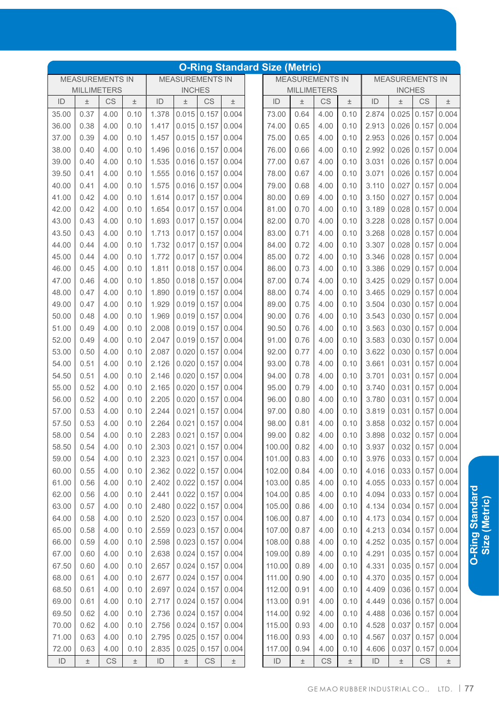|       |                        |           |       |       |                        |                         |       | <b>O-Ring Standard Size (Metric)</b> |       |                        |       |       |                        |                         |                         |
|-------|------------------------|-----------|-------|-------|------------------------|-------------------------|-------|--------------------------------------|-------|------------------------|-------|-------|------------------------|-------------------------|-------------------------|
|       | <b>MEASUREMENTS IN</b> |           |       |       | <b>MEASUREMENTS IN</b> |                         |       |                                      |       | <b>MEASUREMENTS IN</b> |       |       | <b>MEASUREMENTS IN</b> |                         |                         |
|       | <b>MILLIMETERS</b>     |           |       |       | <b>INCHES</b>          |                         |       |                                      |       | <b>MILLIMETERS</b>     |       |       | <b>INCHES</b>          |                         |                         |
| ID    | $\pm$                  | CS        | $\pm$ | ID    | $\pm$                  | CS                      | $\pm$ | ID                                   | $\pm$ | CS                     | $\pm$ | ID    | $\pm$                  | CS                      | $\pm$                   |
| 35.00 | 0.37                   | 4.00      | 0.10  | 1.378 | 0.015                  | 0.157                   | 0.004 | 73.00                                | 0.64  | 4.00                   | 0.10  | 2.874 | 0.025                  | 0.157                   | 0.004                   |
| 36.00 | 0.38                   | 4.00      | 0.10  | 1.417 | 0.015                  | 0.157                   | 0.004 | 74.00                                | 0.65  | 4.00                   | 0.10  | 2.913 | 0.026                  | 0.157                   | 0.004                   |
| 37.00 | 0.39                   | 4.00      | 0.10  | 1.457 | 0.015                  | 0.157                   | 0.004 | 75.00                                | 0.65  | 4.00                   | 0.10  | 2.953 | 0.026                  | 0.157                   | 0.004                   |
| 38.00 | 0.40                   | 4.00      | 0.10  | 1.496 | $0.016$ 0.157          |                         | 0.004 | 76.00                                | 0.66  | 4.00                   | 0.10  | 2.992 | 0.026                  | 0.157                   | 0.004                   |
| 39.00 | 0.40                   | 4.00      | 0.10  | 1.535 | 0.016                  | 0.157                   | 0.004 | 77.00                                | 0.67  | 4.00                   | 0.10  | 3.031 | 0.026                  | 0.157                   | 0.004                   |
| 39.50 | 0.41                   | 4.00      | 0.10  | 1.555 | $0.016$ 0.157          |                         | 0.004 | 78.00                                | 0.67  | 4.00                   | 0.10  | 3.071 | 0.026                  | 0.157                   | 0.004                   |
| 40.00 | 0.41                   | 4.00      | 0.10  | 1.575 | $0.016$ 0.157          |                         | 0.004 | 79.00                                | 0.68  | 4.00                   | 0.10  | 3.110 | 0.027                  | 0.157                   | 0.004                   |
| 41.00 | 0.42                   | 4.00      | 0.10  | 1.614 | 0.017                  | 0.157                   | 0.004 | 80.00                                | 0.69  | 4.00                   | 0.10  | 3.150 | 0.027                  | 0.157                   | 0.004                   |
| 42.00 | 0.42                   | 4.00      | 0.10  | 1.654 | 0.017                  | 0.157                   | 0.004 | 81.00                                | 0.70  | 4.00                   | 0.10  | 3.189 | 0.028                  | 0.157                   | 0.004                   |
| 43.00 | 0.43                   | 4.00      | 0.10  | 1.693 | 0.017                  | 0.157                   | 0.004 | 82.00                                | 0.70  | 4.00                   | 0.10  | 3.228 | 0.028                  | 0.157                   | 0.004                   |
| 43.50 | 0.43                   | 4.00      | 0.10  | 1.713 | 0.017                  | 0.157                   | 0.004 | 83.00                                | 0.71  | 4.00                   | 0.10  | 3.268 | 0.028                  | 0.157                   | 0.004                   |
| 44.00 | 0.44                   | 4.00      | 0.10  | 1.732 | 0.017                  | 0.157                   | 0.004 | 84.00                                | 0.72  | 4.00                   | 0.10  | 3.307 | 0.028                  | 0.157                   | 0.004                   |
| 45.00 | 0.44                   | 4.00      | 0.10  | 1.772 | 0.017                  | 0.157                   | 0.004 | 85.00                                | 0.72  | 4.00                   | 0.10  | 3.346 | 0.028                  | 0.157                   | 0.004                   |
| 46.00 | 0.45                   | 4.00      | 0.10  | 1.811 | 0.018                  | 0.157                   | 0.004 | 86.00                                | 0.73  | 4.00                   | 0.10  | 3.386 | 0.029                  | 0.157                   | 0.004                   |
| 47.00 | 0.46                   | 4.00      | 0.10  | 1.850 | 0.018                  | 0.157                   | 0.004 | 87.00                                | 0.74  | 4.00                   | 0.10  | 3.425 | 0.029                  | 0.157                   | 0.004                   |
| 48.00 | 0.47                   | 4.00      | 0.10  | 1.890 | 0.019                  | 0.157                   | 0.004 | 88.00                                | 0.74  | 4.00                   | 0.10  | 3.465 | 0.029                  | 0.157                   | 0.004                   |
| 49.00 | 0.47                   | 4.00      | 0.10  | 1.929 | 0.019                  | 0.157                   | 0.004 | 89.00                                | 0.75  | 4.00                   | 0.10  | 3.504 | 0.030                  | 0.157                   | 0.004                   |
| 50.00 | 0.48                   | 4.00      | 0.10  | 1.969 | 0.019                  | 0.157                   | 0.004 | 90.00                                | 0.76  | 4.00                   | 0.10  | 3.543 | 0.030                  | 0.157                   | 0.004                   |
| 51.00 | 0.49                   | 4.00      | 0.10  | 2.008 | 0.019                  | 0.157                   | 0.004 | 90.50                                | 0.76  | 4.00                   | 0.10  | 3.563 | 0.030                  | 0.157                   | 0.004                   |
| 52.00 | 0.49                   | 4.00      | 0.10  | 2.047 | 0.019                  | 0.157                   | 0.004 | 91.00                                | 0.76  | 4.00                   | 0.10  | 3.583 | 0.030                  | 0.157                   | 0.004                   |
| 53.00 | 0.50                   | 4.00      | 0.10  | 2.087 | 0.020                  | 0.157                   | 0.004 | 92.00                                | 0.77  | 4.00                   | 0.10  | 3.622 | 0.030                  | 0.157                   | 0.004                   |
| 54.00 | 0.51                   | 4.00      | 0.10  | 2.126 | 0.020                  | 0.157                   | 0.004 | 93.00                                | 0.78  | 4.00                   | 0.10  | 3.661 | 0.031                  | 0.157                   | 0.004                   |
| 54.50 | 0.51                   | 4.00      | 0.10  | 2.146 | 0.020                  | 0.157                   | 0.004 | 94.00                                | 0.78  | 4.00                   | 0.10  | 3.701 | 0.031                  | 0.157                   | 0.004                   |
| 55.00 | 0.52                   | 4.00      | 0.10  | 2.165 | 0.020                  | 0.157                   | 0.004 | 95.00                                | 0.79  | 4.00                   | 0.10  | 3.740 | 0.031                  | 0.157                   | 0.004                   |
| 56.00 | 0.52                   | 4.00      | 0.10  | 2.205 | 0.020                  | 0.157                   | 0.004 | 96.00                                | 0.80  | 4.00                   | 0.10  | 3.780 | 0.031                  | 0.157                   | 0.004                   |
| 57.00 | 0.53                   | 4.00      | 0.10  | 2.244 | 0.021                  | 0.157                   | 0.004 | 97.00                                | 0.80  | 4.00                   | 0.10  | 3.819 | 0.031                  | 0.157                   | 0.004                   |
| 57.50 | 0.53                   | 4.00      | 0.10  | 2.264 | 0.021                  | 0.157                   | 0.004 | 98.00                                | 0.81  | 4.00                   | 0.10  | 3.858 | 0.032                  | 0.157                   | 0.004                   |
| 58.00 | 0.54                   | 4.00      | 0.10  | 2.283 |                        | $0.021$ 0.157 0.004     |       | 99.00                                | 0.82  | 4.00                   | 0.10  |       |                        |                         | 3.898 0.032 0.157 0.004 |
| 58.50 | 0.54                   | 4.00      | 0.10  | 2.303 |                        | $0.021$ 0.157           | 0.004 | 100.00                               | 0.82  | 4.00                   | 0.10  | 3.937 |                        | $0.032$ 0.157 0.004     |                         |
| 59.00 | 0.54                   | 4.00      | 0.10  | 2.323 |                        | $0.021$ 0.157           | 0.004 | 101.00                               | 0.83  | 4.00                   | 0.10  | 3.976 |                        | $0.033 \mid 0.157$      | 0.004                   |
| 60.00 | 0.55                   | 4.00      | 0.10  | 2.362 |                        | $0.022$ 0.157           | 0.004 | 102.00                               | 0.84  | 4.00                   | 0.10  | 4.016 |                        | $0.033 \mid 0.157 \mid$ | 0.004                   |
| 61.00 | 0.56                   | 4.00      | 0.10  | 2.402 |                        | $0.022$ 0.157           | 0.004 | 103.00                               | 0.85  | 4.00                   | 0.10  | 4.055 |                        | $0.033 \mid 0.157 \mid$ | 0.004                   |
| 62.00 | 0.56                   | 4.00      | 0.10  | 2.441 |                        | $0.022$ 0.157           | 0.004 | 104.00                               | 0.85  | 4.00                   | 0.10  | 4.094 |                        | 0.033   0.157           | 0.004                   |
| 63.00 | 0.57                   | 4.00      | 0.10  | 2.480 |                        | $0.022$ 0.157           | 0.004 | 105.00                               | 0.86  | 4.00                   | 0.10  | 4.134 |                        | $0.034$ 0.157           | 0.004                   |
| 64.00 | 0.58                   | 4.00      | 0.10  | 2.520 |                        | $0.023 \mid 0.157 \mid$ | 0.004 | 106.00                               | 0.87  | 4.00                   | 0.10  | 4.173 |                        | $0.034$ 0.157           | 0.004                   |
| 65.00 | 0.58                   | 4.00      | 0.10  | 2.559 |                        | $0.023$ 0.157           | 0.004 | 107.00                               | 0.87  | 4.00                   | 0.10  | 4.213 |                        | $0.034$ 0.157           | 0.004                   |
| 66.00 | 0.59                   | 4.00      | 0.10  | 2.598 |                        | $0.023$ 0.157           | 0.004 | 108.00                               | 0.88  | 4.00                   | 0.10  | 4.252 |                        | $0.035$ 0.157           | 0.004                   |
| 67.00 | 0.60                   | 4.00      | 0.10  | 2.638 | 0.024                  | 0.157                   | 0.004 | 109.00                               | 0.89  | 4.00                   | 0.10  | 4.291 |                        | $0.035$ 0.157           | 0.004                   |
|       | 0.60                   | 4.00      | 0.10  |       | 0.024                  | 0.157                   | 0.004 | 110.00                               | 0.89  | 4.00                   |       |       |                        | $0.035$ 0.157           |                         |
| 67.50 |                        |           |       | 2.657 |                        |                         |       |                                      |       |                        | 0.10  | 4.331 |                        |                         | 0.004                   |
| 68.00 | 0.61                   | 4.00      | 0.10  | 2.677 |                        | $0.024$ 0.157           | 0.004 | 111.00                               | 0.90  | 4.00                   | 0.10  | 4.370 |                        | $0.035$ 0.157           | 0.004                   |
| 68.50 | 0.61                   | 4.00      | 0.10  | 2.697 |                        | $0.024$ 0.157           | 0.004 | 112.00                               | 0.91  | 4.00                   | 0.10  | 4.409 |                        | $0.036$ 0.157           | 0.004                   |
| 69.00 | 0.61                   | 4.00      | 0.10  | 2.717 | 0.024                  | 0.157                   | 0.004 | 113.00                               | 0.91  | 4.00                   | 0.10  | 4.449 |                        | $0.036$ 0.157           | 0.004                   |
| 69.50 | 0.62                   | 4.00      | 0.10  | 2.736 |                        | $0.024$ 0.157           | 0.004 | 114.00                               | 0.92  | 4.00                   | 0.10  | 4.488 |                        | $0.036$ 0.157           | 0.004                   |
| 70.00 | 0.62                   | 4.00      | 0.10  | 2.756 | 0.024                  | 0.157                   | 0.004 | 115.00                               | 0.93  | 4.00                   | 0.10  | 4.528 |                        | $0.037$ 0.157           | 0.004                   |
| 71.00 | 0.63                   | 4.00      | 0.10  | 2.795 |                        | $0.025$ 0.157           | 0.004 | 116.00                               | 0.93  | 4.00                   | 0.10  | 4.567 | 0.037                  | 0.157                   | 0.004                   |
| 72.00 | 0.63                   | 4.00      | 0.10  | 2.835 | 0.025                  | 0.157                   | 0.004 | 117.00                               | 0.94  | 4.00                   | 0.10  | 4.606 | 0.037                  | 0.157                   | 0.004                   |
| ID    | $\pm$                  | <b>CS</b> | $\pm$ | ID    | $\pm$                  | $\mathbb{C}\mathbb{S}$  | $\pm$ | ID                                   | $\pm$ | CS                     | $\pm$ | ID    | $\pm$                  | CS                      | $\pm$                   |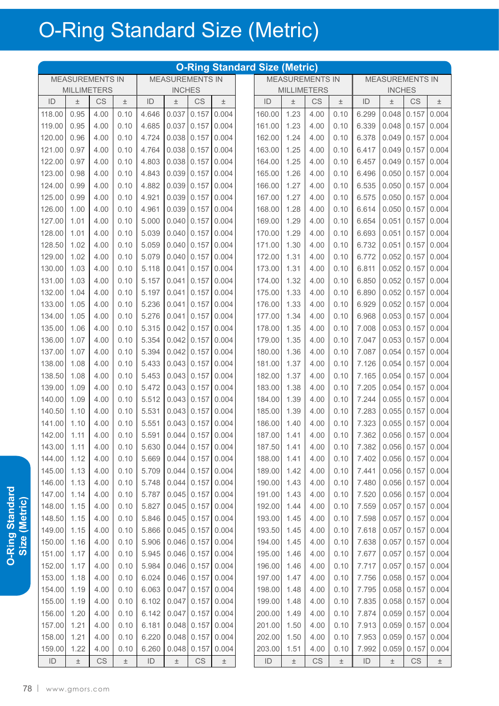|               |                        |      |       |               |                           |       |                     | <b>O-Ring Standard Size (Metric)</b> |       |                        |       |                                  |                        |                     |       |
|---------------|------------------------|------|-------|---------------|---------------------------|-------|---------------------|--------------------------------------|-------|------------------------|-------|----------------------------------|------------------------|---------------------|-------|
|               | <b>MEASUREMENTS IN</b> |      |       |               | <b>MEASUREMENTS IN</b>    |       |                     |                                      |       | <b>MEASUREMENTS IN</b> |       |                                  | <b>MEASUREMENTS IN</b> |                     |       |
|               | <b>MILLIMETERS</b>     |      |       |               | <b>INCHES</b>             |       |                     |                                      |       | <b>MILLIMETERS</b>     |       |                                  | <b>INCHES</b>          |                     |       |
| ID            | $\pm$                  | CS   | $\pm$ | ID            | $\pm$                     | CS    | $\pm$               | ID                                   | $\pm$ | CS                     | $\pm$ | ID                               | $\pm$                  | CS                  | $\pm$ |
| 118.00        | 0.95                   | 4.00 | 0.10  | 4.646         | 0.037                     | 0.157 | 0.004               | 160.00                               | 1.23  | 4.00                   | 0.10  | 6.299                            | 0.048                  | 0.157               | 0.004 |
| 119.00        | 0.95                   | 4.00 | 0.10  | 4.685         | 0.037                     | 0.157 | 0.004               | 161.00                               | 1.23  | 4.00                   | 0.10  | 6.339                            | 0.048                  | 0.157               | 0.004 |
| 120.00        | 0.96                   | 4.00 | 0.10  | 4.724         | 0.038                     | 0.157 | 0.004               | 162.00                               | 1.24  | 4.00                   | 0.10  | 6.378                            | 0.049                  | 0.157               | 0.004 |
| 121.00        | 0.97                   | 4.00 | 0.10  | 4.764         | 0.038                     | 0.157 | 0.004               | 163.00                               | 1.25  | 4.00                   | 0.10  | 6.417                            | 0.049                  | 0.157               | 0.004 |
| 122.00        | 0.97                   | 4.00 | 0.10  | 4.803         | 0.038                     | 0.157 | 0.004               | 164.00                               | 1.25  | 4.00                   | 0.10  | 6.457                            | 0.049                  | 0.157               | 0.004 |
| 123.00        | 0.98                   | 4.00 | 0.10  | 4.843         | 0.039                     | 0.157 | 0.004               | 165.00                               | 1.26  | 4.00                   | 0.10  | 6.496                            | 0.050                  | 0.157               | 0.004 |
| 124.00        | 0.99                   | 4.00 | 0.10  | 4.882         | 0.039                     | 0.157 | 0.004               | 166.00                               | 1.27  | 4.00                   | 0.10  | 6.535                            | 0.050                  | 0.157               | 0.004 |
| 125.00        | 0.99                   | 4.00 | 0.10  | 4.921         | 0.039                     | 0.157 | 0.004               | 167.00                               | 1.27  | 4.00                   | 0.10  | 6.575                            | 0.050                  | 0.157               | 0.004 |
| 126.00        | 1.00                   | 4.00 | 0.10  | 4.961         | 0.039                     | 0.157 | 0.004               | 168.00                               | 1.28  | 4.00                   | 0.10  | 6.614                            | 0.050                  | 0.157               | 0.004 |
| 127.00        | 1.01                   | 4.00 | 0.10  | 5.000         | 0.040                     | 0.157 | 0.004               | 169.00                               | 1.29  | 4.00                   | 0.10  | 6.654                            | 0.051                  | 0.157               | 0.004 |
| 128.00        | 1.01                   | 4.00 | 0.10  | 5.039         | 0.040                     | 0.157 | 0.004               | 170.00                               | 1.29  | 4.00                   | 0.10  | 6.693                            | 0.051                  | 0.157               | 0.004 |
| 128.50        | 1.02                   | 4.00 | 0.10  | 5.059         | 0.040                     | 0.157 | 0.004               | 171.00                               | 1.30  | 4.00                   | 0.10  | 6.732                            | 0.051                  | 0.157               | 0.004 |
| 129.00        | 1.02                   | 4.00 | 0.10  | 5.079         | 0.040                     | 0.157 | 0.004               | 172.00                               | 1.31  | 4.00                   | 0.10  | 6.772                            | 0.052                  | 0.157               | 0.004 |
| 130.00        | 1.03                   | 4.00 | 0.10  | 5.118         | 0.041                     | 0.157 | 0.004               | 173.00                               | 1.31  | 4.00                   | 0.10  | 6.811                            | 0.052                  | 0.157               | 0.004 |
| 131.00        | 1.03                   | 4.00 | 0.10  | 5.157         | 0.041                     | 0.157 | 0.004               | 174.00                               | 1.32  | 4.00                   | 0.10  | 6.850                            | 0.052                  | 0.157               | 0.004 |
| 132.00        | 1.04                   | 4.00 | 0.10  | 5.197         | 0.041                     | 0.157 | 0.004               | 175.00                               | 1.33  | 4.00                   | 0.10  | 6.890                            | 0.052                  | 0.157               | 0.004 |
| 133.00        | 1.05                   | 4.00 | 0.10  | 5.236         | 0.041                     | 0.157 | 0.004               | 176.00                               | 1.33  | 4.00                   | 0.10  | 6.929                            | 0.052                  | 0.157               | 0.004 |
| 134.00        | 1.05                   | 4.00 | 0.10  | 5.276         | 0.041                     | 0.157 | 0.004               | 177.00                               | 1.34  | 4.00                   | 0.10  | 6.968                            | 0.053                  | 0.157               | 0.004 |
| 135.00        | 1.06                   | 4.00 | 0.10  | 5.315         | 0.042                     | 0.157 | 0.004               | 178.00                               | 1.35  | 4.00                   | 0.10  | 7.008                            | 0.053                  | 0.157               | 0.004 |
| 136.00        | 1.07                   | 4.00 | 0.10  | 5.354         | 0.042                     | 0.157 | 0.004               | 179.00                               | 1.35  | 4.00                   | 0.10  | 7.047                            | 0.053                  | 0.157               | 0.004 |
| 137.00        | 1.07                   | 4.00 | 0.10  | 5.394         | 0.042                     | 0.157 | 0.004               | 180.00                               | 1.36  | 4.00                   | 0.10  | 7.087                            | 0.054                  | 0.157               | 0.004 |
| 138.00        | 1.08                   | 4.00 | 0.10  | 5.433         | 0.043                     | 0.157 | 0.004               | 181.00                               | 1.37  | 4.00                   | 0.10  | 7.126                            | 0.054                  | 0.157               | 0.004 |
| 138.50        | 1.08                   | 4.00 | 0.10  | 5.453         | 0.043                     | 0.157 | 0.004               | 182.00                               | 1.37  | 4.00                   | 0.10  | 7.165                            | 0.054                  | 0.157               | 0.004 |
| 139.00        | 1.09                   | 4.00 | 0.10  | 5.472         | 0.043                     | 0.157 | 0.004               | 183.00                               | 1.38  | 4.00                   | 0.10  | 7.205                            | 0.054                  | 0.157               | 0.004 |
| 140.00        | 1.09                   | 4.00 | 0.10  | 5.512         | 0.043                     | 0.157 | 0.004               | 184.00                               | 1.39  | 4.00                   | 0.10  | 7.244                            | 0.055                  | 0.157               | 0.004 |
| 140.50        | 1.10                   | 4.00 | 0.10  | 5.531         | 0.043                     | 0.157 | 0.004               | 185.00                               | 1.39  | 4.00                   | 0.10  | 7.283                            | 0.055                  | 0.157               | 0.004 |
| 141.00        | 1.10                   | 4.00 | 0.10  | 5.551         | 0.043                     | 0.157 | 0.004               | 186.00                               | 1.40  | 4.00                   | 0.10  | 7.323                            | 0.055                  | 0.157               | 0.004 |
| 142.00        | 1.11                   | 4.00 | 0.10  |               | $5.591$ 0.044 0.157 0.004 |       |                     | 187.00 1.41                          |       | 4.00                   |       | $0.10$   7.362 0.056 0.157 0.004 |                        |                     |       |
| 143.00        | 1.11                   | 4.00 | 0.10  | 5.630         |                           |       | $0.044$ 0.157 0.004 | 187.50                               | 1.41  | 4.00                   | 0.10  | 7.382                            |                        | $0.056$ 0.157 0.004 |       |
| 144.00        | 1.12                   | 4.00 | 0.10  | 5.669         | 0.044                     | 0.157 | 0.004               | 188.00                               | 1.41  | 4.00                   | 0.10  | 7.402                            |                        | $0.056$ 0.157 0.004 |       |
| 145.00        | 1.13                   | 4.00 | 0.10  | 5.709         | 0.044                     |       | $0.157$ 0.004       | 189.00                               | 1.42  | 4.00                   | 0.10  | 7.441                            |                        | $0.056$ 0.157       | 0.004 |
| 146.00        | 1.13                   | 4.00 | 0.10  | 5.748         | 0.044                     |       | $0.157$ 0.004       | 190.00                               | 1.43  | 4.00                   | 0.10  | 7.480                            |                        | $0.056$ 0.157       | 0.004 |
| 147.00        | 1.14                   | 4.00 | 0.10  | 5.787         | 0.045                     | 0.157 | 0.004               | 191.00                               | 1.43  | 4.00                   | 0.10  | 7.520                            | 0.056                  | 0.157               | 0.004 |
| 148.00        | 1.15                   | 4.00 | 0.10  | 5.827         | 0.045                     | 0.157 | 0.004               | 192.00                               | 1.44  | 4.00                   | 0.10  | 7.559                            | 0.057                  | 0.157               | 0.004 |
| 148.50        | 1.15                   | 4.00 | 0.10  | 5.846         | 0.045                     | 0.157 | 0.004               | 193.00                               | 1.45  | 4.00                   | 0.10  | 7.598                            | 0.057                  | 0.157               | 0.004 |
| 149.00        | 1.15                   | 4.00 | 0.10  | 5.866         | 0.045                     |       | $0.157$ 0.004       | 193.50                               | 1.45  | 4.00                   | 0.10  | 7.618                            | 0.057                  | 0.157               | 0.004 |
| 150.00        | 1.16                   | 4.00 | 0.10  | 5.906         | 0.046                     |       | $0.157$ 0.004       | 194.00                               | 1.45  | 4.00                   | 0.10  | 7.638                            | 0.057                  | 0.157               | 0.004 |
| 151.00        | 1.17                   | 4.00 | 0.10  | 5.945         |                           |       | $0.046$ 0.157 0.004 | 195.00                               | 1.46  | 4.00                   | 0.10  | 7.677                            | 0.057                  | 0.157               | 0.004 |
| 152.00        | 1.17                   | 4.00 | 0.10  | 5.984         | 0.046                     |       | $0.157$ 0.004       | 196.00                               | 1.46  | 4.00                   | 0.10  | 7.717                            | 0.057                  | 0.157               | 0.004 |
| 153.00        | 1.18                   | 4.00 | 0.10  | 6.024         | 0.046                     |       | $0.157$ 0.004       | 197.00                               | 1.47  | 4.00                   | 0.10  | 7.756                            |                        | $0.058$ 0.157       | 0.004 |
| 154.00        | 1.19                   | 4.00 | 0.10  | 6.063         | 0.047                     |       | $0.157$ 0.004       | 198.00                               | 1.48  | 4.00                   | 0.10  | 7.795                            |                        | $0.058$ 0.157       | 0.004 |
| 155.00        | 1.19                   | 4.00 | 0.10  | 6.102         | 0.047                     |       | $0.157$ 0.004       | 199.00                               | 1.48  | 4.00                   | 0.10  | 7.835                            | 0.058                  | 0.157               | 0.004 |
| 156.00        | 1.20                   | 4.00 | 0.10  | 6.142         | 0.047                     | 0.157 | 0.004               | 200.00                               | 1.49  | 4.00                   | 0.10  | 7.874                            |                        | $0.059$ 0.157       | 0.004 |
| 157.00        | 1.21                   | 4.00 | 0.10  | 6.181         | 0.048                     | 0.157 | 0.004               | 201.00                               | 1.50  | 4.00                   | 0.10  | 7.913                            | 0.059                  | 0.157               | 0.004 |
| 158.00        | 1.21                   | 4.00 | 0.10  | 6.220         | 0.048                     | 0.157 | 0.004               | 202.00                               | 1.50  | 4.00                   | 0.10  | 7.953                            | 0.059                  | 0.157               | 0.004 |
| 159.00        | 1.22                   | 4.00 | 0.10  | 6.260         | 0.048                     | 0.157 | 0.004               | 203.00                               | 1.51  | 4.00                   | 0.10  | 7.992                            | 0.059                  | 0.157               | 0.004 |
| $\mathsf{ID}$ | $\pm$                  | CS   | $\pm$ | $\mathsf{ID}$ | $\pm$                     | CS    | $\pm$               | ID                                   | $\pm$ | CS                     | $\pm$ | $\mathsf{ID}$                    | $\pm$                  | CS                  | $\pm$ |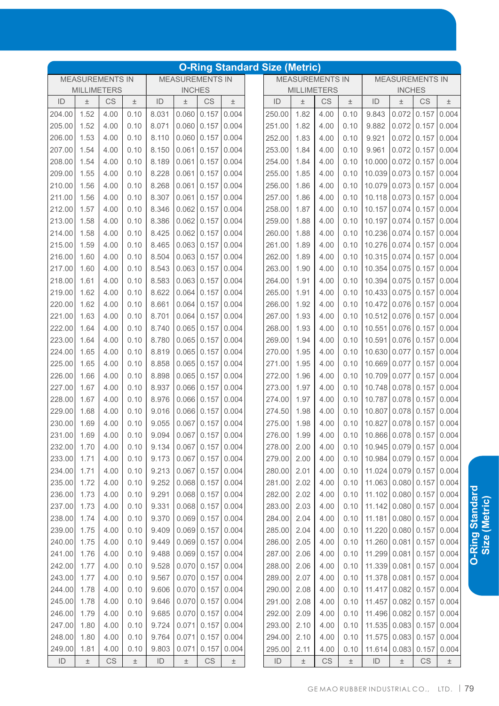|               |                    |                        |       |               |                        |                        |       | <b>O-Ring Standard Size (Metric)</b> |       |                        |       |                          |                        |                        |       |
|---------------|--------------------|------------------------|-------|---------------|------------------------|------------------------|-------|--------------------------------------|-------|------------------------|-------|--------------------------|------------------------|------------------------|-------|
|               |                    | <b>MEASUREMENTS IN</b> |       |               | <b>MEASUREMENTS IN</b> |                        |       |                                      |       | <b>MEASUREMENTS IN</b> |       |                          | <b>MEASUREMENTS IN</b> |                        |       |
|               | <b>MILLIMETERS</b> |                        |       |               | <b>INCHES</b>          |                        |       |                                      |       | <b>MILLIMETERS</b>     |       |                          | <b>INCHES</b>          |                        |       |
| ID            | $\pm$              | CS                     | $\pm$ | ID            | $\pm$                  | CS                     | $\pm$ | ID                                   | $\pm$ | CS                     | 土     | ID                       | 土                      | CS                     | $\pm$ |
| 204.00        | 1.52               | 4.00                   | 0.10  | 8.031         | 0.060                  | 0.157                  | 0.004 | 250.00                               | 1.82  | 4.00                   | 0.10  | 9.843                    | 0.072                  | 0.157                  | 0.004 |
| 205.00        | 1.52               | 4.00                   | 0.10  | 8.071         | 0.060                  | 0.157                  | 0.004 | 251.00                               | 1.82  | 4.00                   | 0.10  | 9.882                    | 0.072                  | 0.157                  | 0.004 |
| 206.00        | 1.53               | 4.00                   | 0.10  | 8.110         | 0.060                  | 0.157                  | 0.004 | 252.00                               | 1.83  | 4.00                   | 0.10  | 9.921                    | 0.072                  | 0.157                  | 0.004 |
| 207.00        | 1.54               | 4.00                   | 0.10  | 8.150         | 0.061                  | 0.157                  | 0.004 | 253.00                               | 1.84  | 4.00                   | 0.10  | 9.961                    | 0.072                  | 0.157                  | 0.004 |
| 208.00        | 1.54               | 4.00                   | 0.10  | 8.189         | 0.061                  | 0.157                  | 0.004 | 254.00                               | 1.84  | 4.00                   | 0.10  | 10.000                   | 0.072                  | 0.157                  | 0.004 |
| 209.00        | 1.55               | 4.00                   | 0.10  | 8.228         | 0.061                  | 0.157                  | 0.004 | 255.00                               | 1.85  | 4.00                   | 0.10  | 10.039                   | 0.073                  | 0.157                  | 0.004 |
| 210.00        | 1.56               | 4.00                   | 0.10  | 8.268         | 0.061                  | 0.157                  | 0.004 | 256.00                               | 1.86  | 4.00                   | 0.10  | 10.079                   | 0.073                  | 0.157                  | 0.004 |
| 211.00        | 1.56               | 4.00                   | 0.10  | 8.307         | 0.061                  | 0.157                  | 0.004 | 257.00                               | 1.86  | 4.00                   | 0.10  | 10.118                   | 0.073                  | 0.157                  | 0.004 |
| 212.00        | 1.57               | 4.00                   | 0.10  | 8.346         | 0.062                  | 0.157                  | 0.004 | 258.00                               | 1.87  | 4.00                   | 0.10  | 10.157                   | 0.074                  | 0.157                  | 0.004 |
| 213.00        | 1.58               | 4.00                   | 0.10  | 8.386         | 0.062                  | 0.157                  | 0.004 | 259.00                               | 1.88  | 4.00                   | 0.10  | 10.197                   | 0.074                  | 0.157                  | 0.004 |
| 214.00        | 1.58               | 4.00                   | 0.10  | 8.425         | 0.062                  | 0.157                  | 0.004 | 260.00                               | 1.88  | 4.00                   | 0.10  | 10.236                   | 0.074                  | 0.157                  | 0.004 |
| 215.00        | 1.59               | 4.00                   | 0.10  | 8.465         | 0.063                  | 0.157                  | 0.004 | 261.00                               | 1.89  | 4.00                   | 0.10  | 10.276                   | 0.074                  | 0.157                  | 0.004 |
| 216.00        | 1.60               | 4.00                   | 0.10  | 8.504         | 0.063                  | 0.157                  | 0.004 | 262.00                               | 1.89  | 4.00                   | 0.10  | 10.315                   | 0.074                  | 0.157                  | 0.004 |
| 217.00        | 1.60               | 4.00                   | 0.10  | 8.543         | 0.063                  | 0.157                  | 0.004 | 263.00                               | 1.90  | 4.00                   | 0.10  | 10.354                   | 0.075                  | 0.157                  | 0.004 |
| 218.00        | 1.61               | 4.00                   | 0.10  | 8.583         | 0.063                  | 0.157                  | 0.004 | 264.00                               | 1.91  | 4.00                   | 0.10  | 10.394                   | 0.075                  | 0.157                  | 0.004 |
| 219.00        | 1.62               | 4.00                   | 0.10  | 8.622         | 0.064                  | 0.157                  | 0.004 | 265.00                               | 1.91  | 4.00                   | 0.10  | 10.433                   | 0.075                  | 0.157                  | 0.004 |
| 220.00        | 1.62               | 4.00                   | 0.10  | 8.661         | 0.064                  | 0.157                  | 0.004 | 266.00                               | 1.92  | 4.00                   | 0.10  | 10.472                   | 0.076                  | 0.157                  | 0.004 |
| 221.00        | 1.63               | 4.00                   | 0.10  | 8.701         | 0.064                  | 0.157                  | 0.004 | 267.00                               | 1.93  | 4.00                   | 0.10  | 10.512                   | 0.076                  | 0.157                  | 0.004 |
| 222.00        | 1.64               | 4.00                   | 0.10  | 8.740         | 0.065                  | 0.157                  | 0.004 | 268.00                               | 1.93  | 4.00                   | 0.10  | 10.551                   | 0.076                  | 0.157                  | 0.004 |
| 223.00        | 1.64               | 4.00                   | 0.10  | 8.780         | 0.065                  | 0.157                  | 0.004 | 269.00                               | 1.94  | 4.00                   | 0.10  | 10.591                   | 0.076                  | 0.157                  | 0.004 |
| 224.00        | 1.65               | 4.00                   | 0.10  | 8.819         | 0.065                  | 0.157                  | 0.004 | 270.00                               | 1.95  | 4.00                   | 0.10  | 10.630                   | 0.077                  | 0.157                  | 0.004 |
| 225.00        | 1.65               | 4.00                   | 0.10  | 8.858         | 0.065                  | 0.157                  | 0.004 | 271.00                               | 1.95  | 4.00                   | 0.10  | 10.669                   | 0.077                  | 0.157                  | 0.004 |
| 226.00        | 1.66               | 4.00                   | 0.10  | 8.898         | 0.065                  | 0.157                  | 0.004 | 272.00                               | 1.96  | 4.00                   | 0.10  | 10.709                   | 0.077                  | 0.157                  | 0.004 |
| 227.00        | 1.67               | 4.00                   | 0.10  | 8.937         | 0.066                  | 0.157                  | 0.004 | 273.00                               | 1.97  | 4.00                   | 0.10  | 10.748                   | 0.078                  | 0.157                  | 0.004 |
| 228.00        | 1.67               | 4.00                   | 0.10  | 8.976         | 0.066                  | 0.157                  | 0.004 | 274.00                               | 1.97  | 4.00                   | 0.10  | 10.787                   | 0.078                  | 0.157                  | 0.004 |
| 229.00        | 1.68               | 4.00                   | 0.10  | 9.016         | 0.066                  | 0.157                  | 0.004 | 274.50                               | 1.98  | 4.00                   | 0.10  | 10.807                   | 0.078                  | 0.157                  | 0.004 |
| 230.00        | 1.69               | 4.00                   | 0.10  | 9.055         | 0.067                  | 0.157                  | 0.004 | 275.00                               | 1.98  | 4.00                   | 0.10  | 10.827                   | 0.078                  | 0.157                  | 0.004 |
| 231.00        | 1.69               | 4.00                   |       | 9.094         |                        | $0.067$ 0.157 0.004    |       |                                      | 1.99  | 4.00                   |       | 10.866 0.078 0.157 0.004 |                        |                        |       |
|               |                    |                        | 0.10  |               |                        |                        |       | 276.00                               |       |                        | 0.10  |                          |                        |                        |       |
| 232.00        | 1.70               | 4.00                   | 0.10  | 9.134         |                        | $0.067$ 0.157 0.004    |       | 278.00                               | 2.00  | 4.00                   | 0.10  | 10.945 0.079 0.157 0.004 |                        |                        |       |
| 233.00        | 1.71               | 4.00                   | 0.10  | 9.173         |                        | $0.067$ 0.157          | 0.004 | 279.00                               | 2.00  | 4.00                   | 0.10  | 10.984 0.079 0.157       |                        |                        | 0.004 |
| 234.00        | 1.71               | 4.00                   | 0.10  | 9.213         |                        | $0.067$ 0.157          | 0.004 | 280.00                               | 2.01  | 4.00                   | 0.10  | 11.024 0.079 0.157       |                        |                        | 0.004 |
| 235.00        | 1.72               | 4.00                   | 0.10  | 9.252         |                        | $0.068$ 0.157          | 0.004 | 281.00                               | 2.02  | 4.00                   | 0.10  | 11.063 0.080 0.157       |                        |                        | 0.004 |
| 236.00        | 1.73               | 4.00                   | 0.10  | 9.291         |                        | $0.068$ 0.157          | 0.004 | 282.00                               | 2.02  | 4.00                   | 0.10  | 11.102 0.080 0.157       |                        |                        | 0.004 |
| 237.00        | 1.73               | 4.00                   | 0.10  | 9.331         |                        | $0.068$ 0.157          | 0.004 | 283.00                               | 2.03  | 4.00                   | 0.10  | 11.142 0.080 0.157       |                        |                        | 0.004 |
| 238.00        | 1.74               | 4.00                   | 0.10  | 9.370         |                        | $0.069$ 0.157          | 0.004 | 284.00                               | 2.04  | 4.00                   | 0.10  | 11.181 0.080 0.157       |                        |                        | 0.004 |
| 239.00        | 1.75               | 4.00                   | 0.10  | 9.409         |                        | $0.069$ 0.157          | 0.004 | 285.00                               | 2.04  | 4.00                   | 0.10  | 11.220 0.080 0.157       |                        |                        | 0.004 |
| 240.00        | 1.75               | 4.00                   | 0.10  | 9.449         |                        | $0.069$ 0.157          | 0.004 | 286.00                               | 2.05  | 4.00                   | 0.10  | 11.260 0.081             |                        | 0.157                  | 0.004 |
| 241.00        | 1.76               | 4.00                   | 0.10  | 9.488         |                        | $0.069$ 0.157          | 0.004 | 287.00                               | 2.06  | 4.00                   | 0.10  | 11.299 0.081             |                        | 0.157                  | 0.004 |
| 242.00        | 1.77               | 4.00                   | 0.10  | 9.528         |                        | $0.070$ 0.157          | 0.004 | 288.00                               | 2.06  | 4.00                   | 0.10  | 11.339 0.081             |                        | 0.157                  | 0.004 |
| 243.00        | 1.77               | 4.00                   | 0.10  | 9.567         |                        | $0.070$ 0.157          | 0.004 | 289.00                               | 2.07  | 4.00                   | 0.10  | 11.378 0.081             |                        | 0.157                  | 0.004 |
| 244.00        | 1.78               | 4.00                   | 0.10  | 9.606         |                        | $0.070$ 0.157          | 0.004 | 290.00                               | 2.08  | 4.00                   | 0.10  | 11.417 0.082 0.157       |                        |                        | 0.004 |
| 245.00        | 1.78               | 4.00                   | 0.10  | 9.646         |                        | $0.070$ 0.157          | 0.004 | 291.00                               | 2.08  | 4.00                   | 0.10  | 11.457 0.082 0.157       |                        |                        | 0.004 |
| 246.00        | 1.79               | 4.00                   | 0.10  | 9.685         |                        | $0.070$ 0.157          | 0.004 | 292.00                               | 2.09  | 4.00                   | 0.10  | 11.496 0.082 0.157       |                        |                        | 0.004 |
| 247.00        | 1.80               | 4.00                   | 0.10  | 9.724         | 0.071                  | 0.157                  | 0.004 | 293.00                               | 2.10  | 4.00                   | 0.10  | 11.535 0.083 0.157       |                        |                        | 0.004 |
| 248.00        | 1.80               | 4.00                   | 0.10  | 9.764         | 0.071                  | 0.157                  | 0.004 | 294.00                               | 2.10  | 4.00                   | 0.10  | 11.575 0.083 0.157       |                        |                        | 0.004 |
| 249.00        | 1.81               | 4.00                   | 0.10  | 9.803         | 0.071                  | 0.157                  | 0.004 | 295.00                               | 2.11  | 4.00                   | 0.10  | 11.614                   | 0.083                  | 0.157                  | 0.004 |
| $\mathsf{ID}$ | $\pm$              | $\mathbb{C}\mathbb{S}$ | $\pm$ | $\mathsf{ID}$ | $\pm$                  | $\mathbb{C}\mathbb{S}$ | $\pm$ | $\mathsf{ID}$                        | $\pm$ | CS                     | $\pm$ | $\mathsf{ID}$            | $\pm$                  | $\mathbb{C}\mathbb{S}$ | $\pm$ |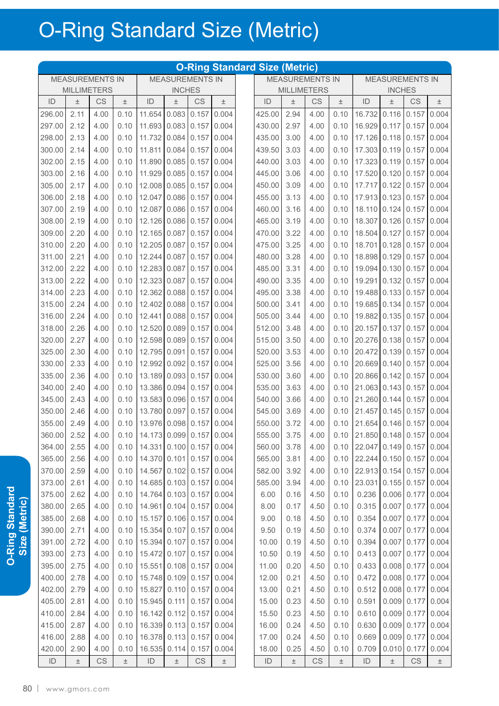|               |                        |      |       |                          |                        |                        |               | <b>O-Ring Standard Size (Metric)</b> |       |                        |       |                                         |                        |                        |       |
|---------------|------------------------|------|-------|--------------------------|------------------------|------------------------|---------------|--------------------------------------|-------|------------------------|-------|-----------------------------------------|------------------------|------------------------|-------|
|               | <b>MEASUREMENTS IN</b> |      |       |                          | <b>MEASUREMENTS IN</b> |                        |               |                                      |       | <b>MEASUREMENTS IN</b> |       |                                         | <b>MEASUREMENTS IN</b> |                        |       |
|               | <b>MILLIMETERS</b>     |      |       |                          | <b>INCHES</b>          |                        |               |                                      |       | <b>MILLIMETERS</b>     |       |                                         | <b>INCHES</b>          |                        |       |
| ID            | $\pm$                  | CS   | 土     | ID                       | 土                      | CS                     | $\pm$         | ID                                   | $\pm$ | CS                     | 土     | ID                                      | 土                      | CS                     | $\pm$ |
| 296.00        | 2.11                   | 4.00 | 0.10  | 11.654                   | 0.083                  | 0.157                  | 0.004         | 425.00                               | 2.94  | 4.00                   | 0.10  | 16.732                                  | 0.116                  | 0.157                  | 0.004 |
| 297.00        | 2.12                   | 4.00 | 0.10  | 11.693                   | 0.083                  | 0.157                  | 0.004         | 430.00                               | 2.97  | 4.00                   | 0.10  | 16.929                                  | 0.117                  | 0.157                  | 0.004 |
| 298.00        | 2.13                   | 4.00 | 0.10  | 11.732                   | 0.084                  | 0.157                  | 0.004         | 435.00                               | 3.00  | 4.00                   | 0.10  | 17.126                                  | 0.118                  | 0.157                  | 0.004 |
| 300.00        | 2.14                   | 4.00 | 0.10  | 11.811                   | 0.084                  | 0.157                  | 0.004         | 439.50                               | 3.03  | 4.00                   | 0.10  | 17.303                                  | 0.119                  | 0.157                  | 0.004 |
| 302.00        | 2.15                   | 4.00 | 0.10  | 11.890                   | 0.085                  | 0.157                  | 0.004         | 440.00                               | 3.03  | 4.00                   | 0.10  | 17.323                                  | 0.119                  | 0.157                  | 0.004 |
| 303.00        | 2.16                   | 4.00 | 0.10  | 11.929                   | 0.085                  | 0.157                  | 0.004         | 445.00                               | 3.06  | 4.00                   | 0.10  | 17.520 0.120                            |                        | 0.157                  | 0.004 |
| 305.00        | 2.17                   | 4.00 | 0.10  | 12.008                   | 0.085                  | 0.157                  | 0.004         | 450.00                               | 3.09  | 4.00                   | 0.10  | 17.717                                  | 0.122                  | 0.157                  | 0.004 |
| 306.00        | 2.18                   | 4.00 | 0.10  | 12.047                   | 0.086                  | 0.157                  | 0.004         | 455.00                               | 3.13  | 4.00                   | 0.10  | 17.913 0.123                            |                        | 0.157                  | 0.004 |
| 307.00        | 2.19                   | 4.00 | 0.10  | 12.087                   | 0.086                  | 0.157                  | 0.004         | 460.00                               | 3.16  | 4.00                   | 0.10  | 18.110 0.124                            |                        | 0.157                  | 0.004 |
| 308.00        | 2.19                   | 4.00 | 0.10  | 12.126                   | 0.086                  | 0.157                  | 0.004         | 465.00                               | 3.19  | 4.00                   | 0.10  | 18.307                                  | 0.126                  | 0.157                  | 0.004 |
| 309.00        | 2.20                   | 4.00 | 0.10  | 12.165                   | 0.087                  | 0.157                  | 0.004         | 470.00                               | 3.22  | 4.00                   | 0.10  | 18.504                                  | 0.127                  | 0.157                  | 0.004 |
| 310.00        | 2.20                   | 4.00 | 0.10  | 12.205                   | 0.087                  | 0.157                  | 0.004         | 475.00                               | 3.25  | 4.00                   | 0.10  | 18.701                                  | 0.128                  | 0.157                  | 0.004 |
| 311.00        | 2.21                   | 4.00 | 0.10  | 12.244                   | 0.087                  | 0.157                  | 0.004         | 480.00                               | 3.28  | 4.00                   | 0.10  | 18.898                                  | 0.129                  | 0.157                  | 0.004 |
| 312.00        | 2.22                   | 4.00 | 0.10  | 12.283                   | 0.087                  | 0.157                  | 0.004         | 485.00                               | 3.31  | 4.00                   | 0.10  | 19.094                                  | 0.130                  | 0.157                  | 0.004 |
| 313.00        | 2.22                   | 4.00 | 0.10  | 12.323                   | 0.087                  | 0.157                  | 0.004         | 490.00                               | 3.35  | 4.00                   | 0.10  | 19.291                                  | 0.132                  | 0.157                  | 0.004 |
| 314.00        | 2.23                   | 4.00 | 0.10  | 12.362                   | 0.088                  | 0.157                  | 0.004         | 495.00                               | 3.38  | 4.00                   | 0.10  | 19.488                                  | 0.133                  | 0.157                  | 0.004 |
| 315.00        | 2.24                   | 4.00 | 0.10  | 12.402                   | 0.088                  | 0.157                  | 0.004         | 500.00                               | 3.41  | 4.00                   | 0.10  | 19.685                                  | 0.134                  | 0.157                  | 0.004 |
| 316.00        | 2.24                   | 4.00 | 0.10  | 12.441                   | 0.088                  | 0.157                  | 0.004         | 505.00                               | 3.44  | 4.00                   | 0.10  | 19.882                                  | 0.135                  | 0.157                  | 0.004 |
| 318.00        | 2.26                   | 4.00 | 0.10  | 12.520                   | 0.089                  | 0.157                  | 0.004         | 512.00                               | 3.48  | 4.00                   | 0.10  | 20.157                                  | 0.137                  | 0.157                  | 0.004 |
| 320.00        | 2.27                   | 4.00 | 0.10  | 12.598                   | 0.089                  | 0.157                  | 0.004         | 515.00                               | 3.50  | 4.00                   | 0.10  | 20.276                                  | 0.138                  | 0.157                  | 0.004 |
| 325.00        | 2.30                   | 4.00 | 0.10  | 12.795                   | 0.091                  | 0.157                  | 0.004         | 520.00                               | 3.53  | 4.00                   | 0.10  | 20.472                                  | 0.139                  | 0.157                  | 0.004 |
| 330.00        | 2.33                   | 4.00 | 0.10  | 12.992                   | 0.092                  | 0.157                  | 0.004         | 525.00                               | 3.56  | 4.00                   | 0.10  | 20.669                                  | 0.140                  | 0.157                  | 0.004 |
| 335.00        | 2.36                   | 4.00 | 0.10  | 13.189                   | 0.093                  | 0.157                  | 0.004         | 530.00                               | 3.60  | 4.00                   | 0.10  | 20.866                                  | 0.142                  | 0.157                  | 0.004 |
|               |                        | 4.00 |       |                          |                        | 0.157                  | 0.004         |                                      |       |                        |       | 21.063                                  | 0.143                  |                        |       |
| 340.00        | 2.40                   |      | 0.10  | 13.386                   | 0.094                  |                        |               | 535.00                               | 3.63  | 4.00                   | 0.10  |                                         |                        | 0.157                  | 0.004 |
| 345.00        | 2.43<br>2.46           | 4.00 | 0.10  | 13.583                   | 0.096                  | 0.157                  | 0.004         | 540.00                               | 3.66  | 4.00                   | 0.10  | 21.260<br>21.457                        | 0.144                  | 0.157                  | 0.004 |
| 350.00        |                        | 4.00 | 0.10  | 13.780                   | 0.097                  | 0.157                  | 0.004         | 545.00                               | 3.69  | 4.00                   | 0.10  |                                         | 0.145                  | 0.157                  | 0.004 |
| 355.00        | 2.49                   | 4.00 | 0.10  | 13.976                   | 0.098                  | 0.157                  | 0.004         | 550.00                               | 3.72  | 4.00                   | 0.10  | 21.654                                  |                        | $0.146$ 0.157          | 0.004 |
| 360.00 2.52   |                        | 4.00 | 0.10  | 14.173 0.099 0.157 0.004 |                        |                        |               | 555.00                               | 3.75  | 4.00                   |       | $0.10$   21.850   0.148   0.157   0.004 |                        |                        |       |
| 364.00        | 2.55                   | 4.00 | 0.10  | 14.331 0.100 0.157 0.004 |                        |                        |               | 560.00                               | 3.78  | 4.00                   | 0.10  | 22.047 0.149 0.157 0.004                |                        |                        |       |
| 365.00        | 2.56                   | 4.00 | 0.10  | 14.370 0.101             |                        |                        | $0.157$ 0.004 | 565.00                               | 3.81  | 4.00                   | 0.10  | 22.244 0.150 0.157                      |                        |                        | 0.004 |
| 370.00        | 2.59                   | 4.00 | 0.10  | 14.567 0.102 0.157 0.004 |                        |                        |               | 582.00                               | 3.92  | 4.00                   | 0.10  | 22.913 0.154 0.157 0.004                |                        |                        |       |
| 373.00        | 2.61                   | 4.00 | 0.10  | 14.685 0.103 0.157 0.004 |                        |                        |               | 585.00                               | 3.94  | 4.00                   | 0.10  | 23.031                                  |                        | $0.155$ 0.157 0.004    |       |
| 375.00        | 2.62                   | 4.00 | 0.10  | 14.764 0.103 0.157       |                        |                        | 0.004         | 6.00                                 | 0.16  | 4.50                   | 0.10  | 0.236                                   |                        | $0.006$ 0.177          | 0.004 |
| 380.00        | 2.65                   | 4.00 | 0.10  | 14.961 0.104 0.157 0.004 |                        |                        |               | 8.00                                 | 0.17  | 4.50                   | 0.10  | 0.315                                   | 0.007                  | 0.177                  | 0.004 |
| 385.00        | 2.68                   | 4.00 | 0.10  | 15.157 0.106 0.157       |                        |                        | 0.004         | 9.00                                 | 0.18  | 4.50                   | 0.10  | 0.354                                   |                        | $0.007$ 0.177          | 0.004 |
| 390.00        | 2.71                   | 4.00 | 0.10  | 15.354 0.107 0.157       |                        |                        | 0.004         | 9.50                                 | 0.19  | 4.50                   | 0.10  | 0.374                                   | 0.007                  | 0.177                  | 0.004 |
| 391.00        | 2.72                   | 4.00 | 0.10  | 15.394 0.107 0.157 0.004 |                        |                        |               | 10.00                                | 0.19  | 4.50                   | 0.10  | 0.394                                   | 0.007                  | 0.177                  | 0.004 |
| 393.00        | 2.73                   | 4.00 | 0.10  | 15.472 0.107 0.157       |                        |                        | 0.004         | 10.50                                | 0.19  | 4.50                   | 0.10  | 0.413                                   |                        | $0.007$ 0.177          | 0.004 |
| 395.00        | 2.75                   | 4.00 | 0.10  | 15.551 0.108 0.157       |                        |                        | 0.004         | 11.00                                | 0.20  | 4.50                   | 0.10  | 0.433                                   |                        | $0.008$ 0.177          | 0.004 |
| 400.00        | 2.78                   | 4.00 | 0.10  | 15.748 0.109 0.157       |                        |                        | 0.004         | 12.00                                | 0.21  | 4.50                   | 0.10  | 0.472                                   |                        | $0.008$ 0.177          | 0.004 |
| 402.00        | 2.79                   | 4.00 | 0.10  | 15.827                   | 0.110                  | 0.157                  | 0.004         | 13.00                                | 0.21  | 4.50                   | 0.10  | 0.512                                   |                        | $0.008$ 0.177          | 0.004 |
| 405.00        | 2.81                   | 4.00 | 0.10  | 15.945                   | 0.111                  |                        | $0.157$ 0.004 | 15.00                                | 0.23  | 4.50                   | 0.10  | 0.591                                   |                        | $0.009$ 0.177          | 0.004 |
| 410.00        | 2.84                   | 4.00 | 0.10  | 16.142                   | 0.112                  | 0.157                  | 0.004         | 15.50                                | 0.23  | 4.50                   | 0.10  | 0.610                                   | 0.009                  | 0.177                  | 0.004 |
| 415.00        | 2.87                   | 4.00 | 0.10  | 16.339 0.113             |                        | 0.157                  | 0.004         | 16.00                                | 0.24  | 4.50                   | 0.10  | 0.630                                   |                        | $0.009$ 0.177          | 0.004 |
| 416.00        | 2.88                   | 4.00 | 0.10  | 16.378 0.113             |                        | 0.157                  | 0.004         | 17.00                                | 0.24  | 4.50                   | 0.10  | 0.669                                   |                        | $0.009$ 0.177          | 0.004 |
| 420.00        | 2.90                   | 4.00 | 0.10  | 16.535                   | 0.114                  | 0.157                  | 0.004         | 18.00                                | 0.25  | 4.50                   | 0.10  | 0.709                                   | 0.010                  | 0.177                  | 0.004 |
| $\mathsf{ID}$ | $\pm$                  | CS   | $\pm$ | ID                       | $\pm$                  | $\mathbb{C}\mathbb{S}$ | $\pm$         | ID                                   | $\pm$ | $\mathbb{C}\mathbb{S}$ | $\pm$ | $\mathsf{ID}$                           | $\pm$                  | $\mathbb{C}\mathsf{S}$ | $\pm$ |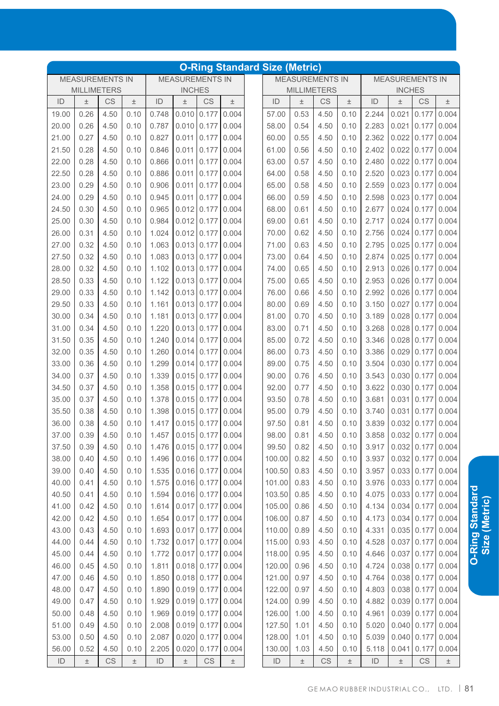|       |                        |           |       |       |                        |                     |       | <b>O-Ring Standard Size (Metric)</b> |       |                        |       |       |                         |                     |               |
|-------|------------------------|-----------|-------|-------|------------------------|---------------------|-------|--------------------------------------|-------|------------------------|-------|-------|-------------------------|---------------------|---------------|
|       | <b>MEASUREMENTS IN</b> |           |       |       | <b>MEASUREMENTS IN</b> |                     |       |                                      |       | <b>MEASUREMENTS IN</b> |       |       | <b>MEASUREMENTS IN</b>  |                     |               |
|       | <b>MILLIMETERS</b>     |           |       |       | <b>INCHES</b>          |                     |       |                                      |       | <b>MILLIMETERS</b>     |       |       | <b>INCHES</b>           |                     |               |
| ID    | $\pm$                  | CS        | Ŧ     | ID    | $\pm$                  | CS                  | $\pm$ | ID                                   | $\pm$ | CS                     | $\pm$ | ID    | Ŧ                       | CS                  | $\pm$         |
| 19.00 | 0.26                   | 4.50      | 0.10  | 0.748 | 0.010                  | 0.177               | 0.004 | 57.00                                | 0.53  | 4.50                   | 0.10  | 2.244 | 0.021                   | 0.177               | 0.004         |
| 20.00 | 0.26                   | 4.50      | 0.10  | 0.787 | 0.010                  | 0.177               | 0.004 | 58.00                                | 0.54  | 4.50                   | 0.10  | 2.283 | 0.021                   | 0.177               | 0.004         |
| 21.00 | 0.27                   | 4.50      | 0.10  | 0.827 | 0.011                  | 0.177               | 0.004 | 60.00                                | 0.55  | 4.50                   | 0.10  | 2.362 | 0.022                   | 0.177               | 0.004         |
| 21.50 | 0.28                   | 4.50      | 0.10  | 0.846 | 0.011                  | 0.177               | 0.004 | 61.00                                | 0.56  | 4.50                   | 0.10  | 2.402 | 0.022                   | 0.177               | 0.004         |
| 22.00 | 0.28                   | 4.50      | 0.10  | 0.866 | 0.011                  | 0.177               | 0.004 | 63.00                                | 0.57  | 4.50                   | 0.10  | 2.480 | 0.022                   | 0.177               | 0.004         |
| 22.50 | 0.28                   | 4.50      | 0.10  | 0.886 | 0.011                  | 0.177               | 0.004 | 64.00                                | 0.58  | 4.50                   | 0.10  | 2.520 | 0.023                   | 0.177               | 0.004         |
| 23.00 | 0.29                   | 4.50      | 0.10  | 0.906 | 0.011                  | 0.177               | 0.004 | 65.00                                | 0.58  | 4.50                   | 0.10  | 2.559 | 0.023                   | 0.177               | 0.004         |
| 24.00 | 0.29                   | 4.50      | 0.10  | 0.945 | 0.011                  | 0.177               | 0.004 | 66.00                                | 0.59  | 4.50                   | 0.10  | 2.598 | 0.023                   | 0.177               | 0.004         |
| 24.50 | 0.30                   | 4.50      | 0.10  | 0.965 | 0.012                  | 0.177               | 0.004 | 68.00                                | 0.61  | 4.50                   | 0.10  | 2.677 | 0.024                   | 0.177               | 0.004         |
| 25.00 | 0.30                   | 4.50      | 0.10  | 0.984 | $0.012$ 0.177          |                     | 0.004 | 69.00                                | 0.61  | 4.50                   | 0.10  | 2.717 | 0.024                   | 0.177               | 0.004         |
| 26.00 | 0.31                   | 4.50      | 0.10  | 1.024 | $0.012$ 0.177          |                     | 0.004 | 70.00                                | 0.62  | 4.50                   | 0.10  | 2.756 | 0.024                   | 0.177               | 0.004         |
| 27.00 | 0.32                   | 4.50      | 0.10  | 1.063 | 0.013                  | 0.177               | 0.004 | 71.00                                | 0.63  | 4.50                   | 0.10  | 2.795 | 0.025                   | 0.177               | 0.004         |
| 27.50 | 0.32                   | 4.50      | 0.10  | 1.083 | 0.013                  | 0.177               | 0.004 | 73.00                                | 0.64  | 4.50                   | 0.10  | 2.874 | 0.025                   | 0.177               | 0.004         |
| 28.00 | 0.32                   | 4.50      | 0.10  | 1.102 | $0.013$ 0.177          |                     | 0.004 | 74.00                                | 0.65  | 4.50                   | 0.10  | 2.913 | 0.026                   | 0.177               | 0.004         |
| 28.50 | 0.33                   | 4.50      | 0.10  | 1.122 | $0.013$ 0.177          |                     | 0.004 | 75.00                                | 0.65  | 4.50                   | 0.10  | 2.953 | 0.026                   | 0.177               | 0.004         |
| 29.00 | 0.33                   | 4.50      | 0.10  | 1.142 | 0.013                  | 0.177               | 0.004 | 76.00                                | 0.66  | 4.50                   | 0.10  | 2.992 | 0.026                   | 0.177               | 0.004         |
| 29.50 | 0.33                   | 4.50      | 0.10  | 1.161 | 0.013                  | 0.177               | 0.004 | 80.00                                | 0.69  | 4.50                   | 0.10  | 3.150 | 0.027                   | 0.177               | 0.004         |
| 30.00 | 0.34                   | 4.50      | 0.10  | 1.181 | 0.013                  | 0.177               | 0.004 | 81.00                                | 0.70  | 4.50                   | 0.10  | 3.189 | 0.028                   | 0.177               | 0.004         |
| 31.00 | 0.34                   | 4.50      | 0.10  | 1.220 | 0.013                  | 0.177               | 0.004 | 83.00                                | 0.71  | 4.50                   | 0.10  | 3.268 | 0.028                   | 0.177               | 0.004         |
| 31.50 | 0.35                   | 4.50      | 0.10  | 1.240 | 0.014                  | 0.177               | 0.004 | 85.00                                | 0.72  | 4.50                   | 0.10  | 3.346 | 0.028                   | 0.177               | 0.004         |
| 32.00 | 0.35                   | 4.50      | 0.10  | 1.260 | 0.014                  | 0.177               | 0.004 | 86.00                                | 0.73  | 4.50                   | 0.10  | 3.386 | 0.029                   | 0.177               | 0.004         |
| 33.00 | 0.36                   | 4.50      | 0.10  | 1.299 | 0.014                  | 0.177               | 0.004 | 89.00                                | 0.75  | 4.50                   | 0.10  | 3.504 | 0.030                   | 0.177               | 0.004         |
| 34.00 | 0.37                   | 4.50      | 0.10  | 1.339 | 0.015                  | 0.177               | 0.004 | 90.00                                | 0.76  | 4.50                   | 0.10  | 3.543 | 0.030                   | 0.177               | 0.004         |
| 34.50 | 0.37                   | 4.50      | 0.10  | 1.358 | 0.015                  | 0.177               | 0.004 | 92.00                                | 0.77  | 4.50                   | 0.10  | 3.622 | 0.030                   | 0.177               | 0.004         |
| 35.00 | 0.37                   | 4.50      | 0.10  | 1.378 | 0.015                  | 0.177               | 0.004 | 93.50                                | 0.78  | 4.50                   | 0.10  | 3.681 | 0.031                   | 0.177               | 0.004         |
| 35.50 | 0.38                   | 4.50      | 0.10  | 1.398 | 0.015                  | 0.177               | 0.004 | 95.00                                | 0.79  | 4.50                   | 0.10  | 3.740 | 0.031                   | 0.177               | 0.004         |
| 36.00 | 0.38                   | 4.50      | 0.10  | 1.417 | 0.015                  | 0.177               | 0.004 | 97.50                                | 0.81  | 4.50                   | 0.10  | 3.839 | 0.032                   | 0.177               | 0.004         |
| 37.00 | 0.39                   | 4.50      | 0.10  | 1.457 |                        | $0.015$ 0.177 0.004 |       | 98.00                                | 0.81  | 4.50                   | 0.10  |       | 3.858 0.032 0.177 0.004 |                     |               |
| 37.50 | 0.39                   | 4.50      | 0.10  | 1.476 |                        | $0.015$ 0.177 0.004 |       | 99.50                                | 0.82  | 4.50                   | 0.10  | 3.917 |                         | $0.032$ 0.177 0.004 |               |
| 38.00 | 0.40                   | 4.50      | 0.10  | 1.496 |                        | $0.016$ 0.177       | 0.004 | 100.00                               | 0.82  | 4.50                   | 0.10  | 3.937 |                         | $0.032$ 0.177 0.004 |               |
| 39.00 | 0.40                   | 4.50      | 0.10  | 1.535 |                        | $0.016$ 0.177       | 0.004 | 100.50                               | 0.83  | 4.50                   | 0.10  | 3.957 |                         | $0.033$ 0.177 0.004 |               |
| 40.00 | 0.41                   | 4.50      | 0.10  | 1.575 |                        | $0.016$ 0.177       | 0.004 | 101.00                               | 0.83  | 4.50                   | 0.10  | 3.976 |                         | $0.033$ 0.177 0.004 |               |
| 40.50 | 0.41                   | 4.50      | 0.10  | 1.594 |                        | $0.016$ 0.177       | 0.004 | 103.50                               | 0.85  | 4.50                   | 0.10  | 4.075 |                         | $0.033$ 0.177 0.004 |               |
| 41.00 | 0.42                   | 4.50      | 0.10  | 1.614 |                        | $0.017$ 0.177       | 0.004 | 105.00                               | 0.86  | 4.50                   | 0.10  | 4.134 | 0.034                   | $0.177$ 0.004       |               |
| 42.00 | 0.42                   | 4.50      | 0.10  | 1.654 |                        | $0.017$ 0.177       | 0.004 | 106.00                               | 0.87  | 4.50                   | 0.10  | 4.173 | 0.034                   | 0.177               | 0.004         |
| 43.00 | 0.43                   | 4.50      | 0.10  | 1.693 | $0.017$ 0.177          |                     | 0.004 | 110.00                               | 0.89  | 4.50                   | 0.10  | 4.331 |                         | $0.035$ 0.177 0.004 |               |
| 44.00 | 0.44                   | 4.50      | 0.10  | 1.732 |                        | $0.017$ 0.177       | 0.004 | 115.00                               | 0.93  | 4.50                   | 0.10  | 4.528 | 0.037                   |                     | $0.177$ 0.004 |
| 45.00 | 0.44                   | 4.50      | 0.10  | 1.772 |                        | $0.017$ 0.177       | 0.004 | 118.00                               | 0.95  | 4.50                   | 0.10  | 4.646 |                         | 0.037 0.177         | 0.004         |
| 46.00 | 0.45                   | 4.50      | 0.10  | 1.811 |                        | $0.018$ 0.177       | 0.004 | 120.00                               | 0.96  | 4.50                   | 0.10  | 4.724 |                         | 0.038 0.177         | 0.004         |
| 47.00 | 0.46                   | 4.50      | 0.10  | 1.850 |                        | $0.018$ 0.177       | 0.004 | 121.00                               | 0.97  | 4.50                   | 0.10  | 4.764 |                         | $0.038$ 0.177       | 0.004         |
| 48.00 | 0.47                   | 4.50      | 0.10  | 1.890 |                        | $0.019$ 0.177       | 0.004 | 122.00                               | 0.97  | 4.50                   | 0.10  | 4.803 |                         | 0.038 0.177         | 0.004         |
| 49.00 | 0.47                   | 4.50      | 0.10  | 1.929 |                        | $0.019$ 0.177       | 0.004 | 124.00                               | 0.99  | 4.50                   | 0.10  | 4.882 |                         | 0.039 0.177         | 0.004         |
| 50.00 | 0.48                   | 4.50      | 0.10  | 1.969 |                        | $0.019$ 0.177       | 0.004 | 126.00                               | 1.00  | 4.50                   | 0.10  | 4.961 | 0.039                   | 0.177               | 0.004         |
| 51.00 | 0.49                   | 4.50      | 0.10  | 2.008 |                        | $0.019$ 0.177       | 0.004 | 127.50                               | 1.01  | 4.50                   | 0.10  | 5.020 | 0.040                   | 0.177               | 0.004         |
| 53.00 | 0.50                   | 4.50      | 0.10  | 2.087 |                        | $0.020$ 0.177       | 0.004 | 128.00                               | 1.01  | 4.50                   | 0.10  | 5.039 | 0.040                   | 0.177               | 0.004         |
| 56.00 | 0.52                   | 4.50      | 0.10  | 2.205 | 0.020                  | 0.177               | 0.004 | 130.00                               | 1.03  | 4.50                   | 0.10  | 5.118 | 0.041                   | 0.177               | 0.004         |
|       |                        | <b>CS</b> |       |       |                        | CS                  |       |                                      |       |                        |       |       |                         |                     |               |
| ID    | $\pm$                  |           | $\pm$ | ID    | $\pm$                  |                     | $\pm$ | ID                                   | $\pm$ | CS                     | $\pm$ | ID    | $\pm$                   | CS                  | $\pm$         |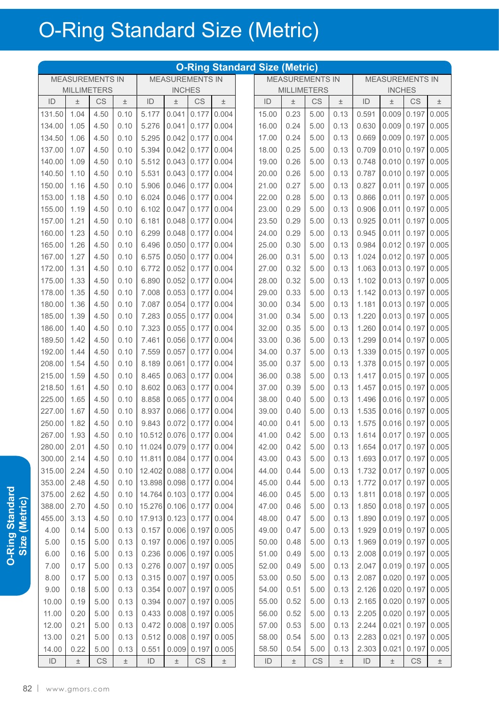|             |                        |      |       |                                   |                        |                        |                     | <b>O-Ring Standard Size (Metric)</b> |                        |      |       |                                        |                        |                     |               |
|-------------|------------------------|------|-------|-----------------------------------|------------------------|------------------------|---------------------|--------------------------------------|------------------------|------|-------|----------------------------------------|------------------------|---------------------|---------------|
|             | <b>MEASUREMENTS IN</b> |      |       |                                   | <b>MEASUREMENTS IN</b> |                        |                     |                                      | <b>MEASUREMENTS IN</b> |      |       |                                        | <b>MEASUREMENTS IN</b> |                     |               |
|             | <b>MILLIMETERS</b>     |      |       |                                   | <b>INCHES</b>          |                        |                     |                                      | <b>MILLIMETERS</b>     |      |       |                                        | <b>INCHES</b>          |                     |               |
| ID          | $\pm$                  | CS   | $\pm$ | ID                                | 土                      | <b>CS</b>              | $\pm$               | ID                                   | $\pm$                  | CS   | $\pm$ | ID                                     | 土                      | <b>CS</b>           | $\pm$         |
| 131.50      | 1.04                   | 4.50 | 0.10  | 5.177                             | 0.041                  | 0.177                  | 0.004               | 15.00                                | 0.23                   | 5.00 | 0.13  | 0.591                                  | 0.009                  | 0.197               | 0.005         |
| 134.00      | 1.05                   | 4.50 | 0.10  | 5.276                             | 0.041                  | 0.177                  | 0.004               | 16.00                                | 0.24                   | 5.00 | 0.13  | 0.630                                  | 0.009                  | 0.197               | 0.005         |
| 134.50      | 1.06                   | 4.50 | 0.10  | 5.295                             | 0.042                  | 0.177                  | 0.004               | 17.00                                | 0.24                   | 5.00 | 0.13  | 0.669                                  | 0.009                  | 0.197               | 0.005         |
| 137.00      | 1.07                   | 4.50 | 0.10  | 5.394                             | 0.042                  | 0.177                  | 0.004               | 18.00                                | 0.25                   | 5.00 | 0.13  | 0.709                                  | 0.010                  | 0.197               | 0.005         |
| 140.00      | 1.09                   | 4.50 | 0.10  | 5.512                             | 0.043                  | 0.177                  | 0.004               | 19.00                                | 0.26                   | 5.00 | 0.13  | 0.748                                  | 0.010                  | 0.197               | 0.005         |
| 140.50      | 1.10                   | 4.50 | 0.10  | 5.531                             | 0.043                  | 0.177                  | 0.004               | 20.00                                | 0.26                   | 5.00 | 0.13  | 0.787                                  | 0.010                  | 0.197               | 0.005         |
| 150.00      | 1.16                   | 4.50 | 0.10  | 5.906                             | 0.046                  | 0.177                  | 0.004               | 21.00                                | 0.27                   | 5.00 | 0.13  | 0.827                                  | 0.011                  | 0.197               | 0.005         |
| 153.00      | 1.18                   | 4.50 | 0.10  | 6.024                             | 0.046                  | 0.177                  | 0.004               | 22.00                                | 0.28                   | 5.00 | 0.13  | 0.866                                  | 0.011                  | 0.197               | 0.005         |
| 155.00      | 1.19                   | 4.50 | 0.10  | 6.102                             | 0.047                  | 0.177                  | 0.004               | 23.00                                | 0.29                   | 5.00 | 0.13  | 0.906                                  | 0.011                  | 0.197               | 0.005         |
| 157.00      | 1.21                   | 4.50 | 0.10  | 6.181                             | 0.048                  | 0.177                  | 0.004               | 23.50                                | 0.29                   | 5.00 | 0.13  | 0.925                                  | 0.011                  | 0.197               | 0.005         |
| 160.00      | 1.23                   | 4.50 | 0.10  | 6.299                             | 0.048                  | 0.177                  | 0.004               | 24.00                                | 0.29                   | 5.00 | 0.13  | 0.945                                  | 0.011                  | 0.197               | 0.005         |
| 165.00      | 1.26                   | 4.50 | 0.10  | 6.496                             | 0.050                  | 0.177                  | 0.004               | 25.00                                | 0.30                   | 5.00 | 0.13  | 0.984                                  | 0.012                  | 0.197               | 0.005         |
| 167.00      | 1.27                   | 4.50 | 0.10  | 6.575                             | 0.050                  | 0.177                  | 0.004               | 26.00                                | 0.31                   | 5.00 | 0.13  | 1.024                                  | 0.012                  | 0.197               | 0.005         |
| 172.00      | 1.31                   | 4.50 | 0.10  | 6.772                             | 0.052                  | 0.177                  | 0.004               | 27.00                                | 0.32                   | 5.00 | 0.13  | 1.063                                  | 0.013                  | 0.197               | 0.005         |
| 175.00      | 1.33                   | 4.50 | 0.10  | 6.890                             | 0.052                  | 0.177                  | 0.004               | 28.00                                | 0.32                   | 5.00 | 0.13  | 1.102                                  | 0.013                  | 0.197               | 0.005         |
| 178.00      | 1.35                   | 4.50 | 0.10  | 7.008                             | 0.053                  | 0.177                  | 0.004               | 29.00                                | 0.33                   | 5.00 | 0.13  | 1.142                                  |                        | $0.013$ 0.197       | 0.005         |
| 180.00      | 1.36                   | 4.50 | 0.10  | 7.087                             | 0.054                  | 0.177                  | 0.004               | 30.00                                | 0.34                   | 5.00 | 0.13  | 1.181                                  | 0.013                  | 0.197               | 0.005         |
| 185.00      | 1.39                   | 4.50 | 0.10  | 7.283                             | 0.055                  | 0.177                  | 0.004               | 31.00                                | 0.34                   | 5.00 | 0.13  | 1.220                                  | 0.013                  | 0.197               | 0.005         |
| 186.00      | 1.40                   | 4.50 | 0.10  | 7.323                             | 0.055                  | 0.177                  | 0.004               | 32.00                                | 0.35                   | 5.00 | 0.13  | 1.260                                  | 0.014                  | 0.197               | 0.005         |
| 189.50      | 1.42                   | 4.50 | 0.10  | 7.461                             | 0.056                  | 0.177                  | 0.004               | 33.00                                | 0.36                   | 5.00 | 0.13  | 1.299                                  | 0.014                  | 0.197               | 0.005         |
| 192.00      | 1.44                   | 4.50 | 0.10  | 7.559                             | 0.057                  | 0.177                  | 0.004               | 34.00                                | 0.37                   | 5.00 | 0.13  | 1.339                                  | 0.015                  | 0.197               | 0.005         |
| 208.00      | 1.54                   | 4.50 | 0.10  | 8.189                             | 0.061                  | 0.177                  | 0.004               | 35.00                                | 0.37                   | 5.00 | 0.13  | 1.378                                  | 0.015                  | 0.197               | 0.005         |
| 215.00      | 1.59                   | 4.50 | 0.10  | 8.465                             | 0.063                  | 0.177                  | 0.004               | 36.00                                | 0.38                   | 5.00 | 0.13  | 1.417                                  | 0.015                  | 0.197               | 0.005         |
| 218.50      | 1.61                   | 4.50 | 0.10  | 8.602                             | 0.063                  | 0.177                  | 0.004               | 37.00                                | 0.39                   | 5.00 | 0.13  | 1.457                                  | 0.015                  | 0.197               | 0.005         |
| 225.00      | 1.65                   | 4.50 | 0.10  | 8.858                             | 0.065                  | 0.177                  | 0.004               | 38.00                                | 0.40                   | 5.00 | 0.13  | 1.496                                  | 0.016                  | 0.197               | 0.005         |
| 227.00      | 1.67                   | 4.50 | 0.10  | 8.937                             | 0.066                  | 0.177                  | 0.004               | 39.00                                | 0.40                   | 5.00 | 0.13  | 1.535                                  | 0.016                  | 0.197               | 0.005         |
| 250.00      | 1.82                   | 4.50 | 0.10  | 9.843                             | 0.072                  | 0.177                  | 0.004               | 40.00                                | 0.41                   | 5.00 | 0.13  | 1.575                                  |                        | $0.016$ 0.197       | 0.005         |
| 267.00 1.93 |                        | 4.50 |       | $0.10$   10.512 0.076 0.177 0.004 |                        |                        |                     | 41.00                                | 0.42                   | 5.00 |       | $0.13$   1.614   0.017   0.197   0.005 |                        |                     |               |
| 280.00      | 2.01                   | 4.50 | 0.10  | 11.024 0.079 0.177 0.004          |                        |                        |                     | 42.00                                | 0.42                   | 5.00 | 0.13  | 1.654                                  |                        | $0.017$ 0.197 0.005 |               |
| 300.00      | 2.14                   | 4.50 | 0.10  | 11.811 0.084 0.177 0.004          |                        |                        |                     | 43.00                                | 0.43                   | 5.00 | 0.13  | 1.693                                  |                        | $0.017$ 0.197 0.005 |               |
| 315.00      | 2.24                   | 4.50 | 0.10  | 12.402 0.088 0.177 0.004          |                        |                        |                     | 44.00                                | 0.44                   | 5.00 | 0.13  | 1.732                                  | 0.017                  |                     | $0.197$ 0.005 |
| 353.00      | 2.48                   | 4.50 | 0.10  | 13.898 0.098 0.177 0.004          |                        |                        |                     | 45.00                                | 0.44                   | 5.00 | 0.13  | 1.772                                  |                        | $0.017$ 0.197 0.005 |               |
| 375.00      | 2.62                   | 4.50 | 0.10  | 14.764 0.103 0.177 0.004          |                        |                        |                     | 46.00                                | 0.45                   | 5.00 | 0.13  | 1.811                                  |                        | $0.018$ 0.197 0.005 |               |
| 388.00      | 2.70                   | 4.50 | 0.10  | 15.276 0.106 0.177 0.004          |                        |                        |                     | 47.00                                | 0.46                   | 5.00 | 0.13  | 1.850                                  |                        | $0.018$ 0.197 0.005 |               |
| 455.00      | 3.13                   | 4.50 | 0.10  | 17.913 0.123 0.177                |                        |                        | 0.004               | 48.00                                | 0.47                   | 5.00 | 0.13  | 1.890                                  |                        | $0.019$ 0.197       | 0.005         |
| 4.00        | 0.14                   | 5.00 | 0.13  | 0.157                             |                        |                        | $0.006$ 0.197 0.005 | 49.00                                | 0.47                   | 5.00 | 0.13  | 1.929                                  |                        | $0.019$ 0.197 0.005 |               |
| 5.00        | 0.15                   | 5.00 | 0.13  | 0.197                             |                        |                        | $0.006$ 0.197 0.005 | 50.00                                | 0.48                   | 5.00 | 0.13  | 1.969                                  |                        | $0.019$ 0.197 0.005 |               |
| 6.00        | 0.16                   | 5.00 | 0.13  | 0.236                             |                        | $0.006$ 0.197          | 0.005               | 51.00                                | 0.49                   | 5.00 | 0.13  | 2.008                                  |                        | $0.019$ 0.197 0.005 |               |
| 7.00        | 0.17                   | 5.00 |       | 0.276                             | 0.007                  | 0.197                  | 0.005               | 52.00                                | 0.49                   | 5.00 | 0.13  | 2.047                                  |                        | $0.019$ 0.197 0.005 |               |
|             |                        |      | 0.13  |                                   |                        |                        |                     |                                      |                        |      |       |                                        |                        |                     |               |
| 8.00        | 0.17                   | 5.00 | 0.13  | 0.315                             | 0.007                  |                        | $0.197$ 0.005       | 53.00                                | 0.50                   | 5.00 | 0.13  | 2.087                                  |                        | $0.020$ 0.197 0.005 |               |
| 9.00        | 0.18                   | 5.00 | 0.13  | 0.354                             | 0.007                  | 0.197                  | 0.005               | 54.00                                | 0.51                   | 5.00 | 0.13  | 2.126                                  |                        | $0.020$ 0.197 0.005 |               |
| 10.00       | 0.19                   | 5.00 | 0.13  | 0.394                             | 0.007                  |                        | $0.197$ 0.005       | 55.00                                | 0.52                   | 5.00 | 0.13  | 2.165                                  |                        | $0.020$ 0.197       | 0.005         |
| 11.00       | 0.20                   | 5.00 | 0.13  | 0.433                             |                        | $0.008$ 0.197          | 0.005               | 56.00                                | 0.52                   | 5.00 | 0.13  | 2.205                                  |                        | $0.020$ 0.197       | 0.005         |
| 12.00       | 0.21                   | 5.00 | 0.13  | 0.472                             |                        | $0.008$ 0.197          | 0.005               | 57.00                                | 0.53                   | 5.00 | 0.13  | 2.244                                  | 0.021                  |                     | $0.197$ 0.005 |
| 13.00       | 0.21                   | 5.00 | 0.13  | 0.512                             | 0.008                  | 0.197                  | 0.005               | 58.00                                | 0.54                   | 5.00 | 0.13  | 2.283                                  | 0.021                  | 0.197               | 0.005         |
| 14.00       | 0.22                   | 5.00 | 0.13  | 0.551                             | 0.009                  | 0.197                  | 0.005               | 58.50                                | 0.54                   | 5.00 | 0.13  | 2.303                                  | 0.021                  | 0.197               | 0.005         |
| ID          | $\pm$                  | CS   | $\pm$ | ID                                | $\pm$                  | $\mathbb{C}\mathbb{S}$ | $\pm$               | ID                                   | $\pm$                  | CS   | $\pm$ | ID                                     | $\pm$                  | CS                  | $\pm$         |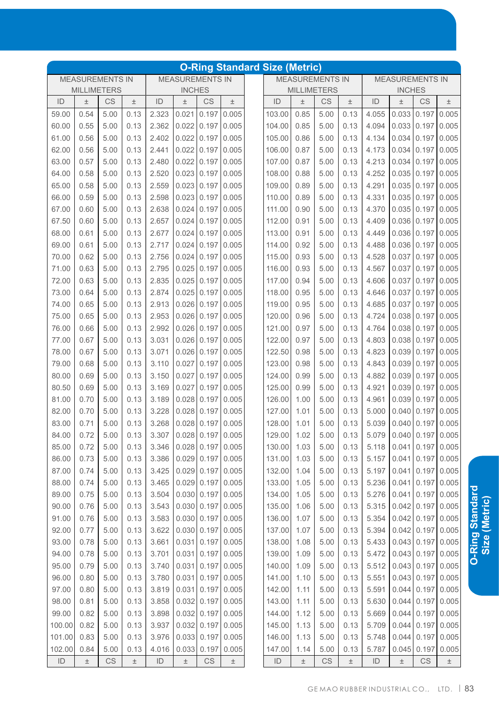|        |       |                        |       |       |                        |                         |       | <b>O-Ring Standard Size (Metric)</b> |       |                        |       |       |                         |                    |       |
|--------|-------|------------------------|-------|-------|------------------------|-------------------------|-------|--------------------------------------|-------|------------------------|-------|-------|-------------------------|--------------------|-------|
|        |       | <b>MEASUREMENTS IN</b> |       |       | <b>MEASUREMENTS IN</b> |                         |       |                                      |       | <b>MEASUREMENTS IN</b> |       |       | <b>MEASUREMENTS IN</b>  |                    |       |
|        |       | <b>MILLIMETERS</b>     |       |       | <b>INCHES</b>          |                         |       |                                      |       | <b>MILLIMETERS</b>     |       |       | <b>INCHES</b>           |                    |       |
| ID     | 土     | <b>CS</b>              | 土     | ID    | $\pm$                  | CS                      | $\pm$ | ID                                   | $\pm$ | CS                     | 土     | ID    | $\pm$                   | <b>CS</b>          | 土     |
| 59.00  | 0.54  | 5.00                   | 0.13  | 2.323 | 0.021                  | 0.197                   | 0.005 | 103.00                               | 0.85  | 5.00                   | 0.13  | 4.055 | 0.033                   | 0.197              | 0.005 |
| 60.00  | 0.55  | 5.00                   | 0.13  | 2.362 | 0.022                  | 0.197                   | 0.005 | 104.00                               | 0.85  | 5.00                   | 0.13  | 4.094 | 0.033                   | 0.197              | 0.005 |
| 61.00  | 0.56  | 5.00                   | 0.13  | 2.402 | 0.022                  | 0.197                   | 0.005 | 105.00                               | 0.86  | 5.00                   | 0.13  | 4.134 | 0.034                   | 0.197              | 0.005 |
| 62.00  | 0.56  | 5.00                   | 0.13  | 2.441 | 0.022                  | 0.197                   | 0.005 | 106.00                               | 0.87  | 5.00                   | 0.13  | 4.173 | 0.034                   | 0.197              | 0.005 |
| 63.00  | 0.57  | 5.00                   | 0.13  | 2.480 | 0.022                  | 0.197                   | 0.005 | 107.00                               | 0.87  | 5.00                   | 0.13  | 4.213 | 0.034                   | 0.197              | 0.005 |
| 64.00  | 0.58  | 5.00                   | 0.13  | 2.520 | 0.023                  | 0.197                   | 0.005 | 108.00                               | 0.88  | 5.00                   | 0.13  | 4.252 | 0.035                   | 0.197              | 0.005 |
| 65.00  | 0.58  | 5.00                   | 0.13  | 2.559 | 0.023                  | 0.197                   | 0.005 | 109.00                               | 0.89  | 5.00                   | 0.13  | 4.291 | 0.035                   | 0.197              | 0.005 |
| 66.00  | 0.59  | 5.00                   | 0.13  | 2.598 | 0.023                  | 0.197                   | 0.005 | 110.00                               | 0.89  | 5.00                   | 0.13  | 4.331 | 0.035                   | 0.197              | 0.005 |
| 67.00  | 0.60  | 5.00                   | 0.13  | 2.638 | 0.024                  | 0.197                   | 0.005 | 111.00                               | 0.90  | 5.00                   | 0.13  | 4.370 | 0.035                   | 0.197              | 0.005 |
| 67.50  | 0.60  | 5.00                   | 0.13  | 2.657 | 0.024                  | 0.197                   | 0.005 | 112.00                               | 0.91  | 5.00                   | 0.13  | 4.409 | 0.036                   | 0.197              | 0.005 |
| 68.00  | 0.61  | 5.00                   | 0.13  | 2.677 | 0.024                  | 0.197                   | 0.005 | 113.00                               | 0.91  | 5.00                   | 0.13  | 4.449 | 0.036                   | 0.197              | 0.005 |
| 69.00  | 0.61  | 5.00                   | 0.13  | 2.717 | 0.024                  | 0.197                   | 0.005 | 114.00                               | 0.92  | 5.00                   | 0.13  | 4.488 | 0.036                   | 0.197              | 0.005 |
| 70.00  | 0.62  | 5.00                   | 0.13  | 2.756 | 0.024                  | 0.197                   | 0.005 | 115.00                               | 0.93  | 5.00                   | 0.13  | 4.528 | 0.037                   | 0.197              | 0.005 |
| 71.00  | 0.63  | 5.00                   | 0.13  | 2.795 | 0.025                  | 0.197                   | 0.005 | 116.00                               | 0.93  | 5.00                   | 0.13  | 4.567 | 0.037                   | 0.197              | 0.005 |
| 72.00  | 0.63  | 5.00                   | 0.13  | 2.835 | 0.025                  | 0.197                   | 0.005 | 117.00                               | 0.94  | 5.00                   | 0.13  | 4.606 | 0.037                   | 0.197              | 0.005 |
| 73.00  | 0.64  | 5.00                   | 0.13  | 2.874 | 0.025                  | 0.197                   | 0.005 | 118.00                               | 0.95  | 5.00                   | 0.13  | 4.646 | 0.037                   | 0.197              | 0.005 |
| 74.00  | 0.65  | 5.00                   | 0.13  | 2.913 | 0.026                  | 0.197                   | 0.005 | 119.00                               | 0.95  | 5.00                   | 0.13  | 4.685 | 0.037                   | 0.197              | 0.005 |
| 75.00  | 0.65  | 5.00                   | 0.13  | 2.953 | 0.026                  | 0.197                   | 0.005 | 120.00                               | 0.96  | 5.00                   | 0.13  | 4.724 | 0.038                   | 0.197              | 0.005 |
| 76.00  | 0.66  | 5.00                   | 0.13  | 2.992 | 0.026                  | 0.197                   | 0.005 | 121.00                               | 0.97  | 5.00                   | 0.13  | 4.764 | 0.038                   | 0.197              | 0.005 |
| 77.00  | 0.67  | 5.00                   | 0.13  | 3.031 | 0.026                  | 0.197                   | 0.005 | 122.00                               | 0.97  | 5.00                   | 0.13  | 4.803 | 0.038                   | 0.197              | 0.005 |
| 78.00  | 0.67  | 5.00                   | 0.13  | 3.071 | 0.026                  | 0.197                   | 0.005 | 122.50                               | 0.98  | 5.00                   | 0.13  | 4.823 | 0.039                   | 0.197              | 0.005 |
| 79.00  | 0.68  | 5.00                   | 0.13  | 3.110 | 0.027                  | 0.197                   | 0.005 | 123.00                               | 0.98  | 5.00                   | 0.13  | 4.843 | 0.039                   | 0.197              | 0.005 |
| 80.00  | 0.69  | 5.00                   | 0.13  | 3.150 | 0.027                  | 0.197                   | 0.005 | 124.00                               | 0.99  | 5.00                   | 0.13  | 4.882 | 0.039                   | 0.197              | 0.005 |
| 80.50  | 0.69  | 5.00                   | 0.13  | 3.169 | 0.027                  | 0.197                   | 0.005 | 125.00                               | 0.99  | 5.00                   | 0.13  | 4.921 | 0.039                   | 0.197              | 0.005 |
| 81.00  | 0.70  | 5.00                   | 0.13  | 3.189 | 0.028                  | 0.197                   | 0.005 | 126.00                               | 1.00  | 5.00                   | 0.13  | 4.961 | 0.039                   | 0.197              | 0.005 |
| 82.00  | 0.70  | 5.00                   | 0.13  | 3.228 | 0.028                  | 0.197                   | 0.005 | 127.00                               | 1.01  | 5.00                   | 0.13  | 5.000 | 0.040                   | 0.197              | 0.005 |
| 83.00  | 0.71  | 5.00                   | 0.13  | 3.268 | 0.028                  | 0.197                   | 0.005 | 128.00                               | 1.01  | 5.00                   | 0.13  | 5.039 | 0.040                   | 0.197              | 0.005 |
| 84.00  | 0.72  | 5.00                   | 0.13  | 3.307 |                        | $0.028$ 0.197 0.005     |       | 129.00                               | 1.02  | 5.00                   | 0.13  |       | 5.079 0.040 0.197 0.005 |                    |       |
| 85.00  | 0.72  | 5.00                   | 0.13  | 3.346 |                        | $0.028$ 0.197 0.005     |       | 130.00                               | 1.03  | 5.00                   | 0.13  | 5.118 |                         | $0.041$ 0.197      | 0.005 |
| 86.00  | 0.73  | 5.00                   | 0.13  | 3.386 |                        | $0.029$ 0.197           | 0.005 | 131.00                               | 1.03  | 5.00                   | 0.13  | 5.157 | 0.041                   | 0.197              | 0.005 |
| 87.00  | 0.74  | 5.00                   | 0.13  | 3.425 |                        | $0.029$ 0.197           | 0.005 | 132.00                               | 1.04  | 5.00                   | 0.13  | 5.197 | 0.041                   | 0.197              | 0.005 |
| 88.00  | 0.74  | 5.00                   | 0.13  | 3.465 |                        | $0.029$ 0.197           | 0.005 | 133.00                               | 1.05  | 5.00                   | 0.13  | 5.236 | 0.041                   | 0.197              | 0.005 |
| 89.00  | 0.75  | 5.00                   | 0.13  | 3.504 |                        | $0.030$ 0.197           | 0.005 | 134.00                               | 1.05  | 5.00                   | 0.13  | 5.276 | 0.041                   | 0.197              | 0.005 |
| 90.00  | 0.76  | 5.00                   | 0.13  | 3.543 |                        | $0.030$ 0.197           | 0.005 | 135.00                               | 1.06  | 5.00                   | 0.13  | 5.315 |                         | $0.042$ 0.197      | 0.005 |
| 91.00  | 0.76  | 5.00                   | 0.13  | 3.583 |                        | $0.030 \mid 0.197 \mid$ | 0.005 | 136.00                               | 1.07  | 5.00                   | 0.13  | 5.354 |                         | $0.042 \mid 0.197$ | 0.005 |
| 92.00  | 0.77  | 5.00                   | 0.13  | 3.622 |                        | $0.030 \mid 0.197 \mid$ | 0.005 | 137.00                               | 1.07  | 5.00                   | 0.13  | 5.394 | 0.042                   | 0.197              | 0.005 |
| 93.00  | 0.78  | 5.00                   | 0.13  | 3.661 | 0.031                  | 0.197                   | 0.005 | 138.00                               | 1.08  | 5.00                   | 0.13  | 5.433 |                         | $0.043$ 0.197      | 0.005 |
| 94.00  | 0.78  | 5.00                   | 0.13  | 3.701 | 0.031                  | 0.197                   | 0.005 | 139.00                               | 1.09  | 5.00                   | 0.13  | 5.472 |                         | $0.043$ 0.197      | 0.005 |
| 95.00  | 0.79  | 5.00                   | 0.13  | 3.740 | 0.031                  | 0.197                   | 0.005 | 140.00                               | 1.09  | 5.00                   | 0.13  | 5.512 | 0.043                   | 0.197              | 0.005 |
| 96.00  | 0.80  | 5.00                   | 0.13  | 3.780 | 0.031                  | 0.197                   | 0.005 | 141.00                               | 1.10  | 5.00                   | 0.13  | 5.551 |                         | $0.043$ 0.197      | 0.005 |
| 97.00  | 0.80  | 5.00                   | 0.13  | 3.819 | 0.031                  | 0.197                   | 0.005 | 142.00                               | 1.11  | 5.00                   | 0.13  | 5.591 | 0.044                   | 0.197              | 0.005 |
| 98.00  | 0.81  | 5.00                   | 0.13  | 3.858 |                        | $0.032 \mid 0.197 \mid$ | 0.005 | 143.00                               | 1.11  | 5.00                   | 0.13  | 5.630 | 0.044                   | 0.197              | 0.005 |
| 99.00  | 0.82  | 5.00                   | 0.13  | 3.898 |                        | $0.032 \mid 0.197 \mid$ | 0.005 | 144.00                               | 1.12  | 5.00                   | 0.13  | 5.669 | 0.044                   | 0.197              | 0.005 |
| 100.00 | 0.82  | 5.00                   | 0.13  | 3.937 |                        | $0.032$ 0.197           | 0.005 | 145.00                               | 1.13  | 5.00                   | 0.13  | 5.709 | 0.044                   | 0.197              | 0.005 |
| 101.00 | 0.83  | 5.00                   | 0.13  | 3.976 |                        | $0.033$ 0.197           | 0.005 | 146.00                               | 1.13  | 5.00                   | 0.13  | 5.748 | 0.044                   | 0.197              | 0.005 |
| 102.00 | 0.84  | 5.00                   | 0.13  | 4.016 | 0.033                  | 0.197                   | 0.005 | 147.00                               | 1.14  | 5.00                   | 0.13  | 5.787 | 0.045                   | 0.197              | 0.005 |
| ID     | $\pm$ | CS                     | $\pm$ | ID    | $\pm$                  | CS                      | $\pm$ | ID                                   | $\pm$ | CS                     | $\pm$ | ID    | $\pm$                   | CS                 | $\pm$ |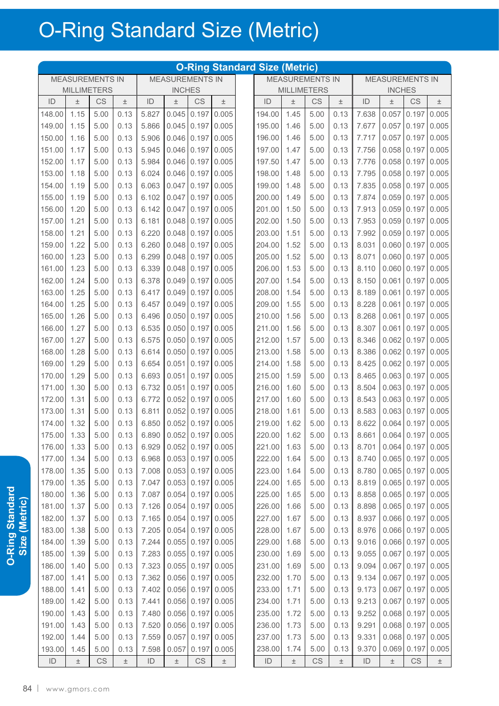|               |                        |      |       |               |                                  |               |                     | <b>O-Ring Standard Size (Metric)</b> |       |                        |       |               |                        |                     |       |
|---------------|------------------------|------|-------|---------------|----------------------------------|---------------|---------------------|--------------------------------------|-------|------------------------|-------|---------------|------------------------|---------------------|-------|
|               | <b>MEASUREMENTS IN</b> |      |       |               | <b>MEASUREMENTS IN</b>           |               |                     |                                      |       | <b>MEASUREMENTS IN</b> |       |               | <b>MEASUREMENTS IN</b> |                     |       |
|               | <b>MILLIMETERS</b>     |      |       |               | <b>INCHES</b>                    |               |                     |                                      |       | <b>MILLIMETERS</b>     |       |               | <b>INCHES</b>          |                     |       |
| ID            | $\pm$                  | CS   | $\pm$ | ID            | $\pm$                            | <b>CS</b>     | $\pm$               | ID                                   | 土     | CS                     | $\pm$ | ID            | $\pm$                  | CS                  | $\pm$ |
| 148.00        | 1.15                   | 5.00 | 0.13  | 5.827         | 0.045                            | 0.197         | 0.005               | 194.00                               | 1.45  | 5.00                   | 0.13  | 7.638         | 0.057                  | 0.197               | 0.005 |
| 149.00        | 1.15                   | 5.00 | 0.13  | 5.866         | 0.045                            | 0.197         | 0.005               | 195.00                               | 1.46  | 5.00                   | 0.13  | 7.677         | 0.057                  | 0.197               | 0.005 |
| 150.00        | 1.16                   | 5.00 | 0.13  | 5.906         | 0.046                            | 0.197         | 0.005               | 196.00                               | 1.46  | 5.00                   | 0.13  | 7.717         | 0.057                  | 0.197               | 0.005 |
| 151.00        | 1.17                   | 5.00 | 0.13  | 5.945         | 0.046                            | 0.197         | 0.005               | 197.00                               | 1.47  | 5.00                   | 0.13  | 7.756         | 0.058                  | 0.197               | 0.005 |
| 152.00        | 1.17                   | 5.00 | 0.13  | 5.984         | 0.046                            | 0.197         | 0.005               | 197.50                               | 1.47  | 5.00                   | 0.13  | 7.776         | 0.058                  | 0.197               | 0.005 |
| 153.00        | 1.18                   | 5.00 | 0.13  | 6.024         | 0.046                            | 0.197         | 0.005               | 198.00                               | 1.48  | 5.00                   | 0.13  | 7.795         | 0.058                  | 0.197               | 0.005 |
| 154.00        | 1.19                   | 5.00 | 0.13  | 6.063         | 0.047                            | 0.197         | 0.005               | 199.00                               | 1.48  | 5.00                   | 0.13  | 7.835         | 0.058                  | 0.197               | 0.005 |
| 155.00        | 1.19                   | 5.00 | 0.13  | 6.102         | 0.047                            | 0.197         | 0.005               | 200.00                               | 1.49  | 5.00                   | 0.13  | 7.874         | 0.059                  | 0.197               | 0.005 |
| 156.00        | 1.20                   | 5.00 | 0.13  | 6.142         | 0.047                            | 0.197         | 0.005               | 201.00                               | 1.50  | 5.00                   | 0.13  | 7.913         | 0.059                  | 0.197               | 0.005 |
| 157.00        | 1.21                   | 5.00 | 0.13  | 6.181         | 0.048                            | 0.197         | 0.005               | 202.00                               | 1.50  | 5.00                   | 0.13  | 7.953         | 0.059                  | 0.197               | 0.005 |
| 158.00        | 1.21                   | 5.00 | 0.13  | 6.220         | 0.048                            | 0.197         | 0.005               | 203.00                               | 1.51  | 5.00                   | 0.13  | 7.992         | 0.059                  | 0.197               | 0.005 |
| 159.00        | 1.22                   | 5.00 | 0.13  | 6.260         | 0.048                            | 0.197         | 0.005               | 204.00                               | 1.52  | 5.00                   | 0.13  | 8.031         | 0.060                  | 0.197               | 0.005 |
| 160.00        | 1.23                   | 5.00 | 0.13  | 6.299         | 0.048                            | 0.197         | 0.005               | 205.00                               | 1.52  | 5.00                   | 0.13  | 8.071         | 0.060                  | 0.197               | 0.005 |
| 161.00        | 1.23                   | 5.00 | 0.13  | 6.339         | 0.048                            | 0.197         | 0.005               | 206.00                               | 1.53  | 5.00                   | 0.13  | 8.110         | 0.060                  | 0.197               | 0.005 |
| 162.00        | 1.24                   | 5.00 | 0.13  | 6.378         | 0.049                            | 0.197         | 0.005               | 207.00                               | 1.54  | 5.00                   | 0.13  | 8.150         | 0.061                  | 0.197               | 0.005 |
| 163.00        | 1.25                   | 5.00 | 0.13  | 6.417         | 0.049                            | 0.197         | 0.005               | 208.00                               | 1.54  | 5.00                   | 0.13  | 8.189         | 0.061                  | 0.197               | 0.005 |
| 164.00        | 1.25                   | 5.00 | 0.13  | 6.457         | 0.049                            | 0.197         | 0.005               | 209.00                               | 1.55  | 5.00                   | 0.13  | 8.228         | 0.061                  | 0.197               | 0.005 |
| 165.00        | 1.26                   | 5.00 | 0.13  | 6.496         | 0.050                            | 0.197         | 0.005               | 210.00                               | 1.56  | 5.00                   | 0.13  | 8.268         | 0.061                  | 0.197               | 0.005 |
| 166.00        | 1.27                   | 5.00 | 0.13  | 6.535         | 0.050                            | 0.197         | 0.005               | 211.00                               | 1.56  | 5.00                   | 0.13  | 8.307         | 0.061                  | 0.197               | 0.005 |
| 167.00        | 1.27                   | 5.00 | 0.13  | 6.575         | 0.050                            | 0.197         | 0.005               | 212.00                               | 1.57  | 5.00                   | 0.13  | 8.346         | 0.062                  | 0.197               | 0.005 |
| 168.00        | 1.28                   | 5.00 | 0.13  | 6.614         | 0.050                            | 0.197         | 0.005               | 213.00                               | 1.58  | 5.00                   | 0.13  | 8.386         | 0.062                  | 0.197               | 0.005 |
| 169.00        | 1.29                   | 5.00 | 0.13  | 6.654         | 0.051                            | 0.197         | 0.005               | 214.00                               | 1.58  | 5.00                   | 0.13  | 8.425         | 0.062                  | 0.197               | 0.005 |
| 170.00        | 1.29                   | 5.00 | 0.13  | 6.693         | 0.051                            | 0.197         | 0.005               | 215.00                               | 1.59  | 5.00                   | 0.13  | 8.465         | 0.063                  | 0.197               | 0.005 |
| 171.00        | 1.30                   | 5.00 | 0.13  | 6.732         | 0.051                            | 0.197         | 0.005               | 216.00                               | 1.60  | 5.00                   | 0.13  | 8.504         | 0.063                  | 0.197               | 0.005 |
| 172.00        | 1.31                   | 5.00 | 0.13  | 6.772         | 0.052                            | 0.197         | 0.005               | 217.00                               | 1.60  | 5.00                   | 0.13  | 8.543         | 0.063                  | 0.197               | 0.005 |
| 173.00        | 1.31                   | 5.00 | 0.13  | 6.811         | 0.052                            | 0.197         | 0.005               | 218.00                               | 1.61  | 5.00                   | 0.13  | 8.583         | 0.063                  | 0.197               | 0.005 |
| 174.00        | 1.32                   | 5.00 | 0.13  | 6.850         | 0.052                            | 0.197         | 0.005               | 219.00                               | 1.62  | 5.00                   | 0.13  | 8.622         | 0.064                  | 0.197               | 0.005 |
| 175.00        | 1.33                   | 5.00 | 0.13  |               | $6.890$ $\mid$ 0.052 0.197 0.005 |               |                     | 220.00                               | 1.62  | 5.00                   | 0.13  | 8.661         |                        | $0.064$ 0.197 0.005 |       |
| 176.00        | 1.33                   | 5.00 | 0.13  | 6.929         |                                  |               | $0.052$ 0.197 0.005 | 221.00                               | 1.63  | 5.00                   | 0.13  | 8.701         |                        | $0.064$ 0.197 0.005 |       |
| 177.00        | 1.34                   | 5.00 | 0.13  | 6.968         |                                  | $0.053$ 0.197 | 0.005               | 222.00                               | 1.64  | 5.00                   | 0.13  | 8.740         |                        | $0.065$ 0.197       | 0.005 |
| 178.00        | 1.35                   | 5.00 | 0.13  | 7.008         | 0.053                            |               | $0.197$ 0.005       | 223.00                               | 1.64  | 5.00                   | 0.13  | 8.780         |                        | $0.065$ 0.197       | 0.005 |
| 179.00        | 1.35                   | 5.00 | 0.13  | 7.047         | 0.053                            |               | $0.197$ 0.005       | 224.00                               | 1.65  | 5.00                   | 0.13  | 8.819         |                        | $0.065$ 0.197 0.005 |       |
| 180.00        | 1.36                   | 5.00 | 0.13  | 7.087         | 0.054                            |               | $0.197$ 0.005       | 225.00                               | 1.65  | 5.00                   | 0.13  | 8.858         |                        | 0.065 0.197 0.005   |       |
| 181.00        | 1.37                   | 5.00 | 0.13  | 7.126         | 0.054                            |               | $0.197$ 0.005       | 226.00                               | 1.66  | 5.00                   | 0.13  | 8.898         | 0.065                  | 0.197               | 0.005 |
| 182.00        | 1.37                   | 5.00 | 0.13  | 7.165         | 0.054                            |               | $0.197$ 0.005       | 227.00                               | 1.67  | 5.00                   | 0.13  | 8.937         |                        | $0.066$ 0.197       | 0.005 |
| 183.00        | 1.38                   | 5.00 | 0.13  | 7.205         | 0.054                            |               | $0.197$ 0.005       | 228.00                               | 1.67  | 5.00                   | 0.13  | 8.976         | 0.066                  | 0.197               | 0.005 |
| 184.00        | 1.39                   | 5.00 | 0.13  | 7.244         | 0.055                            |               | $0.197$ 0.005       | 229.00                               | 1.68  | 5.00                   | 0.13  | 9.016         |                        | 0.066 0.197         | 0.005 |
| 185.00        | 1.39                   | 5.00 | 0.13  | 7.283         | 0.055                            |               | $0.197$ 0.005       | 230.00                               | 1.69  | 5.00                   | 0.13  | 9.055         | 0.067                  | 0.197               | 0.005 |
| 186.00        | 1.40                   | 5.00 | 0.13  | 7.323         | 0.055                            |               | $0.197$ 0.005       | 231.00                               | 1.69  | 5.00                   | 0.13  | 9.094         | 0.067                  | 0.197               | 0.005 |
| 187.00        | 1.41                   | 5.00 | 0.13  | 7.362         | 0.056                            | 0.197         | 0.005               | 232.00                               | 1.70  | 5.00                   | 0.13  | 9.134         | 0.067                  | 0.197               | 0.005 |
| 188.00        | 1.41                   | 5.00 | 0.13  | 7.402         | 0.056                            | 0.197         | 0.005               | 233.00                               | 1.71  | 5.00                   | 0.13  | 9.173         | 0.067                  | 0.197               | 0.005 |
| 189.00        | 1.42                   | 5.00 | 0.13  | 7.441         | 0.056                            |               | $0.197$ 0.005       | 234.00                               | 1.71  | 5.00                   | 0.13  | 9.213         | 0.067                  | 0.197               | 0.005 |
| 190.00        | 1.43                   | 5.00 | 0.13  | 7.480         | 0.056                            | 0.197         | 0.005               | 235.00                               | 1.72  | 5.00                   | 0.13  | 9.252         | 0.068                  | 0.197               | 0.005 |
| 191.00        | 1.43                   | 5.00 | 0.13  | 7.520         | 0.056                            | 0.197         | 0.005               | 236.00                               | 1.73  | 5.00                   | 0.13  | 9.291         | 0.068                  | 0.197               | 0.005 |
| 192.00        | 1.44                   | 5.00 | 0.13  | 7.559         | 0.057                            | 0.197         | 0.005               | 237.00                               | 1.73  | 5.00                   | 0.13  | 9.331         | 0.068                  | 0.197               | 0.005 |
| 193.00        | 1.45                   | 5.00 | 0.13  | 7.598         | 0.057                            | 0.197         | 0.005               | 238.00                               | 1.74  | 5.00                   | 0.13  | 9.370         | 0.069                  | 0.197               | 0.005 |
| $\mathsf{ID}$ | $\pm$                  | CS   | $\pm$ | $\mathsf{ID}$ | $\pm$                            | <b>CS</b>     | $\pm$               | $\mathsf{ID}$                        | $\pm$ | CS                     | $\pm$ | $\mathsf{ID}$ | $\pm$                  | <b>CS</b>           | $\pm$ |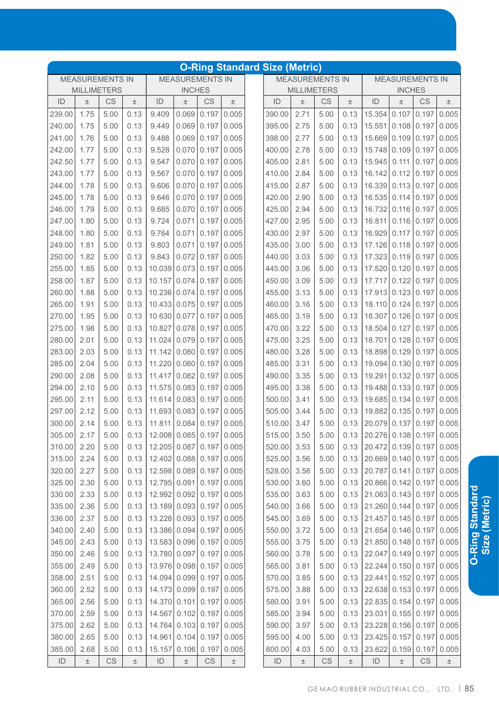| <b>O-Ring Standard Size (Metric)</b> |                        |      |       |                                   |                        |       |       |             |       |                        |       |                                         |                        |                        |       |
|--------------------------------------|------------------------|------|-------|-----------------------------------|------------------------|-------|-------|-------------|-------|------------------------|-------|-----------------------------------------|------------------------|------------------------|-------|
|                                      | <b>MEASUREMENTS IN</b> |      |       |                                   | <b>MEASUREMENTS IN</b> |       |       |             |       | <b>MEASUREMENTS IN</b> |       |                                         | <b>MEASUREMENTS IN</b> |                        |       |
|                                      | <b>MILLIMETERS</b>     |      |       |                                   | <b>INCHES</b>          |       |       |             |       | <b>MILLIMETERS</b>     |       |                                         | <b>INCHES</b>          |                        |       |
| ID                                   | $\pm$                  | CS   | 土     | ID                                | $\pm$                  | CS    | $\pm$ | ID          | $\pm$ | CS                     | $\pm$ | ID                                      | 土                      | CS                     | $\pm$ |
| 239.00                               | 1.75                   | 5.00 | 0.13  | 9.409                             | 0.069                  | 0.197 | 0.005 | 390.00      | 2.71  | 5.00                   | 0.13  | 15.354                                  | 0.107                  | 0.197                  | 0.005 |
| 240.00                               | 1.75                   | 5.00 | 0.13  | 9.449                             | 0.069                  | 0.197 | 0.005 | 395.00      | 2.75  | 5.00                   | 0.13  | 15.551                                  | 0.108                  | 0.197                  | 0.005 |
| 241.00                               | 1.76                   | 5.00 | 0.13  | 9.488                             | 0.069                  | 0.197 | 0.005 | 398.00      | 2.77  | 5.00                   | 0.13  | 15.669 0.109                            |                        | 0.197                  | 0.005 |
| 242.00                               | 1.77                   | 5.00 | 0.13  | 9.528                             | 0.070                  | 0.197 | 0.005 | 400.00      | 2.78  | 5.00                   | 0.13  | 15.748 0.109                            |                        | 0.197                  | 0.005 |
| 242.50                               | 1.77                   | 5.00 | 0.13  | 9.547                             | 0.070                  | 0.197 | 0.005 | 405.00      | 2.81  | 5.00                   | 0.13  | 15.945                                  | 0.111                  | 0.197                  | 0.005 |
| 243.00                               | 1.77                   | 5.00 | 0.13  | 9.567                             | 0.070                  | 0.197 | 0.005 | 410.00      | 2.84  | 5.00                   | 0.13  | 16.142                                  | 0.112                  | 0.197                  | 0.005 |
| 244.00                               | 1.78                   | 5.00 | 0.13  | 9.606                             | 0.070                  | 0.197 | 0.005 | 415.00      | 2.87  | 5.00                   | 0.13  | 16.339                                  | 0.113                  | 0.197                  | 0.005 |
| 245.00                               | 1.78                   | 5.00 | 0.13  | 9.646                             | 0.070                  | 0.197 | 0.005 | 420.00      | 2.90  | 5.00                   | 0.13  | 16.535                                  | 0.114                  | 0.197                  | 0.005 |
| 246.00                               | 1.79                   | 5.00 | 0.13  | 9.685                             | 0.070                  | 0.197 | 0.005 | 425.00      | 2.94  | 5.00                   | 0.13  | 16.732                                  | $0.116$ 0.197          |                        | 0.005 |
| 247.00                               | 1.80                   | 5.00 | 0.13  | 9.724                             | 0.071                  | 0.197 | 0.005 | 427.00      | 2.95  | 5.00                   | 0.13  | 16.811                                  | 0.116                  | 0.197                  | 0.005 |
| 248.00                               | 1.80                   | 5.00 | 0.13  | 9.764                             | 0.071                  | 0.197 | 0.005 | 430.00      | 2.97  | 5.00                   | 0.13  | 16.929 0.117                            |                        | 0.197                  | 0.005 |
| 249.00                               | 1.81                   | 5.00 | 0.13  | 9.803                             | 0.071                  | 0.197 | 0.005 | 435.00      | 3.00  | 5.00                   | 0.13  | 17.126                                  | 0.118                  | 0.197                  | 0.005 |
| 250.00                               | 1.82                   | 5.00 | 0.13  | 9.843                             | 0.072                  | 0.197 | 0.005 | 440.00      | 3.03  | 5.00                   | 0.13  | 17.323                                  | 0.119                  | 0.197                  | 0.005 |
| 255.00                               | 1.85                   | 5.00 | 0.13  | 10.039                            | 0.073                  | 0.197 | 0.005 | 445.00      | 3.06  | 5.00                   | 0.13  | 17.520 0.120                            |                        | 0.197                  | 0.005 |
| 258.00                               | 1.87                   | 5.00 | 0.13  | 10.157                            | 0.074                  | 0.197 | 0.005 | 450.00      | 3.09  | 5.00                   | 0.13  | 17.717 0.122                            |                        | 0.197                  | 0.005 |
| 260.00                               | 1.88                   | 5.00 | 0.13  | 10.236                            | 0.074                  | 0.197 | 0.005 | 455.00      | 3.13  | 5.00                   | 0.13  | 17.913 0.123                            |                        | 0.197                  | 0.005 |
| 265.00                               | 1.91                   | 5.00 | 0.13  | 10.433                            | 0.075                  | 0.197 | 0.005 | 460.00      | 3.16  | 5.00                   | 0.13  | 18.110 0.124                            |                        | 0.197                  | 0.005 |
| 270.00                               | 1.95                   | 5.00 | 0.13  | 10.630                            | 0.077                  | 0.197 | 0.005 | 465.00      | 3.19  | 5.00                   | 0.13  | 18.307 0.126                            |                        | 0.197                  | 0.005 |
| 275.00                               | 1.98                   | 5.00 | 0.13  | 10.827                            | 0.078                  | 0.197 | 0.005 | 470.00      | 3.22  | 5.00                   | 0.13  | 18.504 0.127                            |                        | 0.197                  | 0.005 |
| 280.00                               | 2.01                   | 5.00 | 0.13  | 11.024                            | 0.079                  | 0.197 | 0.005 | 475.00      | 3.25  | 5.00                   | 0.13  | 18.701                                  | 0.128                  | 0.197                  | 0.005 |
| 283.00                               | 2.03                   | 5.00 | 0.13  | 11.142                            | 0.080                  | 0.197 | 0.005 | 480.00      | 3.28  | 5.00                   | 0.13  | 18.898                                  | 0.129                  | 0.197                  | 0.005 |
| 285.00                               | 2.04                   | 5.00 | 0.13  | 11.220                            | 0.080                  | 0.197 | 0.005 | 485.00      | 3.31  | 5.00                   | 0.13  | 19.094 0.130 0.197                      |                        |                        | 0.005 |
| 290.00                               | 2.08                   | 5.00 | 0.13  | 11.417                            | 0.082                  | 0.197 | 0.005 | 490.00      | 3.35  | 5.00                   | 0.13  | 19.291                                  | 0.132                  | 0.197                  | 0.005 |
| 294.00                               | 2.10                   | 5.00 | 0.13  | 11.575                            | 0.083                  | 0.197 | 0.005 | 495.00      | 3.38  | 5.00                   | 0.13  | 19.488                                  | 0.133                  | 0.197                  | 0.005 |
| 295.00                               | 2.11                   | 5.00 | 0.13  | 11.614                            | 0.083   0.197          |       | 0.005 | 500.00      | 3.41  | 5.00                   | 0.13  | 19.685 0.134                            |                        | 0.197                  | 0.005 |
| 297.00                               | 2.12                   | 5.00 | 0.13  | 11.693                            | 0.083                  | 0.197 | 0.005 | 505.00      | 3.44  | 5.00                   | 0.13  | 19.882 0.135                            |                        | 0.197                  | 0.005 |
| 300.00                               | 2.14                   | 5.00 | 0.13  | 11.811                            | 0.084                  | 0.197 | 0.005 | 510.00      | 3.47  | 5.00                   | 0.13  | 20.079 0.137                            |                        | 0.197                  | 0.005 |
| 305.00 2.17                          |                        | 5.00 |       | $0.13$   12.008 0.085 0.197 0.005 |                        |       |       | 515.00 3.50 |       | 5.00                   |       | $0.13$   20.276   0.138   0.197   0.005 |                        |                        |       |
| 310.00                               | 2.20                   | 5.00 | 0.13  | 12.205 0.087 0.197 0.005          |                        |       |       | 520.00      | 3.53  | 5.00                   | 0.13  | 20.472 0.139 0.197 0.005                |                        |                        |       |
| 315.00                               | 2.24                   | 5.00 | 0.13  | 12.402 0.088 0.197 0.005          |                        |       |       | 525.00      | 3.56  | 5.00                   | 0.13  | 20.669 0.140 0.197 0.005                |                        |                        |       |
| 320.00                               | 2.27                   | 5.00 | 0.13  | 12.598 0.089 0.197                |                        |       | 0.005 | 528.00      | 3.58  | 5.00                   | 0.13  | 20.787 0.141 0.197                      |                        |                        | 0.005 |
| 325.00                               | 2.30                   | 5.00 | 0.13  | 12.795 0.091 0.197                |                        |       | 0.005 | 530.00      | 3.60  | 5.00                   | 0.13  | 20.866 0.142 0.197                      |                        |                        | 0.005 |
| 330.00                               | 2.33                   | 5.00 | 0.13  | 12.992 0.092 0.197 0.005          |                        |       |       | 535.00      | 3.63  | 5.00                   | 0.13  | 21.063 0.143 0.197 0.005                |                        |                        |       |
| 335.00                               | 2.36                   | 5.00 | 0.13  | 13.189 0.093 0.197                |                        |       | 0.005 | 540.00      | 3.66  | 5.00                   | 0.13  | 21.260 0.144 0.197                      |                        |                        | 0.005 |
| 336.00                               | 2.37                   | 5.00 | 0.13  | 13.228 0.093 0.197                |                        |       | 0.005 | 545.00      | 3.69  | 5.00                   | 0.13  | 21.457 0.145 0.197                      |                        |                        | 0.005 |
| 340.00                               | 2.40                   | 5.00 | 0.13  | 13.386 0.094 0.197                |                        |       | 0.005 | 550.00      | 3.72  | 5.00                   | 0.13  | 21.654 0.146 0.197                      |                        |                        | 0.005 |
| 345.00                               | 2.43                   | 5.00 | 0.13  | 13.583 0.096 0.197 0.005          |                        |       |       | 555.00      | 3.75  | 5.00                   | 0.13  | 21.850 0.148 0.197 0.005                |                        |                        |       |
| 350.00                               | 2.46                   | 5.00 | 0.13  | 13.780 0.097 0.197                |                        |       | 0.005 | 560.00      | 3.78  | 5.00                   | 0.13  | 22.047 0.149 0.197                      |                        |                        | 0.005 |
| 355.00                               | 2.49                   | 5.00 | 0.13  | 13.976 0.098 0.197                |                        |       | 0.005 | 565.00      | 3.81  | 5.00                   | 0.13  | 22.244 0.150 0.197                      |                        |                        | 0.005 |
| 358.00                               | 2.51                   | 5.00 | 0.13  | 14.094 0.099 0.197                |                        |       | 0.005 | 570.00      | 3.85  | 5.00                   | 0.13  | 22.441 0.152 0.197                      |                        |                        | 0.005 |
| 360.00                               | 2.52                   | 5.00 | 0.13  | 14.173 0.099 0.197                |                        |       | 0.005 | 575.00      | 3.88  | 5.00                   | 0.13  | 22.638 0.153 0.197                      |                        |                        | 0.005 |
| 365.00                               | 2.56                   | 5.00 | 0.13  | 14.370 0.101 0.197                |                        |       | 0.005 | 580.00      | 3.91  | 5.00                   | 0.13  | 22.835 0.154 0.197                      |                        |                        | 0.005 |
| 370.00                               | 2.59                   | 5.00 | 0.13  | 14.567 0.102 0.197                |                        |       | 0.005 | 585.00      | 3.94  | 5.00                   | 0.13  | 23.031 0.155 0.197                      |                        |                        | 0.005 |
| 375.00                               | 2.62                   | 5.00 | 0.13  | 14.764 0.103 0.197 0.005          |                        |       |       | 590.00      | 3.97  | 5.00                   | 0.13  | 23.228 0.156 0.197                      |                        |                        | 0.005 |
| 380.00                               | 2.65                   | 5.00 | 0.13  | 14.961 0.104 0.197                |                        |       | 0.005 | 595.00      | 4.00  | 5.00                   | 0.13  | 23.425 0.157 0.197                      |                        |                        | 0.005 |
| 385.00                               | 2.68                   | 5.00 | 0.13  | 15.157                            | 0.106                  | 0.197 | 0.005 | 600.00      | 4.03  | 5.00                   | 0.13  | 23.622                                  | 0.159                  | 0.197                  | 0.005 |
| ID                                   | $\pm$                  | CS   | $\pm$ | ID                                | $\pm$                  | CS    | $\pm$ | ID          | $\pm$ | <b>CS</b>              | $\pm$ | ID                                      | $\pm$                  | $\mathbb{C}\mathsf{S}$ | $\pm$ |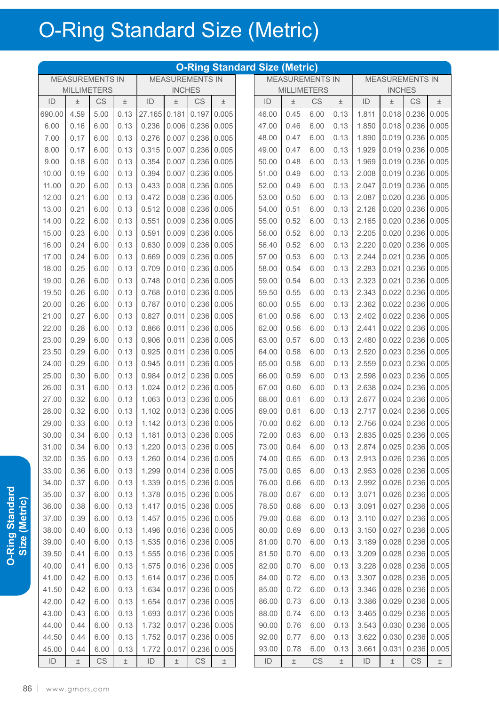|        | <b>O-Ring Standard Size (Metric)</b><br><b>MEASUREMENTS IN</b><br><b>MEASUREMENTS IN</b><br><b>MEASUREMENTS IN</b> |      |       |                         |       |                        |                     |  |                    |       |      |                        |                                        |       |                     |               |
|--------|--------------------------------------------------------------------------------------------------------------------|------|-------|-------------------------|-------|------------------------|---------------------|--|--------------------|-------|------|------------------------|----------------------------------------|-------|---------------------|---------------|
|        |                                                                                                                    |      |       |                         |       |                        |                     |  |                    |       |      | <b>MEASUREMENTS IN</b> |                                        |       |                     |               |
|        | <b>MILLIMETERS</b>                                                                                                 |      |       | <b>INCHES</b>           |       |                        |                     |  | <b>MILLIMETERS</b> |       |      |                        | <b>INCHES</b>                          |       |                     |               |
| ID     | $\pm$                                                                                                              | CS   | 土     | ID                      | Ŧ     | <b>CS</b>              | $\pm$               |  | ID                 | 土     | CS   | $\pm$                  | ID                                     | 土     | CS                  | $\pm$         |
| 690.00 | 4.59                                                                                                               | 5.00 | 0.13  | 27.165                  | 0.181 | 0.197                  | 0.005               |  | 46.00              | 0.45  | 6.00 | 0.13                   | 1.811                                  | 0.018 | 0.236               | 0.005         |
| 6.00   | 0.16                                                                                                               | 6.00 | 0.13  | 0.236                   | 0.006 | 0.236                  | 0.005               |  | 47.00              | 0.46  | 6.00 | 0.13                   | 1.850                                  | 0.018 | 0.236               | 0.005         |
| 7.00   | 0.17                                                                                                               | 6.00 | 0.13  | 0.276                   | 0.007 | 0.236                  | 0.005               |  | 48.00              | 0.47  | 6.00 | 0.13                   | 1.890                                  | 0.019 | 0.236               | 0.005         |
| 8.00   | 0.17                                                                                                               | 6.00 | 0.13  | 0.315                   | 0.007 | 0.236                  | 0.005               |  | 49.00              | 0.47  | 6.00 | 0.13                   | 1.929                                  | 0.019 | 0.236               | 0.005         |
| 9.00   | 0.18                                                                                                               | 6.00 | 0.13  | 0.354                   | 0.007 | 0.236                  | 0.005               |  | 50.00              | 0.48  | 6.00 | 0.13                   | 1.969                                  | 0.019 | 0.236               | 0.005         |
| 10.00  | 0.19                                                                                                               | 6.00 | 0.13  | 0.394                   | 0.007 | 0.236                  | 0.005               |  | 51.00              | 0.49  | 6.00 | 0.13                   | 2.008                                  | 0.019 | 0.236               | 0.005         |
| 11.00  | 0.20                                                                                                               | 6.00 | 0.13  | 0.433                   | 0.008 | 0.236                  | 0.005               |  | 52.00              | 0.49  | 6.00 | 0.13                   | 2.047                                  | 0.019 | 0.236               | 0.005         |
| 12.00  | 0.21                                                                                                               | 6.00 | 0.13  | 0.472                   | 0.008 | 0.236                  | 0.005               |  | 53.00              | 0.50  | 6.00 | 0.13                   | 2.087                                  | 0.020 | 0.236               | 0.005         |
| 13.00  | 0.21                                                                                                               | 6.00 | 0.13  | 0.512                   | 0.008 | 0.236                  | 0.005               |  | 54.00              | 0.51  | 6.00 | 0.13                   | 2.126                                  | 0.020 | 0.236               | 0.005         |
| 14.00  | 0.22                                                                                                               | 6.00 | 0.13  | 0.551                   | 0.009 | 0.236                  | 0.005               |  | 55.00              | 0.52  | 6.00 | 0.13                   | 2.165                                  | 0.020 | 0.236               | 0.005         |
| 15.00  | 0.23                                                                                                               | 6.00 | 0.13  | 0.591                   | 0.009 | 0.236                  | 0.005               |  | 56.00              | 0.52  | 6.00 | 0.13                   | 2.205                                  | 0.020 | 0.236               | 0.005         |
| 16.00  | 0.24                                                                                                               | 6.00 | 0.13  | 0.630                   | 0.009 | 0.236                  | 0.005               |  | 56.40              | 0.52  | 6.00 | 0.13                   | 2.220                                  | 0.020 | 0.236               | 0.005         |
| 17.00  | 0.24                                                                                                               | 6.00 | 0.13  | 0.669                   | 0.009 | 0.236                  | 0.005               |  | 57.00              | 0.53  | 6.00 | 0.13                   | 2.244                                  | 0.021 | 0.236               | 0.005         |
| 18.00  | 0.25                                                                                                               | 6.00 | 0.13  | 0.709                   | 0.010 | 0.236                  | 0.005               |  | 58.00              | 0.54  | 6.00 | 0.13                   | 2.283                                  | 0.021 | 0.236               | 0.005         |
| 19.00  | 0.26                                                                                                               | 6.00 | 0.13  | 0.748                   | 0.010 | 0.236                  | 0.005               |  | 59.00              | 0.54  | 6.00 | 0.13                   | 2.323                                  | 0.021 | 0.236               | 0.005         |
| 19.50  | 0.26                                                                                                               | 6.00 | 0.13  | 0.768                   | 0.010 | 0.236                  | 0.005               |  | 59.50              | 0.55  | 6.00 | 0.13                   | 2.343                                  | 0.022 | 0.236               | 0.005         |
| 20.00  | 0.26                                                                                                               | 6.00 | 0.13  | 0.787                   | 0.010 | 0.236                  | 0.005               |  | 60.00              | 0.55  | 6.00 | 0.13                   | 2.362                                  | 0.022 | 0.236               | 0.005         |
| 21.00  | 0.27                                                                                                               | 6.00 | 0.13  | 0.827                   | 0.011 | 0.236                  | 0.005               |  | 61.00              | 0.56  | 6.00 | 0.13                   | 2.402                                  | 0.022 | 0.236               | 0.005         |
| 22.00  | 0.28                                                                                                               | 6.00 | 0.13  | 0.866                   | 0.011 | 0.236                  | 0.005               |  | 62.00              | 0.56  | 6.00 | 0.13                   | 2.441                                  | 0.022 |                     | $0.236$ 0.005 |
| 23.00  | 0.29                                                                                                               | 6.00 | 0.13  | 0.906                   | 0.011 | 0.236                  | 0.005               |  | 63.00              | 0.57  | 6.00 | 0.13                   | 2.480                                  | 0.022 | 0.236               | 0.005         |
| 23.50  | 0.29                                                                                                               | 6.00 | 0.13  | 0.925                   | 0.011 | 0.236                  | 0.005               |  | 64.00              | 0.58  | 6.00 | 0.13                   | 2.520                                  | 0.023 |                     | $0.236$ 0.005 |
| 24.00  | 0.29                                                                                                               | 6.00 | 0.13  | 0.945                   | 0.011 | 0.236                  | 0.005               |  | 65.00              | 0.58  | 6.00 | 0.13                   | 2.559                                  | 0.023 | 0.236               | 0.005         |
| 25.00  | 0.30                                                                                                               | 6.00 | 0.13  | 0.984                   | 0.012 | 0.236                  | 0.005               |  | 66.00              | 0.59  | 6.00 | 0.13                   | 2.598                                  | 0.023 | 0.236               | 0.005         |
| 26.00  | 0.31                                                                                                               | 6.00 | 0.13  | 1.024                   | 0.012 | 0.236                  | 0.005               |  | 67.00              | 0.60  | 6.00 | 0.13                   | 2.638                                  | 0.024 |                     | 0.236   0.005 |
| 27.00  | 0.32                                                                                                               | 6.00 | 0.13  | 1.063                   | 0.013 | 0.236                  | 0.005               |  | 68.00              | 0.61  | 6.00 | 0.13                   | 2.677                                  | 0.024 | 0.236               | 0.005         |
| 28.00  | 0.32                                                                                                               | 6.00 | 0.13  | 1.102                   | 0.013 | 0.236                  | 0.005               |  | 69.00              | 0.61  | 6.00 | 0.13                   | 2.717                                  | 0.024 | 0.236               | 0.005         |
| 29.00  | 0.33                                                                                                               | 6.00 | 0.13  | 1.142                   | 0.013 | 0.236                  | 0.005               |  | 70.00              | 0.62  | 6.00 | 0.13                   | 2.756                                  | 0.024 | 0.236               | 0.005         |
| 30.00  | 0.34                                                                                                               | 6.00 | 0.13  | 1.181 0.013 0.236 0.005 |       |                        |                     |  | 72.00              | 0.63  | 6.00 |                        | $0.13$   2.835   0.025   0.236   0.005 |       |                     |               |
| 31.00  | 0.34                                                                                                               | 6.00 | 0.13  | 1.220                   |       |                        | $0.013$ 0.236 0.005 |  | 73.00              | 0.64  | 6.00 | 0.13                   | 2.874                                  |       | $0.025$ 0.236 0.005 |               |
| 32.00  | 0.35                                                                                                               | 6.00 | 0.13  | 1.260                   |       |                        | $0.014$ 0.236 0.005 |  | 74.00              | 0.65  | 6.00 | 0.13                   | 2.913                                  |       | $0.026$ 0.236 0.005 |               |
| 33.00  | 0.36                                                                                                               | 6.00 | 0.13  | 1.299                   |       | $0.014$ 0.236 0.005    |                     |  | 75.00              | 0.65  | 6.00 | 0.13                   | 2.953                                  |       | $0.026$ 0.236 0.005 |               |
| 34.00  | 0.37                                                                                                               | 6.00 | 0.13  | 1.339                   | 0.015 |                        | $0.236$ 0.005       |  | 76.00              | 0.66  | 6.00 | 0.13                   | 2.992                                  |       | 0.026 0.236 0.005   |               |
| 35.00  | 0.37                                                                                                               | 6.00 | 0.13  | 1.378                   |       |                        | $0.015$ 0.236 0.005 |  | 78.00              | 0.67  | 6.00 | 0.13                   | 3.071                                  |       | $0.026$ 0.236 0.005 |               |
| 36.00  | 0.38                                                                                                               | 6.00 | 0.13  | 1.417                   | 0.015 |                        | $0.236$ 0.005       |  | 78.50              | 0.68  | 6.00 | 0.13                   | 3.091                                  | 0.027 |                     | 0.236   0.005 |
| 37.00  | 0.39                                                                                                               | 6.00 | 0.13  | 1.457                   |       |                        | $0.015$ 0.236 0.005 |  | 79.00              | 0.68  | 6.00 | 0.13                   | 3.110                                  | 0.027 |                     | $0.236$ 0.005 |
| 38.00  | 0.40                                                                                                               | 6.00 | 0.13  | 1.496                   |       |                        | $0.016$ 0.236 0.005 |  | 80.00              | 0.69  | 6.00 | 0.13                   | 3.150                                  | 0.027 |                     |               |
| 39.00  | 0.40                                                                                                               | 6.00 | 0.13  | 1.535                   |       |                        | $0.016$ 0.236 0.005 |  | 81.00              | 0.70  | 6.00 | 0.13                   | 3.189                                  |       | 0.028 0.236 0.005   | $0.236$ 0.005 |
| 39.50  | 0.41                                                                                                               | 6.00 | 0.13  | 1.555                   |       |                        | $0.016$ 0.236 0.005 |  | 81.50              | 0.70  | 6.00 | 0.13                   | 3.209                                  |       | 0.028 0.236 0.005   |               |
|        |                                                                                                                    | 6.00 |       |                         |       |                        |                     |  |                    |       |      |                        |                                        |       |                     |               |
| 40.00  | 0.41                                                                                                               |      | 0.13  | 1.575                   |       |                        | 0.016 0.236 0.005   |  | 82.00              | 0.70  | 6.00 | 0.13                   | 3.228                                  |       | 0.028 0.236 0.005   |               |
| 41.00  | 0.42                                                                                                               | 6.00 | 0.13  | 1.614                   | 0.017 |                        | $0.236$ 0.005       |  | 84.00              | 0.72  | 6.00 | 0.13                   | 3.307                                  |       | 0.028 0.236 0.005   |               |
| 41.50  | 0.42                                                                                                               | 6.00 | 0.13  | 1.634                   |       |                        | $0.017$ 0.236 0.005 |  | 85.00              | 0.72  | 6.00 | 0.13                   | 3.346                                  |       | $0.028$ 0.236 0.005 |               |
| 42.00  | 0.42                                                                                                               | 6.00 | 0.13  | 1.654                   | 0.017 |                        | $0.236$ 0.005       |  | 86.00              | 0.73  | 6.00 | 0.13                   | 3.386                                  | 0.029 |                     | $0.236$ 0.005 |
| 43.00  | 0.43                                                                                                               | 6.00 | 0.13  | 1.693                   | 0.017 |                        | $0.236$ 0.005       |  | 88.00              | 0.74  | 6.00 | 0.13                   | 3.465                                  |       | 0.029 0.236 0.005   |               |
| 44.00  | 0.44                                                                                                               | 6.00 | 0.13  | 1.732                   | 0.017 |                        | 0.236 0.005         |  | 90.00              | 0.76  | 6.00 | 0.13                   | 3.543                                  | 0.030 |                     | $0.236$ 0.005 |
| 44.50  | 0.44                                                                                                               | 6.00 | 0.13  | 1.752                   | 0.017 | 0.236                  | 0.005               |  | 92.00              | 0.77  | 6.00 | 0.13                   | 3.622                                  | 0.030 |                     | $0.236$ 0.005 |
| 45.00  | 0.44                                                                                                               | 6.00 | 0.13  | 1.772                   | 0.017 | 0.236                  | 0.005               |  | 93.00              | 0.78  | 6.00 | 0.13                   | 3.661                                  | 0.031 | 0.236               | 0.005         |
| ID     | $\pm$                                                                                                              | CS   | $\pm$ | ID                      | $\pm$ | $\mathbb{C}\mathbb{S}$ | $\pm$               |  | ID                 | $\pm$ | CS   | $\pm$                  | ID                                     | $\pm$ | CS                  | $\pm$         |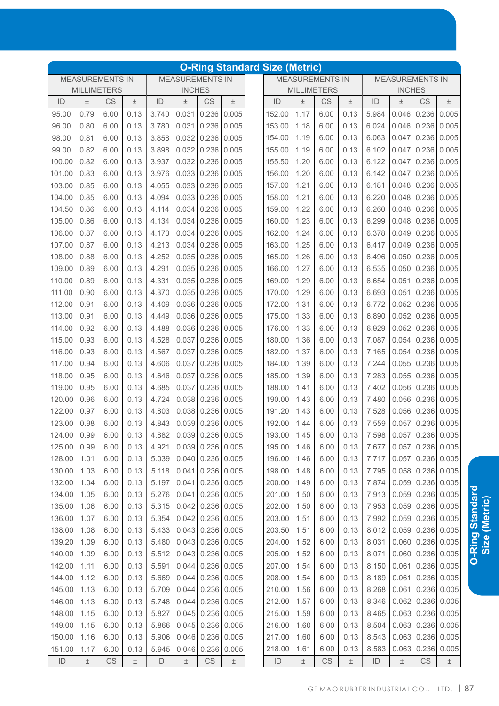|                                                  |                    |           |       |       |               |                         |               | <b>O-Ring Standard Size (Metric)</b> |                                                  |       |                    |       |               |                         |                         |       |  |  |
|--------------------------------------------------|--------------------|-----------|-------|-------|---------------|-------------------------|---------------|--------------------------------------|--------------------------------------------------|-------|--------------------|-------|---------------|-------------------------|-------------------------|-------|--|--|
| <b>MEASUREMENTS IN</b><br><b>MEASUREMENTS IN</b> |                    |           |       |       |               |                         |               |                                      | <b>MEASUREMENTS IN</b><br><b>MEASUREMENTS IN</b> |       |                    |       |               |                         |                         |       |  |  |
|                                                  | <b>MILLIMETERS</b> |           |       |       | <b>INCHES</b> |                         |               |                                      |                                                  |       | <b>MILLIMETERS</b> |       | <b>INCHES</b> |                         |                         |       |  |  |
| ID                                               | $\pm$              | <b>CS</b> | $\pm$ | ID    | $\pm$         | CS                      | $\pm$         |                                      | ID                                               | $\pm$ | CS                 | $\pm$ | ID            | $\pm$                   | CS                      | 土     |  |  |
| 95.00                                            | 0.79               | 6.00      | 0.13  | 3.740 | 0.031         | 0.236                   | 0.005         |                                      | 152.00                                           | 1.17  | 6.00               | 0.13  | 5.984         | 0.046                   | 0.236                   | 0.005 |  |  |
| 96.00                                            | 0.80               | 6.00      | 0.13  | 3.780 | 0.031         | 0.236                   | 0.005         |                                      | 153.00                                           | 1.18  | 6.00               | 0.13  | 6.024         | 0.046                   | 0.236                   | 0.005 |  |  |
| 98.00                                            | 0.81               | 6.00      | 0.13  | 3.858 | 0.032         | 0.236                   | 0.005         |                                      | 154.00                                           | 1.19  | 6.00               | 0.13  | 6.063         | 0.047                   | 0.236                   | 0.005 |  |  |
| 99.00                                            | 0.82               | 6.00      | 0.13  | 3.898 | 0.032         | 0.236                   | 0.005         |                                      | 155.00                                           | 1.19  | 6.00               | 0.13  | 6.102         | 0.047                   | 0.236                   | 0.005 |  |  |
| 100.00                                           | 0.82               | 6.00      | 0.13  | 3.937 | 0.032         | 0.236                   | 0.005         |                                      | 155.50                                           | 1.20  | 6.00               | 0.13  | 6.122         | 0.047                   | 0.236                   | 0.005 |  |  |
| 101.00                                           | 0.83               | 6.00      | 0.13  | 3.976 | 0.033         | 0.236                   | 0.005         |                                      | 156.00                                           | 1.20  | 6.00               | 0.13  | 6.142         | 0.047                   | 0.236                   | 0.005 |  |  |
| 103.00                                           | 0.85               | 6.00      | 0.13  | 4.055 | 0.033         | 0.236                   | 0.005         |                                      | 157.00                                           | 1.21  | 6.00               | 0.13  | 6.181         | 0.048                   | 0.236                   | 0.005 |  |  |
| 104.00                                           | 0.85               | 6.00      | 0.13  | 4.094 | 0.033         | 0.236                   | 0.005         |                                      | 158.00                                           | 1.21  | 6.00               | 0.13  | 6.220         | 0.048                   | 0.236                   | 0.005 |  |  |
| 104.50                                           | 0.86               | 6.00      | 0.13  | 4.114 | 0.034         | 0.236                   | 0.005         |                                      | 159.00                                           | 1.22  | 6.00               | 0.13  | 6.260         | 0.048                   | 0.236                   | 0.005 |  |  |
| 105.00                                           | 0.86               | 6.00      | 0.13  | 4.134 | 0.034         | 0.236                   | 0.005         |                                      | 160.00                                           | 1.23  | 6.00               | 0.13  | 6.299         | 0.048                   | 0.236                   | 0.005 |  |  |
| 106.00                                           | 0.87               | 6.00      | 0.13  | 4.173 | 0.034         | 0.236                   | 0.005         |                                      | 162.00                                           | 1.24  | 6.00               | 0.13  | 6.378         | 0.049                   | 0.236                   | 0.005 |  |  |
| 107.00                                           | 0.87               | 6.00      | 0.13  | 4.213 | 0.034         | 0.236                   | 0.005         |                                      | 163.00                                           | 1.25  | 6.00               | 0.13  | 6.417         | 0.049                   | 0.236                   | 0.005 |  |  |
| 108.00                                           | 0.88               | 6.00      | 0.13  | 4.252 | 0.035         | 0.236                   | 0.005         |                                      | 165.00                                           | 1.26  | 6.00               | 0.13  | 6.496         | 0.050                   | 0.236                   | 0.005 |  |  |
| 109.00                                           | 0.89               | 6.00      | 0.13  | 4.291 | 0.035         | 0.236                   | 0.005         |                                      | 166.00                                           | 1.27  | 6.00               | 0.13  | 6.535         | 0.050                   | 0.236                   | 0.005 |  |  |
| 110.00                                           | 0.89               | 6.00      | 0.13  | 4.331 | 0.035         | 0.236                   | 0.005         |                                      | 169.00                                           | 1.29  | 6.00               | 0.13  | 6.654         | 0.051                   | 0.236                   | 0.005 |  |  |
| 111.00                                           | 0.90               | 6.00      | 0.13  | 4.370 | 0.035         | 0.236                   | 0.005         |                                      | 170.00                                           | 1.29  | 6.00               | 0.13  | 6.693         | 0.051                   | 0.236                   | 0.005 |  |  |
| 112.00                                           | 0.91               | 6.00      | 0.13  | 4.409 | 0.036         | 0.236                   | 0.005         |                                      | 172.00                                           | 1.31  | 6.00               | 0.13  | 6.772         | 0.052                   | 0.236                   | 0.005 |  |  |
| 113.00                                           | 0.91               | 6.00      | 0.13  | 4.449 | 0.036         | 0.236                   | 0.005         |                                      | 175.00                                           | 1.33  | 6.00               | 0.13  | 6.890         | 0.052                   | 0.236                   | 0.005 |  |  |
| 114.00                                           | 0.92               | 6.00      | 0.13  | 4.488 | 0.036         | 0.236                   | 0.005         |                                      | 176.00                                           | 1.33  | 6.00               | 0.13  | 6.929         | 0.052                   | 0.236                   | 0.005 |  |  |
| 115.00                                           | 0.93               | 6.00      | 0.13  | 4.528 | 0.037         | 0.236                   | 0.005         |                                      | 180.00                                           | 1.36  | 6.00               | 0.13  | 7.087         | 0.054                   | 0.236                   | 0.005 |  |  |
| 116.00                                           | 0.93               | 6.00      | 0.13  | 4.567 | 0.037         | 0.236                   | 0.005         |                                      | 182.00                                           | 1.37  | 6.00               | 0.13  | 7.165         | 0.054                   | 0.236                   | 0.005 |  |  |
| 117.00                                           | 0.94               | 6.00      | 0.13  | 4.606 | 0.037         | 0.236                   | 0.005         |                                      | 184.00                                           | 1.39  | 6.00               | 0.13  | 7.244         | 0.055                   | 0.236                   | 0.005 |  |  |
| 118.00                                           | 0.95               | 6.00      | 0.13  | 4.646 | 0.037         | 0.236                   | 0.005         |                                      | 185.00                                           | 1.39  | 6.00               | 0.13  | 7.283         | 0.055                   | 0.236                   | 0.005 |  |  |
| 119.00                                           | 0.95               | 6.00      | 0.13  | 4.685 | 0.037         | 0.236                   | 0.005         |                                      | 188.00                                           | 1.41  | 6.00               | 0.13  | 7.402         | 0.056                   | 0.236                   | 0.005 |  |  |
| 120.00                                           | 0.96               | 6.00      | 0.13  | 4.724 | 0.038         | 0.236                   | 0.005         |                                      | 190.00                                           | 1.43  | 6.00               | 0.13  | 7.480         | 0.056                   | 0.236                   | 0.005 |  |  |
| 122.00                                           | 0.97               | 6.00      | 0.13  | 4.803 | 0.038         | 0.236                   | 0.005         |                                      | 191.20                                           | 1.43  | 6.00               | 0.13  | 7.528         | 0.056                   | 0.236                   | 0.005 |  |  |
| 123.00                                           | 0.98               | 6.00      | 0.13  | 4.843 | 0.039         | 0.236                   | 0.005         |                                      | 192.00                                           | 1.44  | 6.00               | 0.13  | 7.559         | 0.057                   | 0.236                   | 0.005 |  |  |
| 124.00                                           | 0.99               | 6.00      | 0.13  | 4.882 |               | $0.039$ 0.236 0.005     |               |                                      | 193.00                                           | 1.45  | 6.00               | 0.13  |               | 7.598 0.057 0.236 0.005 |                         |       |  |  |
| 125.00                                           | 0.99               | 6.00      | 0.13  | 4.921 |               | $0.039$ 0.236 0.005     |               |                                      | 195.00                                           | 1.46  | 6.00               | 0.13  | 7.677         |                         | $0.057$ 0.236 0.005     |       |  |  |
| 128.00                                           | 1.01               | 6.00      | 0.13  | 5.039 | 0.040         | 0.236                   | 0.005         |                                      | 196.00                                           | 1.46  | 6.00               | 0.13  | 7.717         | 0.057                   | 0.236                   | 0.005 |  |  |
| 130.00                                           | 1.03               | 6.00      | 0.13  | 5.118 | 0.041         | 0.236                   | 0.005         |                                      | 198.00                                           | 1.48  | 6.00               | 0.13  | 7.795         |                         | $0.058$ 0.236 0.005     |       |  |  |
| 132.00                                           | 1.04               | 6.00      | 0.13  | 5.197 | 0.041         | 0.236                   | 0.005         |                                      | 200.00                                           | 1.49  | 6.00               | 0.13  | 7.874         |                         | $0.059$ 0.236 0.005     |       |  |  |
| 134.00                                           | 1.05               | 6.00      | 0.13  | 5.276 | 0.041         | 0.236                   | 0.005         |                                      | 201.00                                           | 1.50  | 6.00               | 0.13  | 7.913         | 0.059                   | 0.236                   | 0.005 |  |  |
| 135.00                                           | 1.06               | 6.00      | 0.13  | 5.315 |               | $0.042 \mid 0.236 \mid$ | 0.005         |                                      | 202.00                                           | 1.50  | 6.00               | 0.13  | 7.953         | 0.059                   | 0.236                   | 0.005 |  |  |
| 136.00                                           | 1.07               | 6.00      | 0.13  | 5.354 |               | $0.042$ 0.236 0.005     |               |                                      | 203.00                                           | 1.51  | 6.00               | 0.13  | 7.992         |                         | $0.059$ 0.236           | 0.005 |  |  |
| 138.00                                           | 1.08               | 6.00      | 0.13  | 5.433 |               | $0.043$ 0.236           | 0.005         |                                      | 203.50                                           | 1.51  | 6.00               | 0.13  | 8.012         |                         | $0.059$ 0.236           | 0.005 |  |  |
| 139.20                                           | 1.09               | 6.00      | 0.13  | 5.480 | 0.043         | 0.236                   | 0.005         |                                      | 204.00                                           | 1.52  | 6.00               | 0.13  | 8.031         |                         | $0.060$ 0.236 0.005     |       |  |  |
| 140.00                                           | 1.09               | 6.00      | 0.13  | 5.512 | 0.043         | 0.236                   | 0.005         |                                      | 205.00                                           | 1.52  | 6.00               | 0.13  | 8.071         |                         | $0.060 \mid 0.236 \mid$ | 0.005 |  |  |
| 142.00                                           | 1.11               | 6.00      | 0.13  | 5.591 | 0.044         | 0.236                   | 0.005         |                                      | 207.00                                           | 1.54  | 6.00               | 0.13  | 8.150         | 0.061                   | 0.236                   | 0.005 |  |  |
| 144.00                                           | 1.12               | 6.00      | 0.13  | 5.669 | 0.044         | 0.236                   | 0.005         |                                      | 208.00                                           | 1.54  | 6.00               | 0.13  | 8.189         | 0.061                   | 0.236                   | 0.005 |  |  |
| 145.00                                           | 1.13               | 6.00      | 0.13  | 5.709 | 0.044         | 0.236                   | 0.005         |                                      | 210.00                                           | 1.56  | 6.00               | 0.13  | 8.268         | 0.061                   | 0.236                   | 0.005 |  |  |
| 146.00                                           | 1.13               | 6.00      | 0.13  | 5.748 | 0.044         | 0.236                   | 0.005         |                                      | 212.00                                           | 1.57  | 6.00               | 0.13  | 8.346         | 0.062                   | 0.236                   | 0.005 |  |  |
| 148.00                                           | 1.15               | 6.00      | 0.13  | 5.827 | 0.045         |                         | $0.236$ 0.005 |                                      | 215.00                                           | 1.59  | 6.00               | 0.13  | 8.465         |                         | $0.063$ 0.236           | 0.005 |  |  |
| 149.00                                           | 1.15               | 6.00      | 0.13  | 5.866 | 0.045         | 0.236                   | 0.005         |                                      | 216.00                                           | 1.60  | 6.00               | 0.13  | 8.504         | 0.063                   | 0.236                   | 0.005 |  |  |
| 150.00                                           | 1.16               | 6.00      | 0.13  | 5.906 | 0.046         | 0.236                   | 0.005         |                                      | 217.00                                           | 1.60  | 6.00               | 0.13  | 8.543         | 0.063                   | 0.236                   | 0.005 |  |  |
| 151.00                                           | 1.17               | 6.00      | 0.13  | 5.945 | 0.046         | 0.236                   | 0.005         |                                      | 218.00                                           | 1.61  | 6.00               | 0.13  | 8.583         | 0.063                   | 0.236                   | 0.005 |  |  |
| ID                                               | $\pm$              | CS        | $\pm$ | ID    | $\pm$         | $\mathbb{C}\mathbb{S}$  | $\pm$         |                                      | ID                                               | $\pm$ | CS                 | $\pm$ | $\mathsf{ID}$ | $\pm$                   | $\mathbb{C}\mathbb{S}$  | $\pm$ |  |  |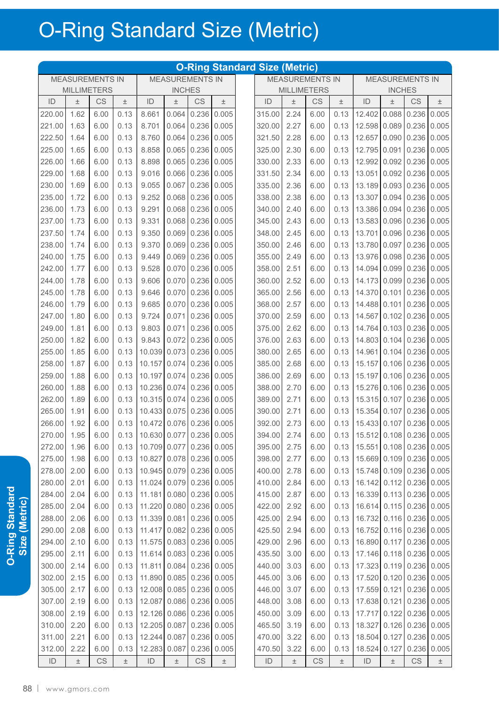|                                                                                                      | <b>O-Ring Standard Size (Metric)</b> |      |       |                                         |               |                                       |       |  |             |       |                        |       |                                         |               |                        |       |
|------------------------------------------------------------------------------------------------------|--------------------------------------|------|-------|-----------------------------------------|---------------|---------------------------------------|-------|--|-------------|-------|------------------------|-------|-----------------------------------------|---------------|------------------------|-------|
| <b>MEASUREMENTS IN</b><br><b>MEASUREMENTS IN</b><br><b>MEASUREMENTS IN</b><br><b>MEASUREMENTS IN</b> |                                      |      |       |                                         |               |                                       |       |  |             |       |                        |       |                                         |               |                        |       |
|                                                                                                      | <b>MILLIMETERS</b>                   |      |       |                                         | <b>INCHES</b> |                                       |       |  |             |       | <b>MILLIMETERS</b>     |       |                                         | <b>INCHES</b> |                        |       |
| ID                                                                                                   | 土                                    | CS   | $\pm$ | ID                                      | 土             | CS                                    | $\pm$ |  | ID          | 土     | CS                     | $\pm$ | ID                                      | 土             | $\mathbb{C}\mathsf{S}$ | $\pm$ |
| 220.00                                                                                               | 1.62                                 | 6.00 | 0.13  | 8.661                                   |               | $0.064$ 0.236 0.005                   |       |  | 315.00      | 2.24  | 6.00                   | 0.13  | 12.402 0.088 0.236 0.005                |               |                        |       |
| 221.00                                                                                               | 1.63                                 | 6.00 | 0.13  | 8.701                                   |               | $0.064$ 0.236 0.005                   |       |  | 320.00      | 2.27  | 6.00                   | 0.13  | 12.598 0.089 0.236 0.005                |               |                        |       |
| 222.50                                                                                               | 1.64                                 | 6.00 | 0.13  | 8.760                                   |               | $0.064$ 0.236 0.005                   |       |  | 321.50      | 2.28  | 6.00                   | 0.13  | 12.657 0.090 0.236 0.005                |               |                        |       |
| 225.00                                                                                               | 1.65                                 | 6.00 | 0.13  | 8.858                                   |               | $0.065 \mid 0.236 \mid 0.005$         |       |  | 325.00      | 2.30  | 6.00                   | 0.13  | 12.795 0.091 0.236 0.005                |               |                        |       |
| 226.00                                                                                               | 1.66                                 | 6.00 | 0.13  | 8.898                                   |               | $0.065 \mid 0.236 \mid 0.005$         |       |  | 330.00      | 2.33  | 6.00                   | 0.13  | 12.992 0.092 0.236 0.005                |               |                        |       |
| 229.00                                                                                               | 1.68                                 | 6.00 | 0.13  | 9.016                                   |               | $0.066$ 0.236 0.005                   |       |  | 331.50      | 2.34  | 6.00                   | 0.13  | 13.051 0.092 0.236 0.005                |               |                        |       |
| 230.00                                                                                               | 1.69                                 | 6.00 | 0.13  | 9.055                                   |               | $0.067$ 0.236 0.005                   |       |  | 335.00      | 2.36  | 6.00                   | 0.13  | 13.189 0.093 0.236 0.005                |               |                        |       |
| 235.00                                                                                               | 1.72                                 | 6.00 | 0.13  | 9.252                                   |               | $0.068$ 0.236 0.005                   |       |  | 338.00      | 2.38  | 6.00                   | 0.13  | 13.307 0.094 0.236 0.005                |               |                        |       |
| 236.00                                                                                               | 1.73                                 | 6.00 | 0.13  | 9.291                                   |               | $0.068$ 0.236 0.005                   |       |  | 340.00      | 2.40  | 6.00                   | 0.13  | 13.386 0.094 0.236 0.005                |               |                        |       |
| 237.00                                                                                               | 1.73                                 | 6.00 | 0.13  | 9.331                                   |               | $\big  0.068 \big  0.236 \big  0.005$ |       |  | 345.00      | 2.43  | 6.00                   | 0.13  | 13.583 0.096 0.236 0.005                |               |                        |       |
| 237.50                                                                                               | 1.74                                 | 6.00 | 0.13  | 9.350                                   |               | $0.069$ 0.236 0.005                   |       |  | 348.00      | 2.45  | 6.00                   | 0.13  | 13.701 0.096 0.236 0.005                |               |                        |       |
| 238.00                                                                                               | 1.74                                 | 6.00 | 0.13  | 9.370                                   |               | $0.069$ 0.236 0.005                   |       |  | 350.00      | 2.46  | 6.00                   | 0.13  | 13.780 0.097 0.236 0.005                |               |                        |       |
| 240.00                                                                                               | 1.75                                 | 6.00 | 0.13  | 9.449                                   |               | $0.069$ 0.236 0.005                   |       |  | 355.00 2.49 |       | 6.00                   |       | $0.13$   13.976   0.098   0.236   0.005 |               |                        |       |
| 242.00                                                                                               | 1.77                                 | 6.00 | 0.13  | 9.528                                   |               | $0.070$ 0.236 0.005                   |       |  | 358.00      | 2.51  | 6.00                   |       | $0.13$   14.094 0.099 0.236 0.005       |               |                        |       |
| 244.00                                                                                               | 1.78                                 | 6.00 | 0.13  | 9.606                                   |               | $0.070$ 0.236 0.005                   |       |  | 360.00      | 2.52  | 6.00                   |       | $0.13$   14.173 0.099 0.236 0.005       |               |                        |       |
| 245.00                                                                                               | 1.78                                 |      | 0.13  | 9.646                                   |               | $0.070$ 0.236 0.005                   |       |  | 365.00 2.56 |       |                        |       | $0.13$   14.370   0.101   0.236   0.005 |               |                        |       |
|                                                                                                      |                                      | 6.00 |       |                                         |               |                                       |       |  |             |       | 6.00                   |       |                                         |               |                        |       |
| 246.00                                                                                               | 1.79                                 | 6.00 | 0.13  | 9.685                                   |               | $0.070$ 0.236 0.005                   |       |  | 368.00      | 2.57  | 6.00                   |       | $0.13$   14.488   0.101   0.236   0.005 |               |                        |       |
| 247.00                                                                                               | 1.80                                 | 6.00 | 0.13  | 9.724                                   |               | $0.071$ 0.236 0.005                   |       |  | 370.00      | 2.59  | 6.00                   |       | $0.13$   14.567   0.102   0.236   0.005 |               |                        |       |
| 249.00                                                                                               | 1.81                                 | 6.00 | 0.13  | 9.803                                   |               | $0.071$ 0.236 0.005                   |       |  | 375.00      | 2.62  | 6.00                   |       | $0.13$   14.764   0.103   0.236   0.005 |               |                        |       |
| 250.00                                                                                               | 1.82                                 | 6.00 | 0.13  | $9.843$ 0.072 0.236 0.005               |               |                                       |       |  | 376.00      | 2.63  | 6.00                   |       | $0.13$   14.803   0.104   0.236   0.005 |               |                        |       |
| 255.00                                                                                               | 1.85                                 | 6.00 |       | $0.13$   10.039 0.073 0.236 0.005       |               |                                       |       |  | 380.00      | 2.65  | 6.00                   |       | $0.13$   14.961   0.104   0.236   0.005 |               |                        |       |
| 258.00                                                                                               | 1.87                                 | 6.00 |       | $0.13$   10.157   0.074   0.236   0.005 |               |                                       |       |  | 385.00      | 2.68  | 6.00                   |       | $0.13$   15.157 0.106 0.236 0.005       |               |                        |       |
| 259.00                                                                                               | 1.88                                 | 6.00 |       | $0.13$   10.197   0.074   0.236   0.005 |               |                                       |       |  | 386.00      | 2.69  | 6.00                   |       | $0.13$   15.197 0.106 0.236 0.005       |               |                        |       |
| 260.00                                                                                               | 1.88                                 | 6.00 |       | $0.13$   10.236   0.074   0.236   0.005 |               |                                       |       |  | 388.00      | 2.70  | 6.00                   |       | $0.13$   15.276 0.106 0.236 0.005       |               |                        |       |
| 262.00                                                                                               | 1.89                                 | 6.00 |       | $0.13$   10.315 0.074 0.236 0.005       |               |                                       |       |  | 389.00      | 2.71  | 6.00                   |       | $0.13$   15.315 0.107 0.236 0.005       |               |                        |       |
| 265.00                                                                                               | 1.91                                 | 6.00 |       | $0.13$   10.433   0.075   0.236   0.005 |               |                                       |       |  | 390.00      | 2.71  | 6.00                   |       | $0.13$   15.354 0.107 0.236 0.005       |               |                        |       |
| 266.00                                                                                               | 1.92                                 | 6.00 |       | $0.13$   10.472 0.076 0.236 0.005       |               |                                       |       |  | 392.00      | 2.73  | 6.00                   |       | $0.13$   15.433   0.107   0.236   0.005 |               |                        |       |
| 270.00 1.95                                                                                          |                                      | 6.00 |       | $0.13$   10.630   0.077   0.236   0.005 |               |                                       |       |  | 394.00 2.74 |       | 6.00                   |       | $0.13$   15.512 0.108 0.236 0.005       |               |                        |       |
| 272.00 1.96                                                                                          |                                      | 6.00 |       | $0.13$   10.709 0.077 0.236 0.005       |               |                                       |       |  | 395.00 2.75 |       | 6.00                   |       | $0.13$   15.551 0.108 0.236 0.005       |               |                        |       |
| 275.00 1.98                                                                                          |                                      | 6.00 |       | $0.13$   10.827   0.078   0.236   0.005 |               |                                       |       |  | 398.00 2.77 |       | 6.00                   |       | $0.13$   15.669   0.109   0.236   0.005 |               |                        |       |
| 278.00 2.00                                                                                          |                                      | 6.00 |       | $0.13$   10.945 0.079 0.236 0.005       |               |                                       |       |  | 400.00 2.78 |       | 6.00                   |       | $0.13$   15.748 0.109 0.236 0.005       |               |                        |       |
| 280.00 2.01                                                                                          |                                      | 6.00 |       | $0.13$   11.024 0.079 0.236 0.005       |               |                                       |       |  | 410.00 2.84 |       | 6.00                   |       | $0.13$   16.142   0.112   0.236   0.005 |               |                        |       |
| 284.00 2.04                                                                                          |                                      | 6.00 |       | $0.13$   11.181   0.080   0.236   0.005 |               |                                       |       |  | 415.00 2.87 |       | 6.00                   |       | $0.13$   16.339 0.113 0.236 0.005       |               |                        |       |
| 285.00 2.04                                                                                          |                                      | 6.00 |       | $0.13$   11.220   0.080   0.236   0.005 |               |                                       |       |  | 422.00 2.92 |       | 6.00                   |       | $0.13$   16.614   0.115   0.236   0.005 |               |                        |       |
|                                                                                                      |                                      |      |       |                                         |               |                                       |       |  |             |       |                        |       | $0.13$   16.732   0.116   0.236   0.005 |               |                        |       |
|                                                                                                      | 288.00 2.06                          | 6.00 |       | $0.13$   11.339 0.081 0.236 0.005       |               |                                       |       |  | 425.00 2.94 |       | 6.00                   |       |                                         |               |                        |       |
| 290.00 2.08                                                                                          |                                      | 6.00 |       | $0.13$   11.417   0.082   0.236   0.005 |               |                                       |       |  | 425.50 2.94 |       | 6.00                   |       | $0.13$   16.752   0.116   0.236   0.005 |               |                        |       |
|                                                                                                      | 294.00 2.10                          | 6.00 |       | $0.13$   11.575   0.083   0.236   0.005 |               |                                       |       |  | 429.00 2.96 |       | 6.00                   |       | $0.13$   16.890   0.117   0.236   0.005 |               |                        |       |
|                                                                                                      | 295.00 2.11                          | 6.00 |       | $0.13$   11.614   0.083   0.236   0.005 |               |                                       |       |  | 435.50 3.00 |       | 6.00                   |       | $0.13$   17.146 0.118 0.236 0.005       |               |                        |       |
|                                                                                                      | 300.00 2.14                          | 6.00 |       | $0.13$   11.811   0.084   0.236   0.005 |               |                                       |       |  | 440.00 3.03 |       | 6.00                   |       | $0.13$   17.323 0.119 0.236 0.005       |               |                        |       |
|                                                                                                      | 302.00 2.15                          | 6.00 |       | $0.13$   11.890 0.085 0.236 0.005       |               |                                       |       |  | 445.00 3.06 |       | 6.00                   |       | $0.13$   17.520 0.120 0.236 0.005       |               |                        |       |
|                                                                                                      | 305.00 2.17                          | 6.00 |       | $0.13$   12.008 0.085 0.236 0.005       |               |                                       |       |  | 446.00 3.07 |       | 6.00                   |       | $0.13$   17.559 0.121 0.236 0.005       |               |                        |       |
|                                                                                                      | 307.00 2.19                          | 6.00 |       | $0.13$   12.087 0.086 0.236 0.005       |               |                                       |       |  | 448.00 3.08 |       | 6.00                   |       | $0.13$   17.638 0.121 0.236 0.005       |               |                        |       |
| 308.00 2.19                                                                                          |                                      | 6.00 |       | $0.13$   12.126 0.086 0.236 0.005       |               |                                       |       |  | 450.00 3.09 |       | 6.00                   |       | $0.13$   17.717 0.122 0.236 0.005       |               |                        |       |
| 310.00 2.20                                                                                          |                                      | 6.00 |       | $0.13$   12.205 0.087 0.236 0.005       |               |                                       |       |  | 465.50 3.19 |       | 6.00                   |       | $0.13$   18.327 0.126 0.236 0.005       |               |                        |       |
| 311.00 2.21                                                                                          |                                      | 6.00 |       | $0.13$   12.244 0.087 0.236 0.005       |               |                                       |       |  | 470.00 3.22 |       | 6.00                   |       | $0.13$   18.504 0.127 0.236 0.005       |               |                        |       |
| 312.00 2.22                                                                                          |                                      | 6.00 |       | $0.13$   12.283 0.087 0.236 0.005       |               |                                       |       |  | 470.50 3.22 |       | 6.00                   |       | $0.13$   18.524 0.127 0.236 0.005       |               |                        |       |
| ID                                                                                                   | $\pm$                                | CS   | $\pm$ | ID                                      | 土             | CS                                    | $\pm$ |  | ID          | $\pm$ | $\mathbb{C}\mathbb{S}$ | 土     | ID                                      | $\pm$         | CS                     | $\pm$ |